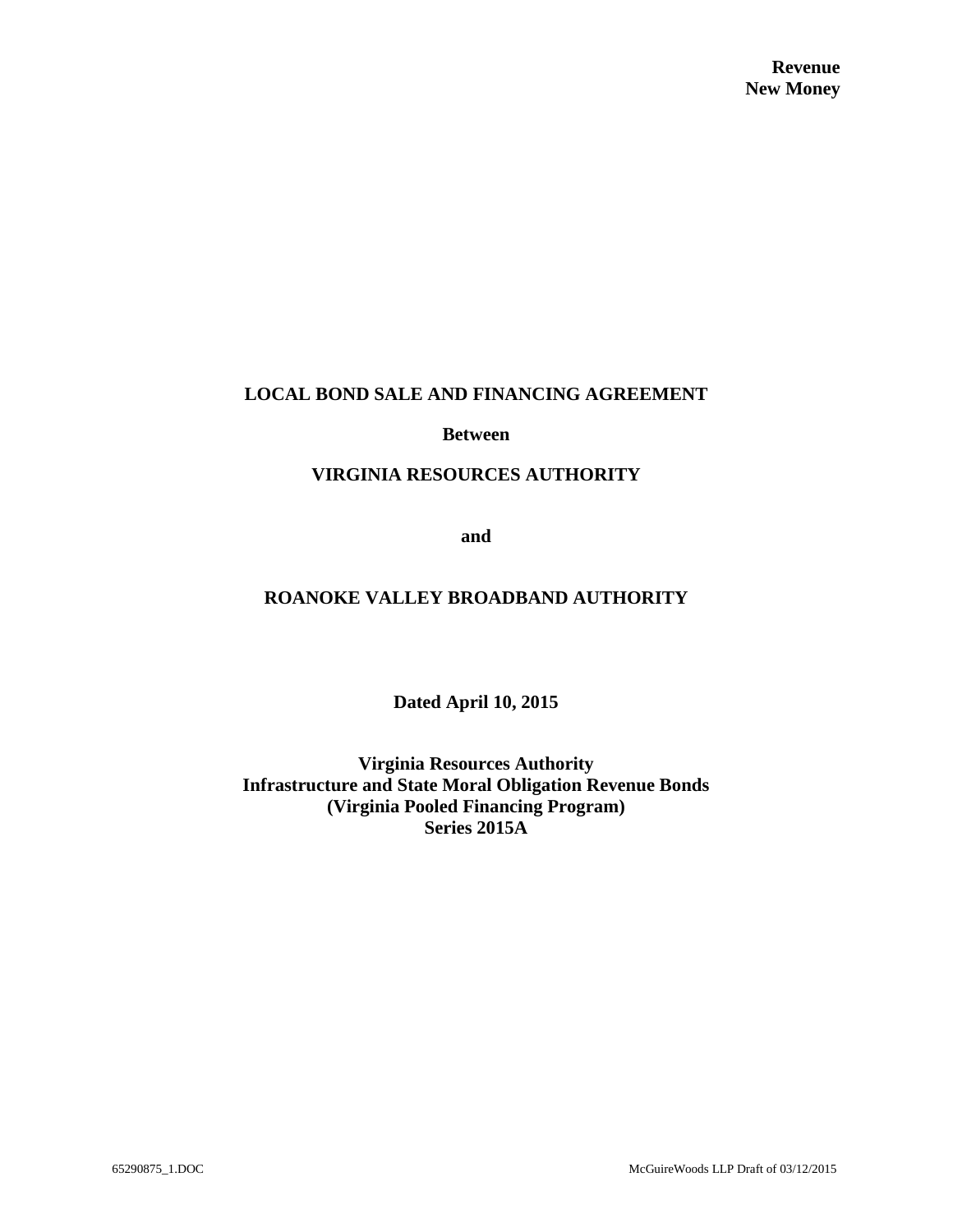### **LOCAL BOND SALE AND FINANCING AGREEMENT**

#### **Between**

#### **VIRGINIA RESOURCES AUTHORITY**

**and**

## **ROANOKE VALLEY BROADBAND AUTHORITY**

**Dated April 10, 2015**

**Virginia Resources Authority Infrastructure and State Moral Obligation Revenue Bonds (Virginia Pooled Financing Program) Series 2015A**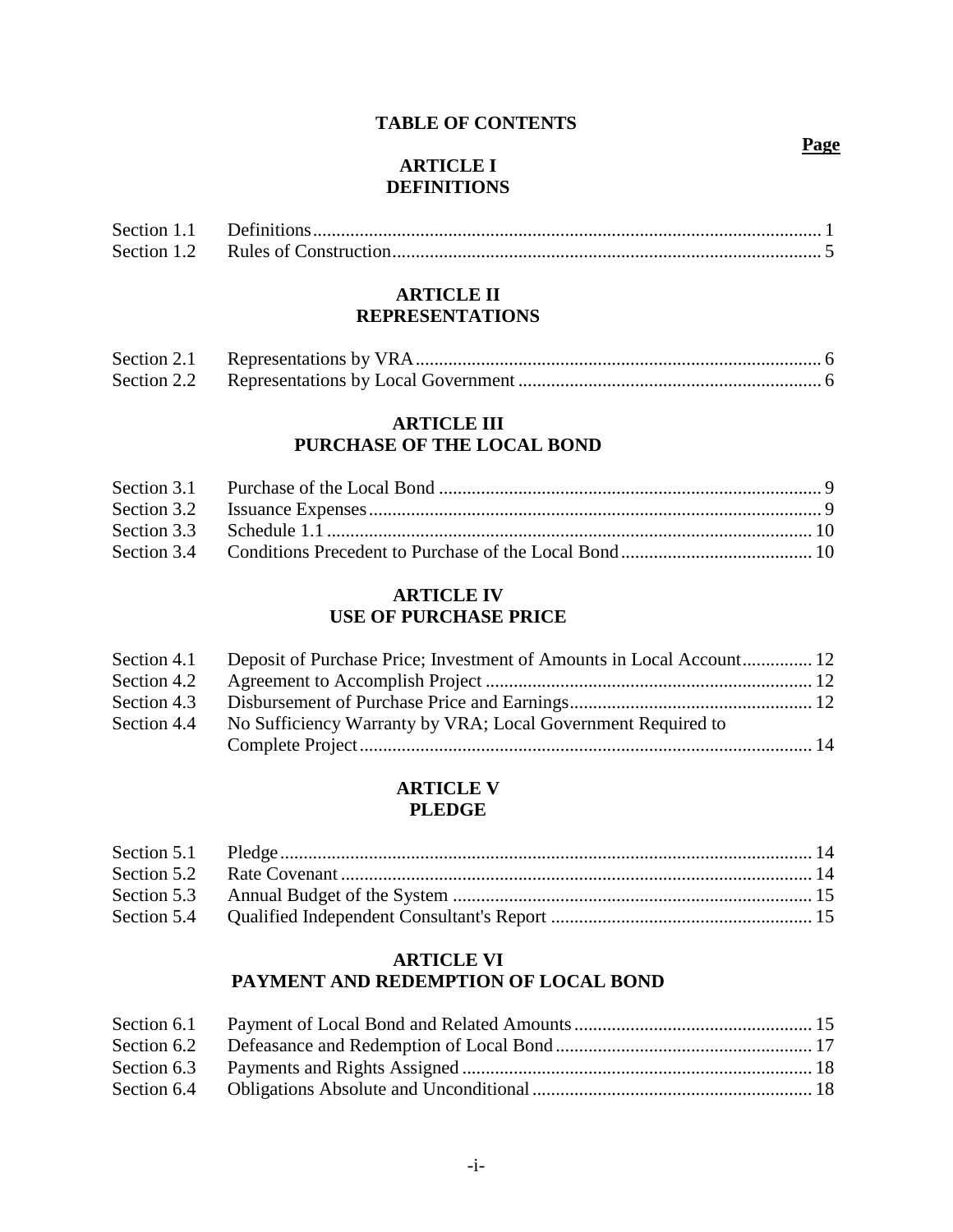### **TABLE OF CONTENTS**

## **ARTICLE I DEFINITIONS**

## **ARTICLE II REPRESENTATIONS**

# **ARTICLE III**

# **PURCHASE OF THE LOCAL BOND**

### **ARTICLE IV USE OF PURCHASE PRICE**

|             | Section 4.1 Deposit of Purchase Price; Investment of Amounts in Local Account 12 |  |
|-------------|----------------------------------------------------------------------------------|--|
| Section 4.2 |                                                                                  |  |
| Section 4.3 |                                                                                  |  |
| Section 4.4 | No Sufficiency Warranty by VRA; Local Government Required to                     |  |
|             |                                                                                  |  |

## **ARTICLE V PLEDGE**

## **ARTICLE VI PAYMENT AND REDEMPTION OF LOCAL BOND**

#### **Page**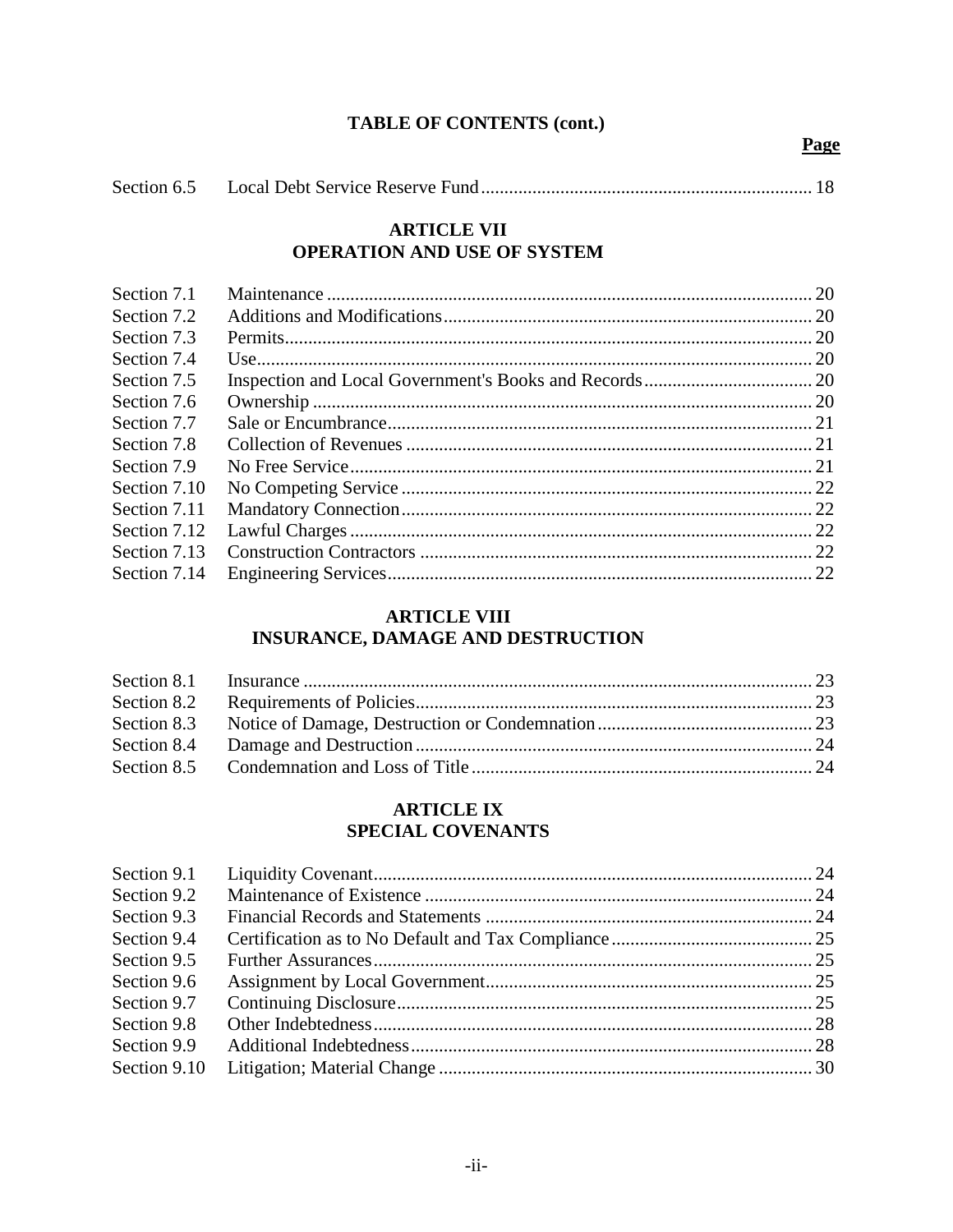## **TABLE OF CONTENTS (cont.)**

Page

## **ARTICLE VII** OPERATION AND USE OF SYSTEM

| Section 7.1  |  |
|--------------|--|
| Section 7.2  |  |
| Section 7.3  |  |
| Section 7.4  |  |
| Section 7.5  |  |
| Section 7.6  |  |
| Section 7.7  |  |
| Section 7.8  |  |
| Section 7.9  |  |
| Section 7.10 |  |
| Section 7.11 |  |
| Section 7.12 |  |
| Section 7.13 |  |
| Section 7.14 |  |
|              |  |

# **ARTICLE VIII INSURANCE, DAMAGE AND DESTRUCTION**

#### **ARTICLE IX SPECIAL COVENANTS**

| Section 9.1  |  |
|--------------|--|
| Section 9.2  |  |
| Section 9.3  |  |
| Section 9.4  |  |
| Section 9.5  |  |
| Section 9.6  |  |
| Section 9.7  |  |
| Section 9.8  |  |
| Section 9.9  |  |
| Section 9.10 |  |
|              |  |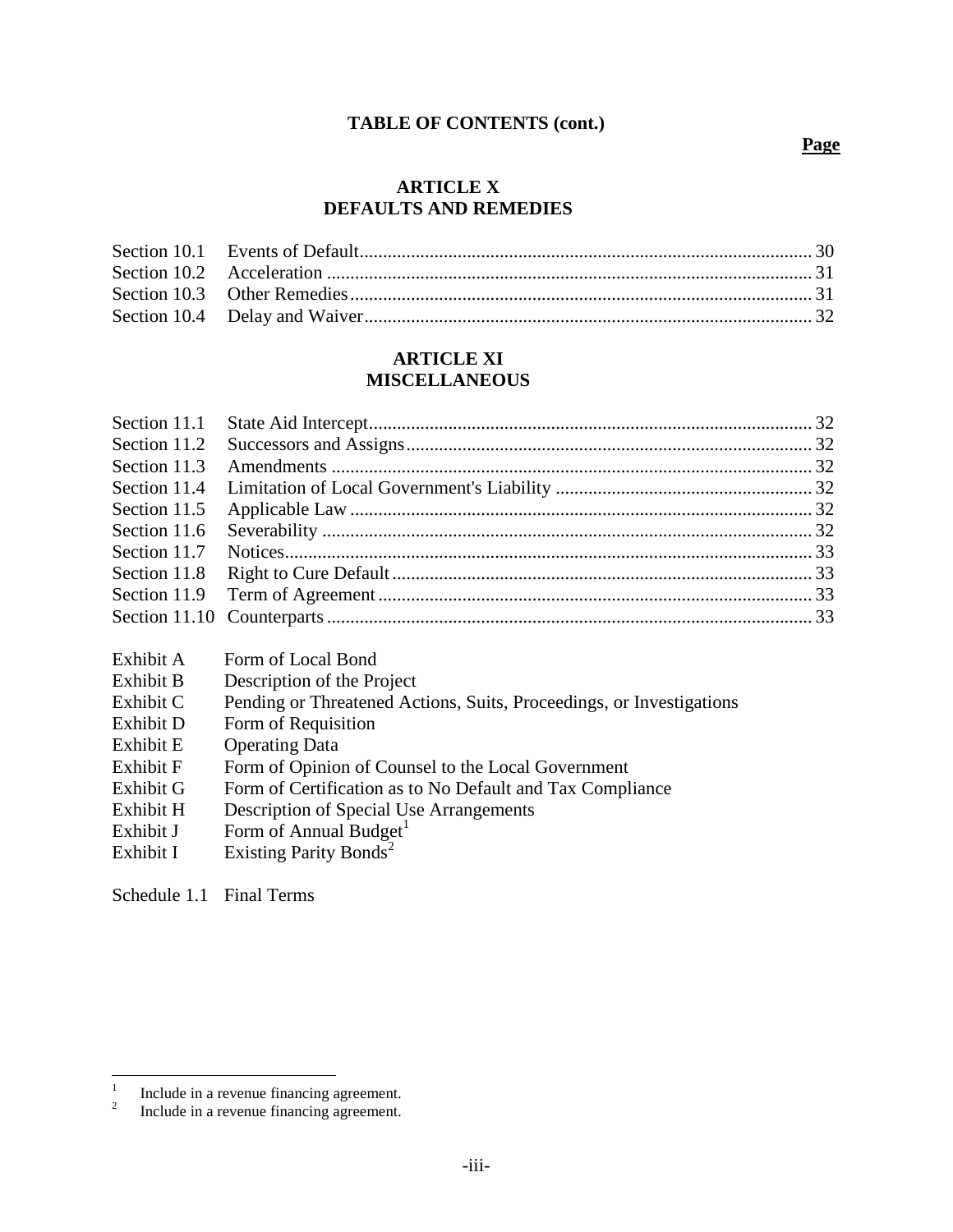#### **TABLE OF CONTENTS (cont.)**

#### **Page**

#### **ARTICLE X DEFAULTS AND REMEDIES**

### **ARTICLE XI MISCELLANEOUS**

| Section 11.3 |                              |  |
|--------------|------------------------------|--|
|              |                              |  |
|              |                              |  |
| Section 11.6 |                              |  |
|              |                              |  |
|              |                              |  |
|              |                              |  |
|              |                              |  |
|              | Exhibit A Form of Local Bond |  |

- Exhibit B Description of the Project
- Exhibit C Pending or Threatened Actions, Suits, Proceedings, or Investigations
- Exhibit D Form of Requisition
- Exhibit E Operating Data
- Exhibit F Form of Opinion of Counsel to the Local Government
- Exhibit G Form of Certification as to No Default and Tax Compliance
- Exhibit H Description of Special Use Arrangements
- Exhibit J Form of Annual Budget<sup>1</sup>
- Exhibit I Existing Parity Bonds<sup>2</sup>

Schedule 1.1 Final Terms

 $\frac{1}{1}$ Include in a revenue financing agreement.

<sup>2</sup> Include in a revenue financing agreement.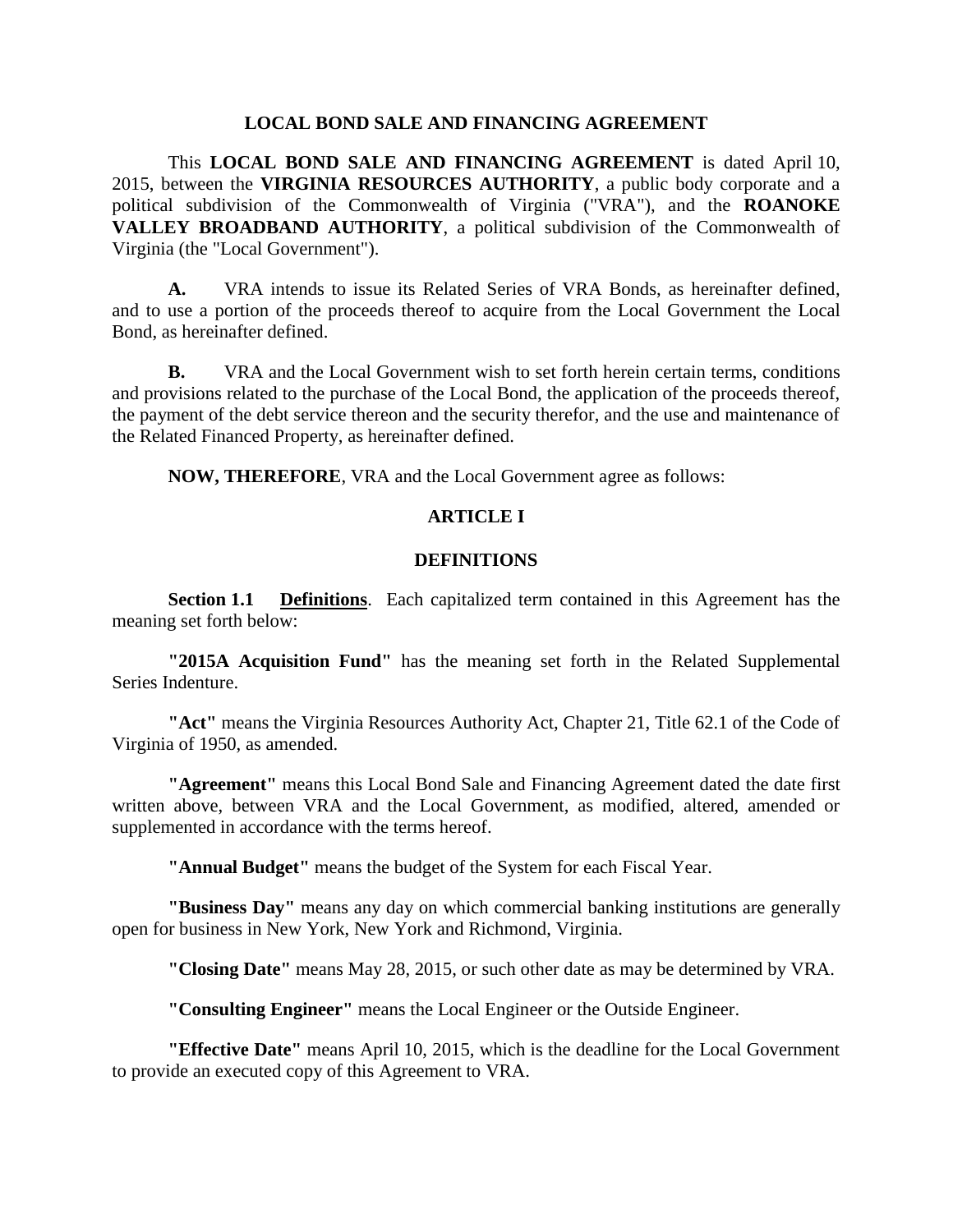#### **LOCAL BOND SALE AND FINANCING AGREEMENT**

This **LOCAL BOND SALE AND FINANCING AGREEMENT** is dated April 10, 2015, between the **VIRGINIA RESOURCES AUTHORITY**, a public body corporate and a political subdivision of the Commonwealth of Virginia ("VRA"), and the **ROANOKE VALLEY BROADBAND AUTHORITY**, a political subdivision of the Commonwealth of Virginia (the "Local Government").

**A.** VRA intends to issue its Related Series of VRA Bonds, as hereinafter defined, and to use a portion of the proceeds thereof to acquire from the Local Government the Local Bond, as hereinafter defined.

**B.** VRA and the Local Government wish to set forth herein certain terms, conditions and provisions related to the purchase of the Local Bond, the application of the proceeds thereof, the payment of the debt service thereon and the security therefor, and the use and maintenance of the Related Financed Property, as hereinafter defined.

**NOW, THEREFORE**, VRA and the Local Government agree as follows:

## **ARTICLE I**

#### **DEFINITIONS**

**Section 1.1 Definitions**. Each capitalized term contained in this Agreement has the meaning set forth below:

**"2015A Acquisition Fund"** has the meaning set forth in the Related Supplemental Series Indenture.

**"Act"** means the Virginia Resources Authority Act, Chapter 21, Title 62.1 of the Code of Virginia of 1950, as amended.

**"Agreement"** means this Local Bond Sale and Financing Agreement dated the date first written above, between VRA and the Local Government, as modified, altered, amended or supplemented in accordance with the terms hereof.

**"Annual Budget"** means the budget of the System for each Fiscal Year.

**"Business Day"** means any day on which commercial banking institutions are generally open for business in New York, New York and Richmond, Virginia.

**"Closing Date"** means May 28, 2015, or such other date as may be determined by VRA.

**"Consulting Engineer"** means the Local Engineer or the Outside Engineer.

**"Effective Date"** means April 10, 2015, which is the deadline for the Local Government to provide an executed copy of this Agreement to VRA.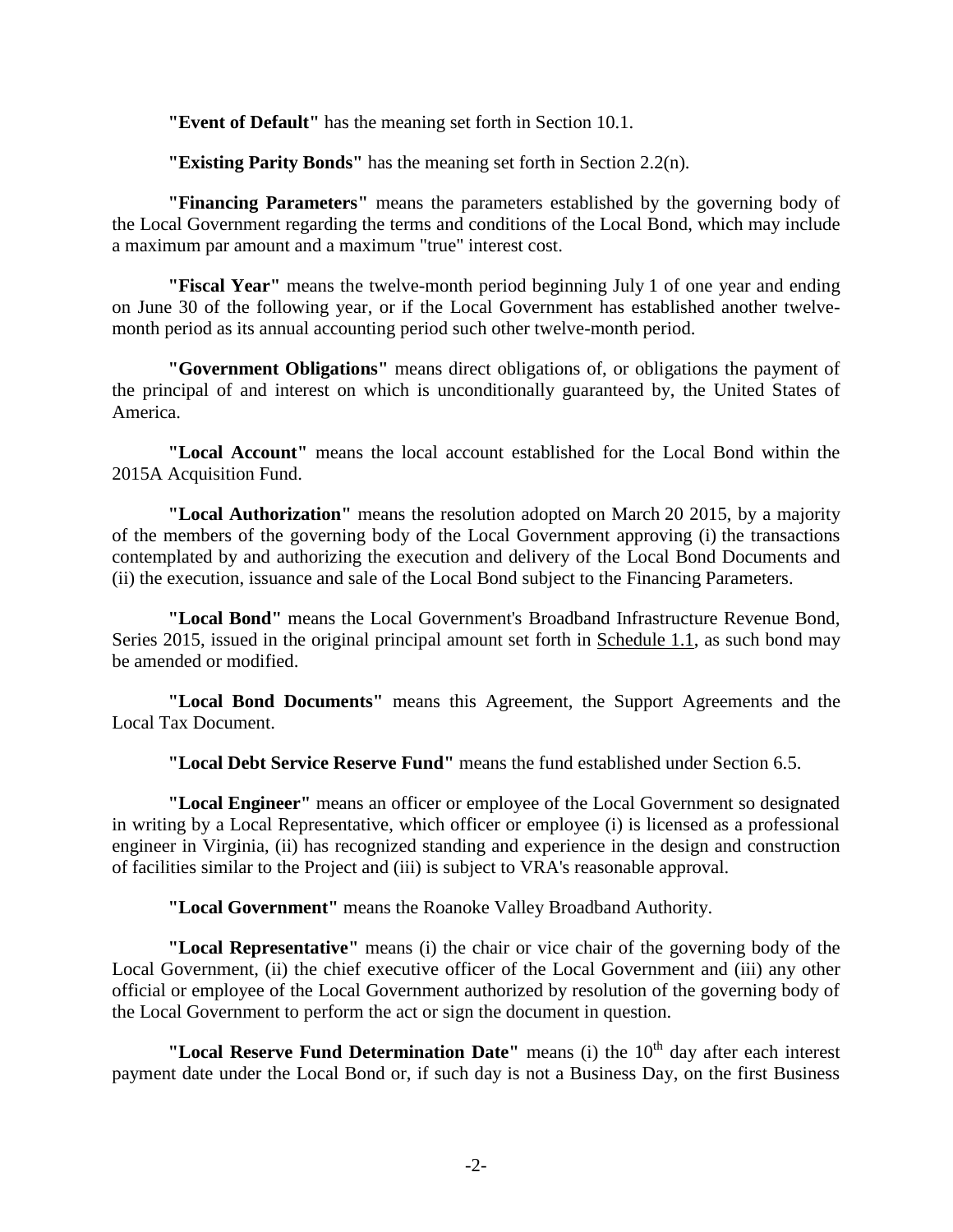**"Event of Default"** has the meaning set forth in Section 10.1.

**"Existing Parity Bonds"** has the meaning set forth in Section 2.2(n).

**"Financing Parameters"** means the parameters established by the governing body of the Local Government regarding the terms and conditions of the Local Bond, which may include a maximum par amount and a maximum "true" interest cost.

**"Fiscal Year"** means the twelve-month period beginning July 1 of one year and ending on June 30 of the following year, or if the Local Government has established another twelvemonth period as its annual accounting period such other twelve-month period.

**"Government Obligations"** means direct obligations of, or obligations the payment of the principal of and interest on which is unconditionally guaranteed by, the United States of America.

**"Local Account"** means the local account established for the Local Bond within the 2015A Acquisition Fund.

**"Local Authorization"** means the resolution adopted on March 20 2015, by a majority of the members of the governing body of the Local Government approving (i) the transactions contemplated by and authorizing the execution and delivery of the Local Bond Documents and (ii) the execution, issuance and sale of the Local Bond subject to the Financing Parameters.

**"Local Bond"** means the Local Government's Broadband Infrastructure Revenue Bond, Series 2015, issued in the original principal amount set forth in Schedule 1.1, as such bond may be amended or modified.

**"Local Bond Documents"** means this Agreement, the Support Agreements and the Local Tax Document.

**"Local Debt Service Reserve Fund"** means the fund established under Section 6.5.

**"Local Engineer"** means an officer or employee of the Local Government so designated in writing by a Local Representative, which officer or employee (i) is licensed as a professional engineer in Virginia, (ii) has recognized standing and experience in the design and construction of facilities similar to the Project and (iii) is subject to VRA's reasonable approval.

**"Local Government"** means the Roanoke Valley Broadband Authority.

**"Local Representative"** means (i) the chair or vice chair of the governing body of the Local Government, (ii) the chief executive officer of the Local Government and (iii) any other official or employee of the Local Government authorized by resolution of the governing body of the Local Government to perform the act or sign the document in question.

"Local Reserve Fund Determination Date" means (i) the 10<sup>th</sup> day after each interest payment date under the Local Bond or, if such day is not a Business Day, on the first Business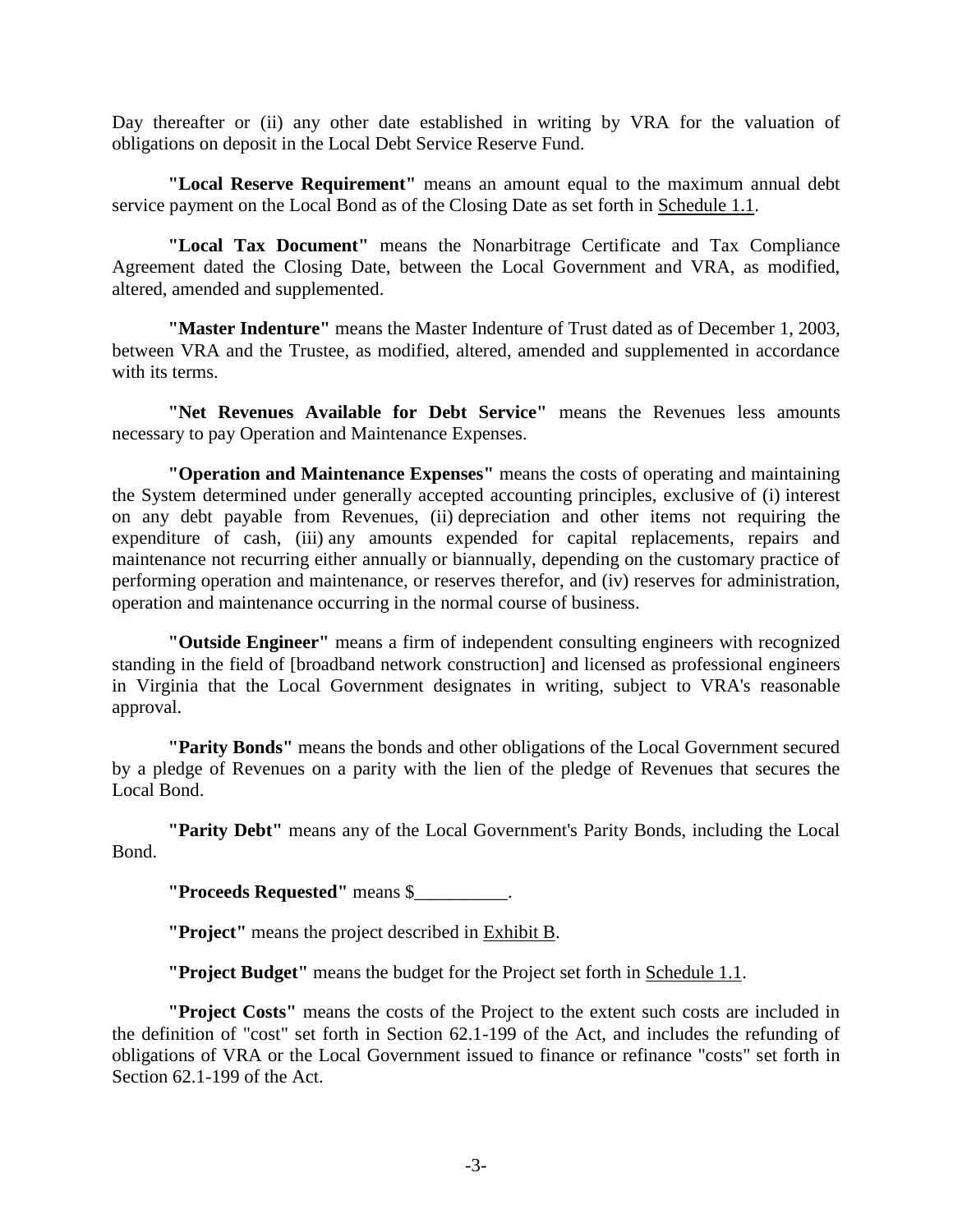Day thereafter or (ii) any other date established in writing by VRA for the valuation of obligations on deposit in the Local Debt Service Reserve Fund.

**"Local Reserve Requirement"** means an amount equal to the maximum annual debt service payment on the Local Bond as of the Closing Date as set forth in Schedule 1.1.

**"Local Tax Document"** means the Nonarbitrage Certificate and Tax Compliance Agreement dated the Closing Date, between the Local Government and VRA, as modified, altered, amended and supplemented.

**"Master Indenture"** means the Master Indenture of Trust dated as of December 1, 2003, between VRA and the Trustee, as modified, altered, amended and supplemented in accordance with its terms.

**"Net Revenues Available for Debt Service"** means the Revenues less amounts necessary to pay Operation and Maintenance Expenses.

**"Operation and Maintenance Expenses"** means the costs of operating and maintaining the System determined under generally accepted accounting principles, exclusive of (i) interest on any debt payable from Revenues, (ii) depreciation and other items not requiring the expenditure of cash, (iii) any amounts expended for capital replacements, repairs and maintenance not recurring either annually or biannually, depending on the customary practice of performing operation and maintenance, or reserves therefor, and (iv) reserves for administration, operation and maintenance occurring in the normal course of business.

**"Outside Engineer"** means a firm of independent consulting engineers with recognized standing in the field of [broadband network construction] and licensed as professional engineers in Virginia that the Local Government designates in writing, subject to VRA's reasonable approval.

**"Parity Bonds"** means the bonds and other obligations of the Local Government secured by a pledge of Revenues on a parity with the lien of the pledge of Revenues that secures the Local Bond.

**"Parity Debt"** means any of the Local Government's Parity Bonds, including the Local Bond.

**"Proceeds Requested"** means \$\_\_\_\_\_\_\_\_\_\_.

**"Project"** means the project described in Exhibit B.

**"Project Budget"** means the budget for the Project set forth in Schedule 1.1.

**"Project Costs"** means the costs of the Project to the extent such costs are included in the definition of "cost" set forth in Section 62.1-199 of the Act, and includes the refunding of obligations of VRA or the Local Government issued to finance or refinance "costs" set forth in Section 62.1-199 of the Act.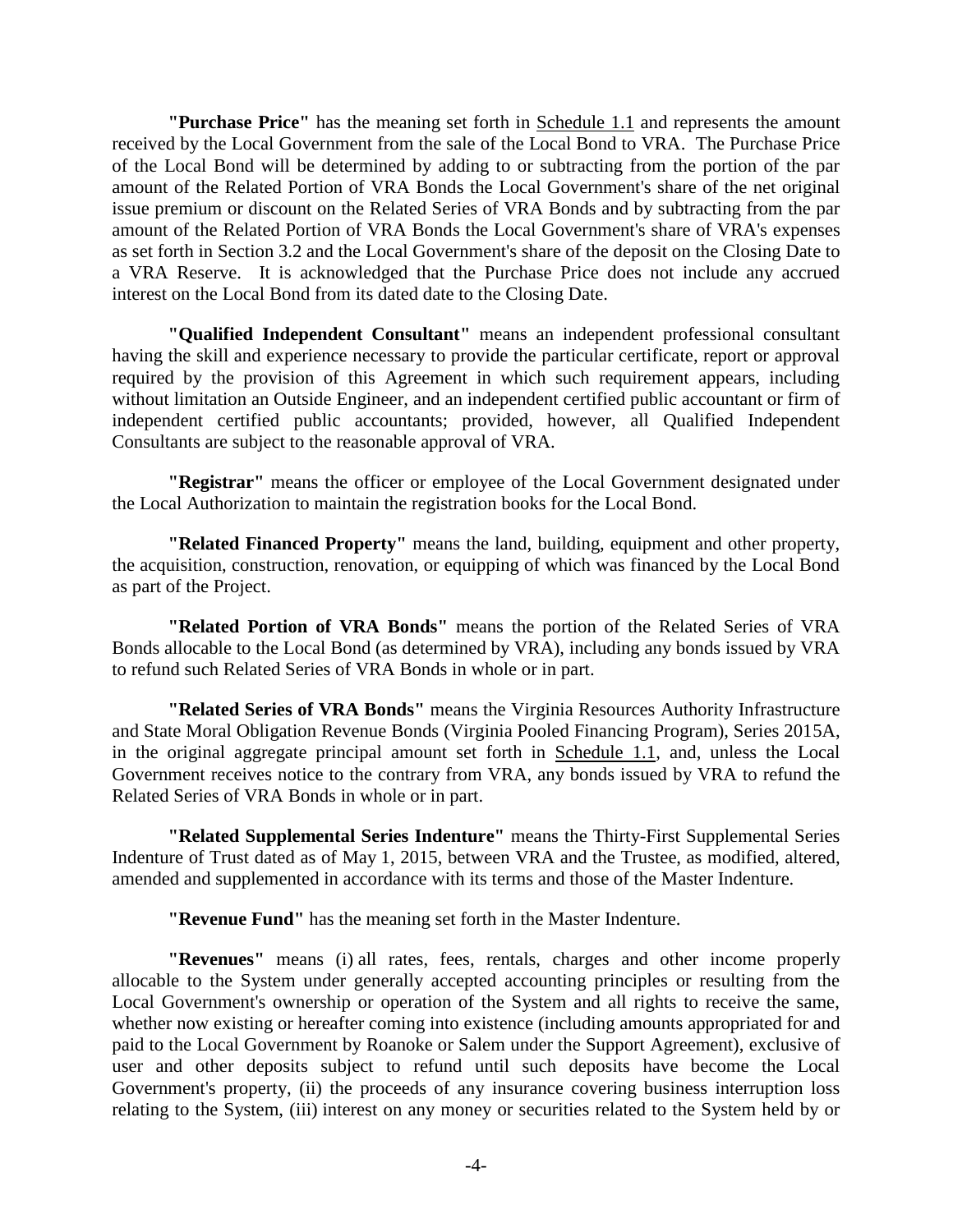**"Purchase Price"** has the meaning set forth in Schedule 1.1 and represents the amount received by the Local Government from the sale of the Local Bond to VRA. The Purchase Price of the Local Bond will be determined by adding to or subtracting from the portion of the par amount of the Related Portion of VRA Bonds the Local Government's share of the net original issue premium or discount on the Related Series of VRA Bonds and by subtracting from the par amount of the Related Portion of VRA Bonds the Local Government's share of VRA's expenses as set forth in Section 3.2 and the Local Government's share of the deposit on the Closing Date to a VRA Reserve. It is acknowledged that the Purchase Price does not include any accrued interest on the Local Bond from its dated date to the Closing Date.

**"Qualified Independent Consultant"** means an independent professional consultant having the skill and experience necessary to provide the particular certificate, report or approval required by the provision of this Agreement in which such requirement appears, including without limitation an Outside Engineer, and an independent certified public accountant or firm of independent certified public accountants; provided, however, all Qualified Independent Consultants are subject to the reasonable approval of VRA.

**"Registrar"** means the officer or employee of the Local Government designated under the Local Authorization to maintain the registration books for the Local Bond.

**"Related Financed Property"** means the land, building, equipment and other property, the acquisition, construction, renovation, or equipping of which was financed by the Local Bond as part of the Project.

**"Related Portion of VRA Bonds"** means the portion of the Related Series of VRA Bonds allocable to the Local Bond (as determined by VRA), including any bonds issued by VRA to refund such Related Series of VRA Bonds in whole or in part.

**"Related Series of VRA Bonds"** means the Virginia Resources Authority Infrastructure and State Moral Obligation Revenue Bonds (Virginia Pooled Financing Program), Series 2015A, in the original aggregate principal amount set forth in Schedule 1.1, and, unless the Local Government receives notice to the contrary from VRA, any bonds issued by VRA to refund the Related Series of VRA Bonds in whole or in part.

**"Related Supplemental Series Indenture"** means the Thirty-First Supplemental Series Indenture of Trust dated as of May 1, 2015, between VRA and the Trustee, as modified, altered, amended and supplemented in accordance with its terms and those of the Master Indenture.

**"Revenue Fund"** has the meaning set forth in the Master Indenture.

**"Revenues"** means (i) all rates, fees, rentals, charges and other income properly allocable to the System under generally accepted accounting principles or resulting from the Local Government's ownership or operation of the System and all rights to receive the same, whether now existing or hereafter coming into existence (including amounts appropriated for and paid to the Local Government by Roanoke or Salem under the Support Agreement), exclusive of user and other deposits subject to refund until such deposits have become the Local Government's property, (ii) the proceeds of any insurance covering business interruption loss relating to the System, (iii) interest on any money or securities related to the System held by or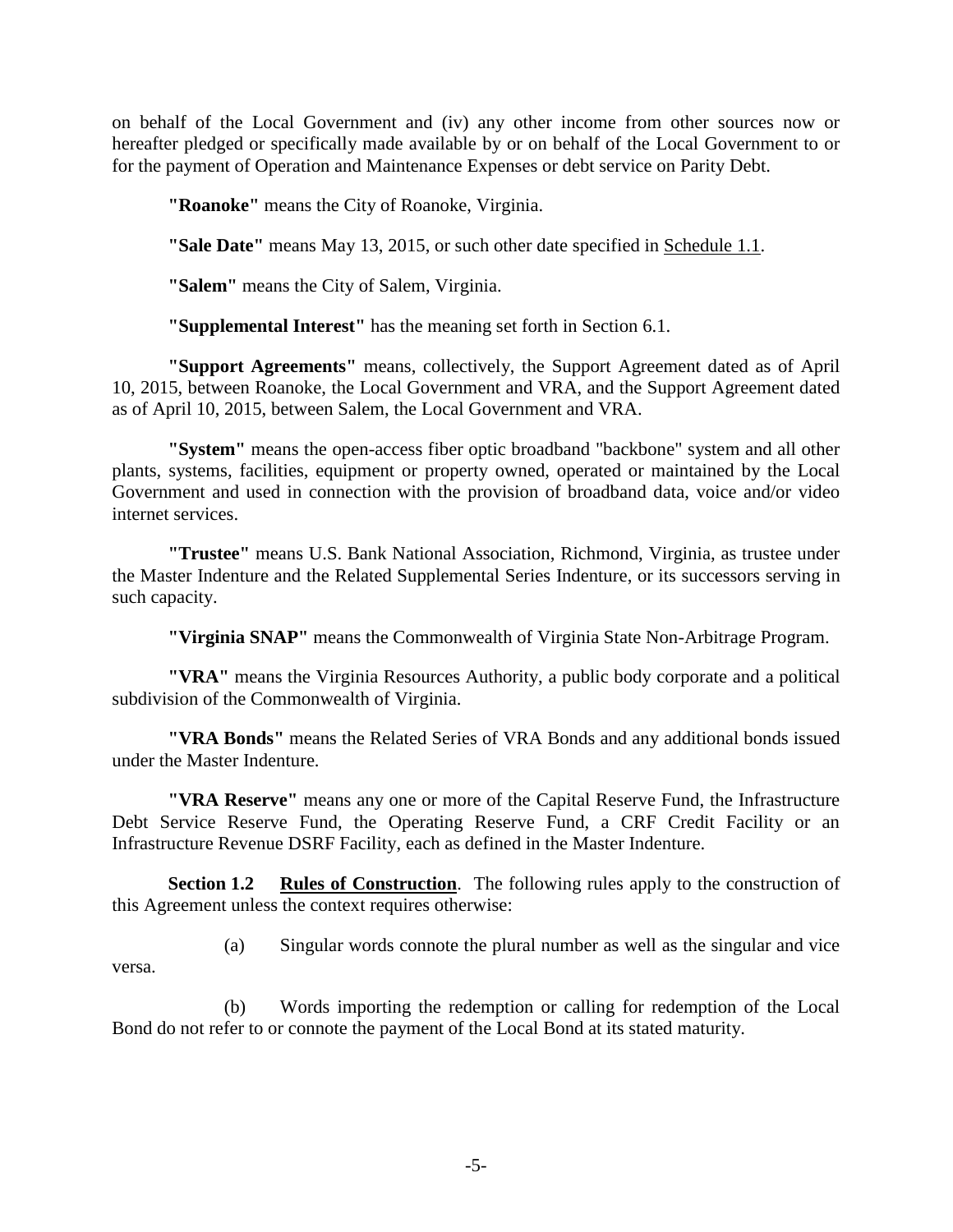on behalf of the Local Government and (iv) any other income from other sources now or hereafter pledged or specifically made available by or on behalf of the Local Government to or for the payment of Operation and Maintenance Expenses or debt service on Parity Debt.

**"Roanoke"** means the City of Roanoke, Virginia.

**"Sale Date"** means May 13, 2015, or such other date specified in Schedule 1.1.

**"Salem"** means the City of Salem, Virginia.

**"Supplemental Interest"** has the meaning set forth in Section 6.1.

**"Support Agreements"** means, collectively, the Support Agreement dated as of April 10, 2015, between Roanoke, the Local Government and VRA, and the Support Agreement dated as of April 10, 2015, between Salem, the Local Government and VRA.

**"System"** means the open-access fiber optic broadband "backbone" system and all other plants, systems, facilities, equipment or property owned, operated or maintained by the Local Government and used in connection with the provision of broadband data, voice and/or video internet services.

**"Trustee"** means U.S. Bank National Association, Richmond, Virginia, as trustee under the Master Indenture and the Related Supplemental Series Indenture, or its successors serving in such capacity.

**"Virginia SNAP"** means the Commonwealth of Virginia State Non-Arbitrage Program.

**"VRA"** means the Virginia Resources Authority, a public body corporate and a political subdivision of the Commonwealth of Virginia.

**"VRA Bonds"** means the Related Series of VRA Bonds and any additional bonds issued under the Master Indenture.

**"VRA Reserve"** means any one or more of the Capital Reserve Fund, the Infrastructure Debt Service Reserve Fund, the Operating Reserve Fund, a CRF Credit Facility or an Infrastructure Revenue DSRF Facility, each as defined in the Master Indenture.

**Section 1.2 Rules of Construction**. The following rules apply to the construction of this Agreement unless the context requires otherwise:

(a) Singular words connote the plural number as well as the singular and vice versa.

(b) Words importing the redemption or calling for redemption of the Local Bond do not refer to or connote the payment of the Local Bond at its stated maturity.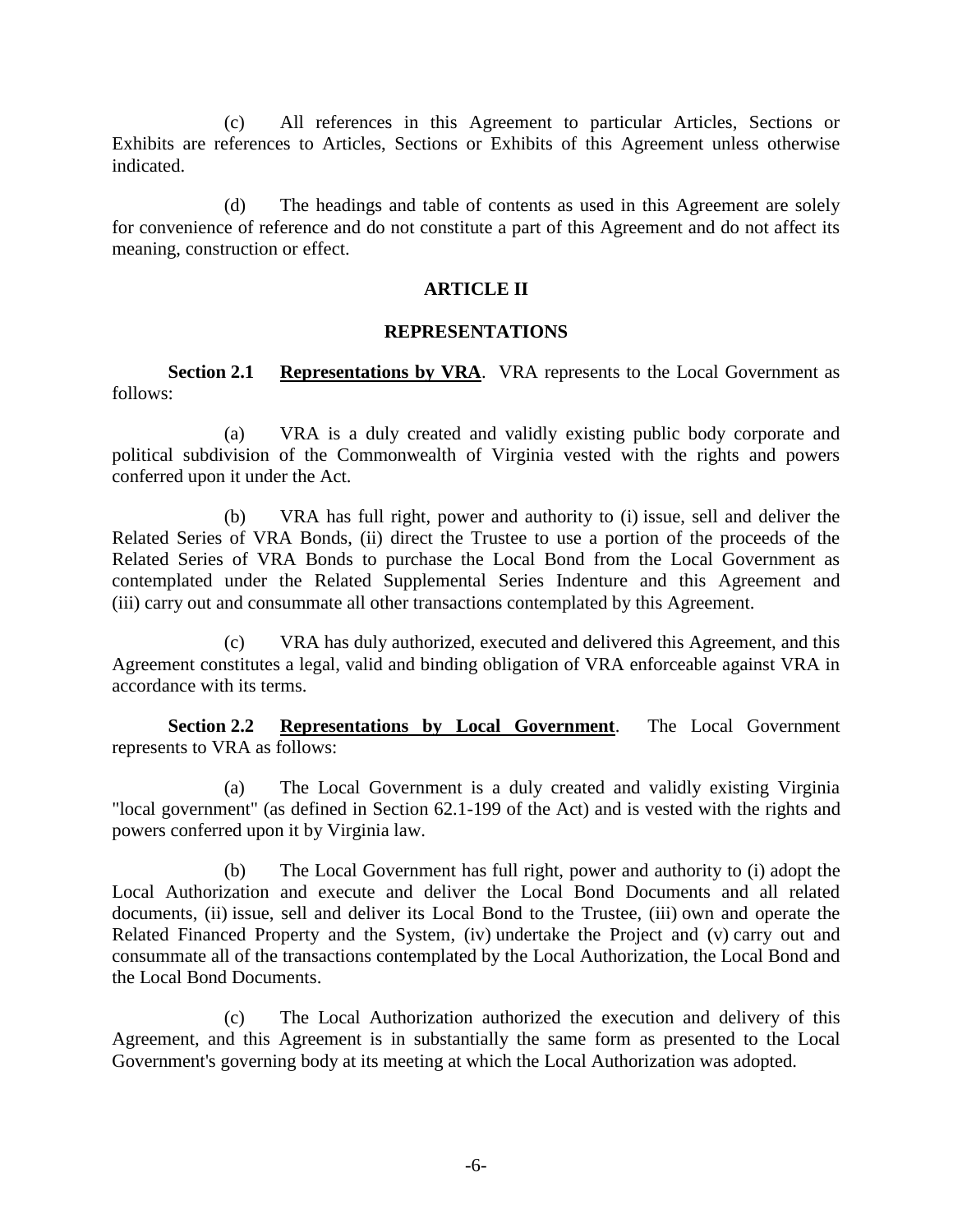(c) All references in this Agreement to particular Articles, Sections or Exhibits are references to Articles, Sections or Exhibits of this Agreement unless otherwise indicated.

(d) The headings and table of contents as used in this Agreement are solely for convenience of reference and do not constitute a part of this Agreement and do not affect its meaning, construction or effect.

#### **ARTICLE II**

#### **REPRESENTATIONS**

**Section 2.1 Representations by VRA**. VRA represents to the Local Government as follows:

(a) VRA is a duly created and validly existing public body corporate and political subdivision of the Commonwealth of Virginia vested with the rights and powers conferred upon it under the Act.

(b) VRA has full right, power and authority to (i) issue, sell and deliver the Related Series of VRA Bonds, (ii) direct the Trustee to use a portion of the proceeds of the Related Series of VRA Bonds to purchase the Local Bond from the Local Government as contemplated under the Related Supplemental Series Indenture and this Agreement and (iii) carry out and consummate all other transactions contemplated by this Agreement.

(c) VRA has duly authorized, executed and delivered this Agreement, and this Agreement constitutes a legal, valid and binding obligation of VRA enforceable against VRA in accordance with its terms.

**Section 2.2 Representations by Local Government**. The Local Government represents to VRA as follows:

(a) The Local Government is a duly created and validly existing Virginia "local government" (as defined in Section 62.1-199 of the Act) and is vested with the rights and powers conferred upon it by Virginia law.

(b) The Local Government has full right, power and authority to (i) adopt the Local Authorization and execute and deliver the Local Bond Documents and all related documents, (ii) issue, sell and deliver its Local Bond to the Trustee, (iii) own and operate the Related Financed Property and the System, (iv) undertake the Project and (v) carry out and consummate all of the transactions contemplated by the Local Authorization, the Local Bond and the Local Bond Documents.

(c) The Local Authorization authorized the execution and delivery of this Agreement, and this Agreement is in substantially the same form as presented to the Local Government's governing body at its meeting at which the Local Authorization was adopted.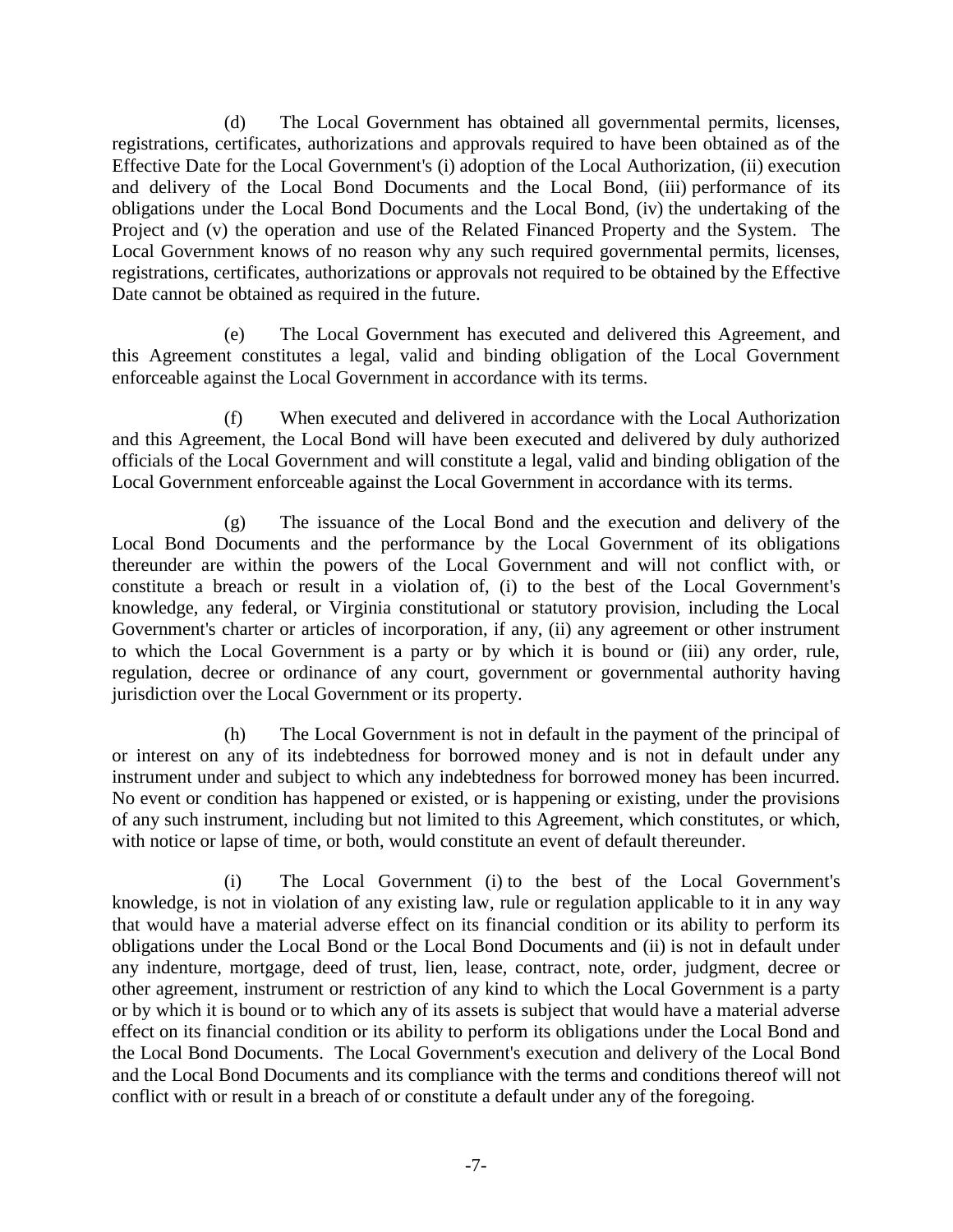(d) The Local Government has obtained all governmental permits, licenses, registrations, certificates, authorizations and approvals required to have been obtained as of the Effective Date for the Local Government's (i) adoption of the Local Authorization, (ii) execution and delivery of the Local Bond Documents and the Local Bond, (iii) performance of its obligations under the Local Bond Documents and the Local Bond, (iv) the undertaking of the Project and (v) the operation and use of the Related Financed Property and the System. The Local Government knows of no reason why any such required governmental permits, licenses, registrations, certificates, authorizations or approvals not required to be obtained by the Effective Date cannot be obtained as required in the future.

(e) The Local Government has executed and delivered this Agreement, and this Agreement constitutes a legal, valid and binding obligation of the Local Government enforceable against the Local Government in accordance with its terms.

(f) When executed and delivered in accordance with the Local Authorization and this Agreement, the Local Bond will have been executed and delivered by duly authorized officials of the Local Government and will constitute a legal, valid and binding obligation of the Local Government enforceable against the Local Government in accordance with its terms.

(g) The issuance of the Local Bond and the execution and delivery of the Local Bond Documents and the performance by the Local Government of its obligations thereunder are within the powers of the Local Government and will not conflict with, or constitute a breach or result in a violation of, (i) to the best of the Local Government's knowledge, any federal, or Virginia constitutional or statutory provision, including the Local Government's charter or articles of incorporation, if any, (ii) any agreement or other instrument to which the Local Government is a party or by which it is bound or (iii) any order, rule, regulation, decree or ordinance of any court, government or governmental authority having jurisdiction over the Local Government or its property.

(h) The Local Government is not in default in the payment of the principal of or interest on any of its indebtedness for borrowed money and is not in default under any instrument under and subject to which any indebtedness for borrowed money has been incurred. No event or condition has happened or existed, or is happening or existing, under the provisions of any such instrument, including but not limited to this Agreement, which constitutes, or which, with notice or lapse of time, or both, would constitute an event of default thereunder.

(i) The Local Government (i) to the best of the Local Government's knowledge, is not in violation of any existing law, rule or regulation applicable to it in any way that would have a material adverse effect on its financial condition or its ability to perform its obligations under the Local Bond or the Local Bond Documents and (ii) is not in default under any indenture, mortgage, deed of trust, lien, lease, contract, note, order, judgment, decree or other agreement, instrument or restriction of any kind to which the Local Government is a party or by which it is bound or to which any of its assets is subject that would have a material adverse effect on its financial condition or its ability to perform its obligations under the Local Bond and the Local Bond Documents. The Local Government's execution and delivery of the Local Bond and the Local Bond Documents and its compliance with the terms and conditions thereof will not conflict with or result in a breach of or constitute a default under any of the foregoing.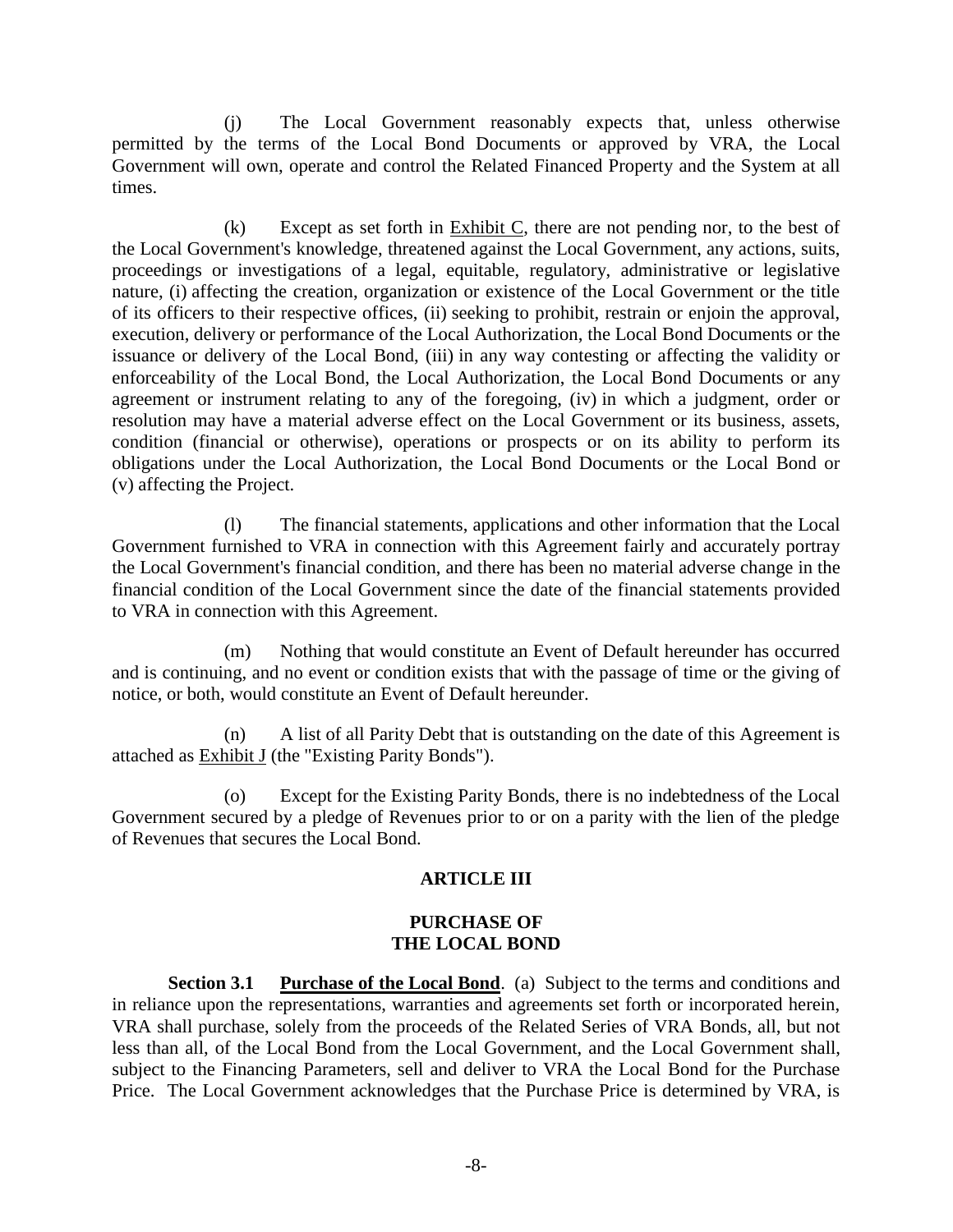(j) The Local Government reasonably expects that, unless otherwise permitted by the terms of the Local Bond Documents or approved by VRA, the Local Government will own, operate and control the Related Financed Property and the System at all times.

(k) Except as set forth in Exhibit C, there are not pending nor, to the best of the Local Government's knowledge, threatened against the Local Government, any actions, suits, proceedings or investigations of a legal, equitable, regulatory, administrative or legislative nature, (i) affecting the creation, organization or existence of the Local Government or the title of its officers to their respective offices, (ii) seeking to prohibit, restrain or enjoin the approval, execution, delivery or performance of the Local Authorization, the Local Bond Documents or the issuance or delivery of the Local Bond, (iii) in any way contesting or affecting the validity or enforceability of the Local Bond, the Local Authorization, the Local Bond Documents or any agreement or instrument relating to any of the foregoing, (iv) in which a judgment, order or resolution may have a material adverse effect on the Local Government or its business, assets, condition (financial or otherwise), operations or prospects or on its ability to perform its obligations under the Local Authorization, the Local Bond Documents or the Local Bond or (v) affecting the Project.

(l) The financial statements, applications and other information that the Local Government furnished to VRA in connection with this Agreement fairly and accurately portray the Local Government's financial condition, and there has been no material adverse change in the financial condition of the Local Government since the date of the financial statements provided to VRA in connection with this Agreement.

(m) Nothing that would constitute an Event of Default hereunder has occurred and is continuing, and no event or condition exists that with the passage of time or the giving of notice, or both, would constitute an Event of Default hereunder.

(n) A list of all Parity Debt that is outstanding on the date of this Agreement is attached as **Exhibit J** (the "Existing Parity Bonds").

(o) Except for the Existing Parity Bonds, there is no indebtedness of the Local Government secured by a pledge of Revenues prior to or on a parity with the lien of the pledge of Revenues that secures the Local Bond.

## **ARTICLE III**

#### **PURCHASE OF THE LOCAL BOND**

**Section 3.1 Purchase of the Local Bond**. (a) Subject to the terms and conditions and in reliance upon the representations, warranties and agreements set forth or incorporated herein, VRA shall purchase, solely from the proceeds of the Related Series of VRA Bonds, all, but not less than all, of the Local Bond from the Local Government, and the Local Government shall, subject to the Financing Parameters, sell and deliver to VRA the Local Bond for the Purchase Price. The Local Government acknowledges that the Purchase Price is determined by VRA, is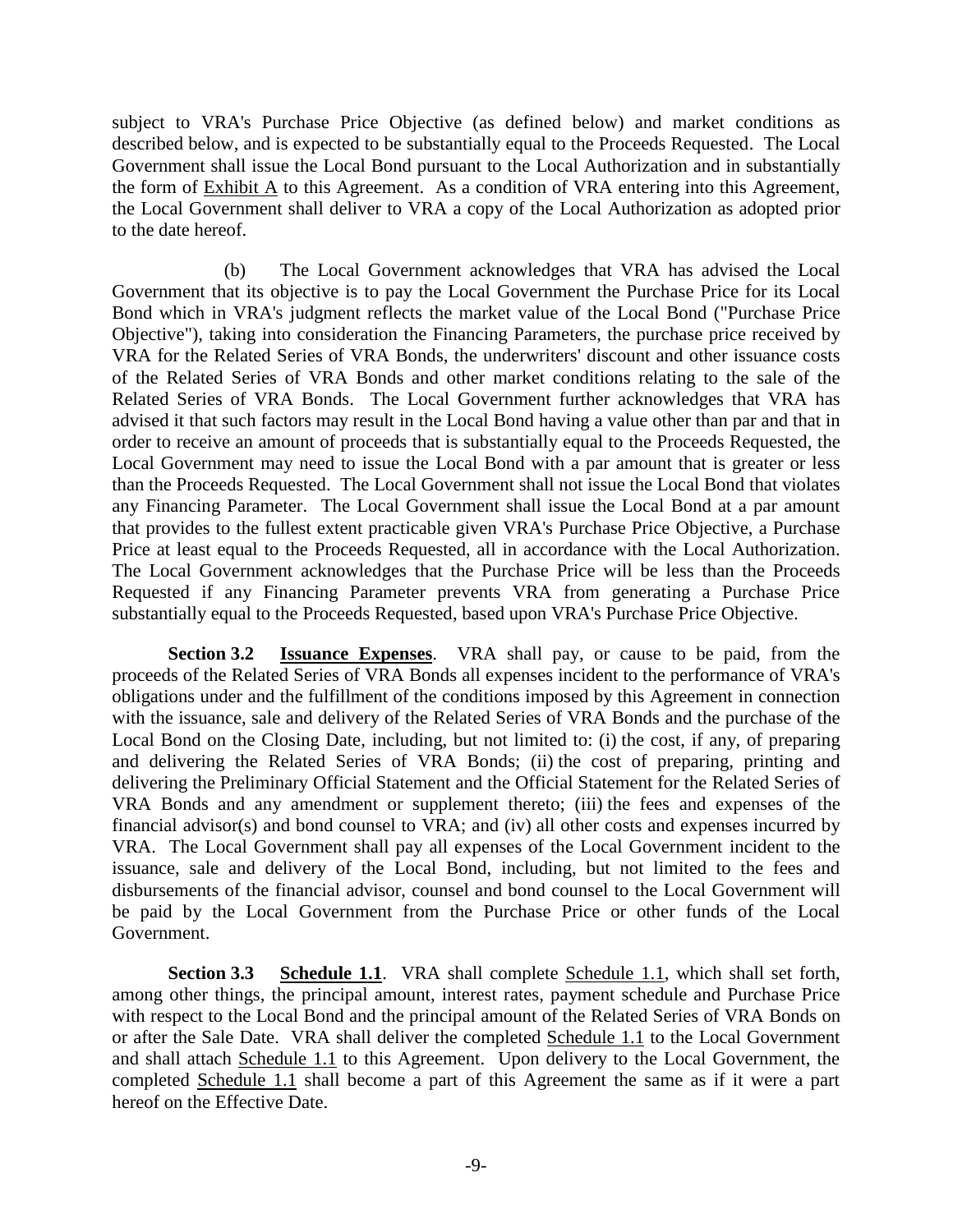subject to VRA's Purchase Price Objective (as defined below) and market conditions as described below, and is expected to be substantially equal to the Proceeds Requested. The Local Government shall issue the Local Bond pursuant to the Local Authorization and in substantially the form of Exhibit A to this Agreement. As a condition of VRA entering into this Agreement, the Local Government shall deliver to VRA a copy of the Local Authorization as adopted prior to the date hereof.

(b) The Local Government acknowledges that VRA has advised the Local Government that its objective is to pay the Local Government the Purchase Price for its Local Bond which in VRA's judgment reflects the market value of the Local Bond ("Purchase Price Objective"), taking into consideration the Financing Parameters, the purchase price received by VRA for the Related Series of VRA Bonds, the underwriters' discount and other issuance costs of the Related Series of VRA Bonds and other market conditions relating to the sale of the Related Series of VRA Bonds. The Local Government further acknowledges that VRA has advised it that such factors may result in the Local Bond having a value other than par and that in order to receive an amount of proceeds that is substantially equal to the Proceeds Requested, the Local Government may need to issue the Local Bond with a par amount that is greater or less than the Proceeds Requested. The Local Government shall not issue the Local Bond that violates any Financing Parameter. The Local Government shall issue the Local Bond at a par amount that provides to the fullest extent practicable given VRA's Purchase Price Objective, a Purchase Price at least equal to the Proceeds Requested, all in accordance with the Local Authorization. The Local Government acknowledges that the Purchase Price will be less than the Proceeds Requested if any Financing Parameter prevents VRA from generating a Purchase Price substantially equal to the Proceeds Requested, based upon VRA's Purchase Price Objective.

**Section 3.2 Issuance Expenses**. VRA shall pay, or cause to be paid, from the proceeds of the Related Series of VRA Bonds all expenses incident to the performance of VRA's obligations under and the fulfillment of the conditions imposed by this Agreement in connection with the issuance, sale and delivery of the Related Series of VRA Bonds and the purchase of the Local Bond on the Closing Date, including, but not limited to: (i) the cost, if any, of preparing and delivering the Related Series of VRA Bonds; (ii) the cost of preparing, printing and delivering the Preliminary Official Statement and the Official Statement for the Related Series of VRA Bonds and any amendment or supplement thereto; (iii) the fees and expenses of the financial advisor(s) and bond counsel to VRA; and (iv) all other costs and expenses incurred by VRA. The Local Government shall pay all expenses of the Local Government incident to the issuance, sale and delivery of the Local Bond, including, but not limited to the fees and disbursements of the financial advisor, counsel and bond counsel to the Local Government will be paid by the Local Government from the Purchase Price or other funds of the Local Government.

**Section 3.3 Schedule 1.1**. VRA shall complete Schedule 1.1, which shall set forth, among other things, the principal amount, interest rates, payment schedule and Purchase Price with respect to the Local Bond and the principal amount of the Related Series of VRA Bonds on or after the Sale Date. VRA shall deliver the completed Schedule 1.1 to the Local Government and shall attach Schedule 1.1 to this Agreement. Upon delivery to the Local Government, the completed Schedule 1.1 shall become a part of this Agreement the same as if it were a part hereof on the Effective Date.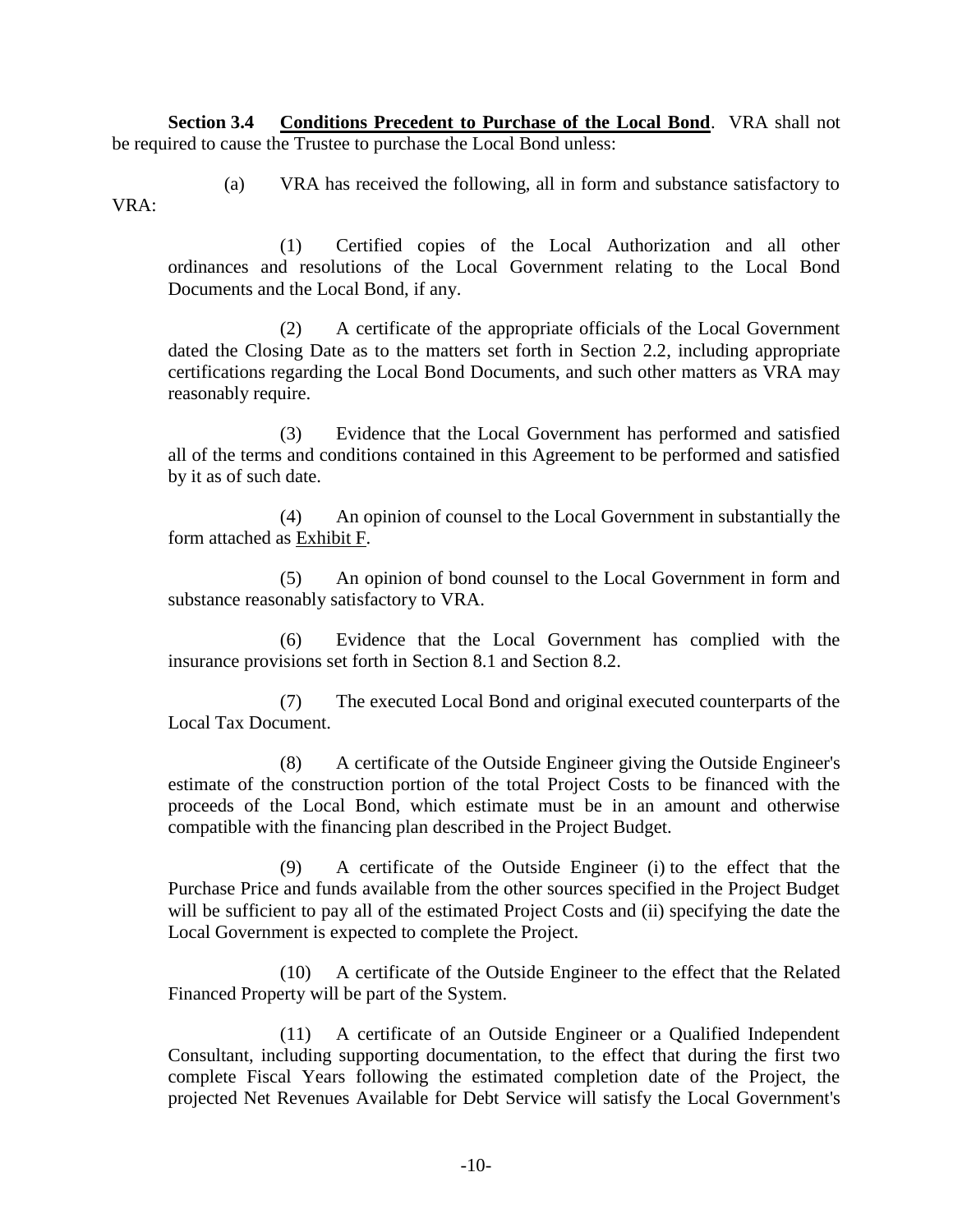**Section 3.4 Conditions Precedent to Purchase of the Local Bond**. VRA shall not be required to cause the Trustee to purchase the Local Bond unless:

(a) VRA has received the following, all in form and substance satisfactory to VRA:

(1) Certified copies of the Local Authorization and all other ordinances and resolutions of the Local Government relating to the Local Bond Documents and the Local Bond, if any.

(2) A certificate of the appropriate officials of the Local Government dated the Closing Date as to the matters set forth in Section 2.2, including appropriate certifications regarding the Local Bond Documents, and such other matters as VRA may reasonably require.

(3) Evidence that the Local Government has performed and satisfied all of the terms and conditions contained in this Agreement to be performed and satisfied by it as of such date.

(4) An opinion of counsel to the Local Government in substantially the form attached as Exhibit F.

(5) An opinion of bond counsel to the Local Government in form and substance reasonably satisfactory to VRA.

(6) Evidence that the Local Government has complied with the insurance provisions set forth in Section 8.1 and Section 8.2.

(7) The executed Local Bond and original executed counterparts of the Local Tax Document.

(8) A certificate of the Outside Engineer giving the Outside Engineer's estimate of the construction portion of the total Project Costs to be financed with the proceeds of the Local Bond, which estimate must be in an amount and otherwise compatible with the financing plan described in the Project Budget.

(9) A certificate of the Outside Engineer (i) to the effect that the Purchase Price and funds available from the other sources specified in the Project Budget will be sufficient to pay all of the estimated Project Costs and (ii) specifying the date the Local Government is expected to complete the Project.

(10) A certificate of the Outside Engineer to the effect that the Related Financed Property will be part of the System.

(11) A certificate of an Outside Engineer or a Qualified Independent Consultant, including supporting documentation, to the effect that during the first two complete Fiscal Years following the estimated completion date of the Project, the projected Net Revenues Available for Debt Service will satisfy the Local Government's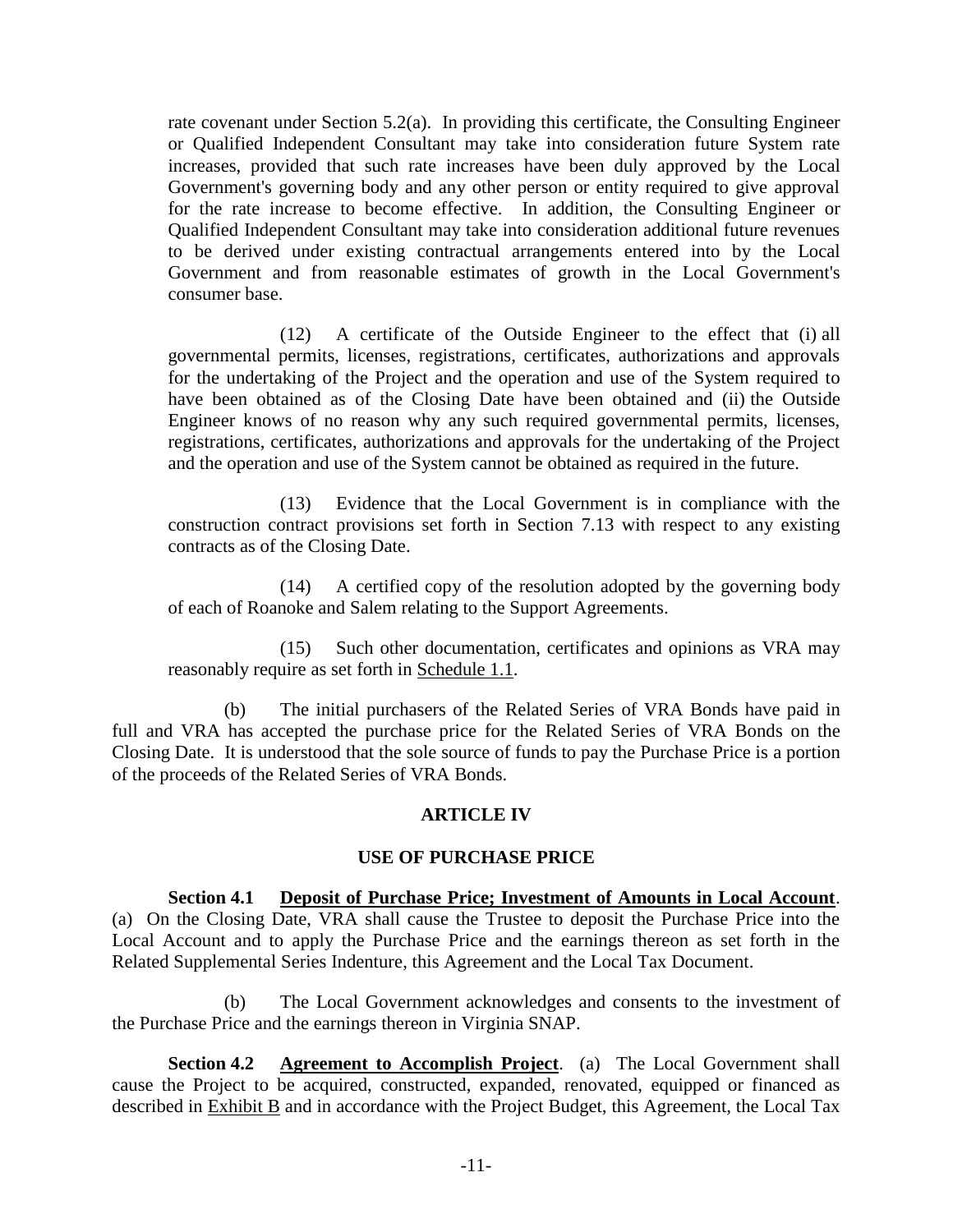rate covenant under Section 5.2(a). In providing this certificate, the Consulting Engineer or Qualified Independent Consultant may take into consideration future System rate increases, provided that such rate increases have been duly approved by the Local Government's governing body and any other person or entity required to give approval for the rate increase to become effective. In addition, the Consulting Engineer or Qualified Independent Consultant may take into consideration additional future revenues to be derived under existing contractual arrangements entered into by the Local Government and from reasonable estimates of growth in the Local Government's consumer base.

(12) A certificate of the Outside Engineer to the effect that (i) all governmental permits, licenses, registrations, certificates, authorizations and approvals for the undertaking of the Project and the operation and use of the System required to have been obtained as of the Closing Date have been obtained and (ii) the Outside Engineer knows of no reason why any such required governmental permits, licenses, registrations, certificates, authorizations and approvals for the undertaking of the Project and the operation and use of the System cannot be obtained as required in the future.

(13) Evidence that the Local Government is in compliance with the construction contract provisions set forth in Section 7.13 with respect to any existing contracts as of the Closing Date.

(14) A certified copy of the resolution adopted by the governing body of each of Roanoke and Salem relating to the Support Agreements.

(15) Such other documentation, certificates and opinions as VRA may reasonably require as set forth in Schedule 1.1.

(b) The initial purchasers of the Related Series of VRA Bonds have paid in full and VRA has accepted the purchase price for the Related Series of VRA Bonds on the Closing Date. It is understood that the sole source of funds to pay the Purchase Price is a portion of the proceeds of the Related Series of VRA Bonds.

### **ARTICLE IV**

### **USE OF PURCHASE PRICE**

**Section 4.1 Deposit of Purchase Price; Investment of Amounts in Local Account**. (a) On the Closing Date, VRA shall cause the Trustee to deposit the Purchase Price into the Local Account and to apply the Purchase Price and the earnings thereon as set forth in the Related Supplemental Series Indenture, this Agreement and the Local Tax Document.

(b) The Local Government acknowledges and consents to the investment of the Purchase Price and the earnings thereon in Virginia SNAP.

**Section 4.2 Agreement to Accomplish Project**. (a) The Local Government shall cause the Project to be acquired, constructed, expanded, renovated, equipped or financed as described in Exhibit B and in accordance with the Project Budget, this Agreement, the Local Tax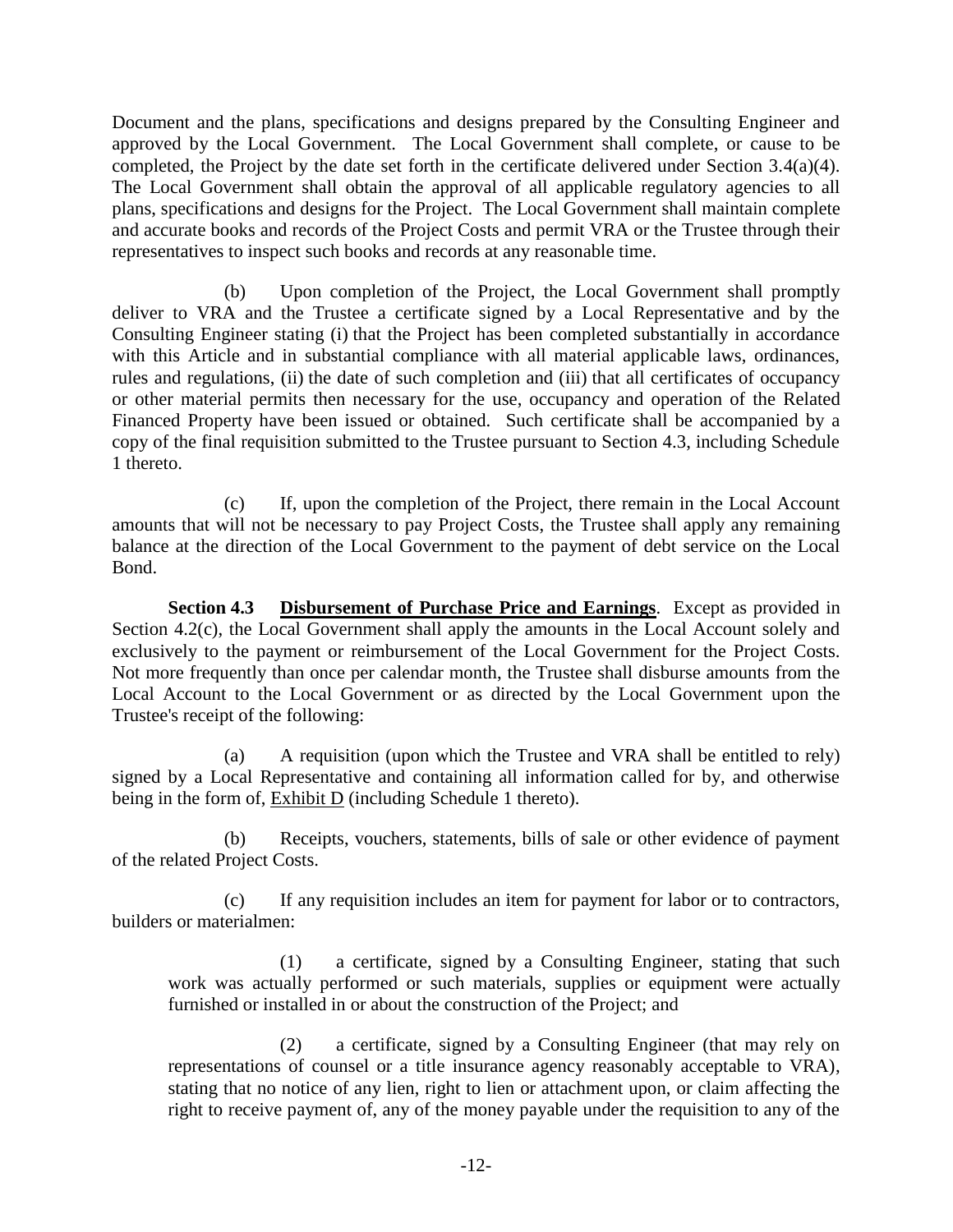Document and the plans, specifications and designs prepared by the Consulting Engineer and approved by the Local Government. The Local Government shall complete, or cause to be completed, the Project by the date set forth in the certificate delivered under Section 3.4(a)(4). The Local Government shall obtain the approval of all applicable regulatory agencies to all plans, specifications and designs for the Project. The Local Government shall maintain complete and accurate books and records of the Project Costs and permit VRA or the Trustee through their representatives to inspect such books and records at any reasonable time.

(b) Upon completion of the Project, the Local Government shall promptly deliver to VRA and the Trustee a certificate signed by a Local Representative and by the Consulting Engineer stating (i) that the Project has been completed substantially in accordance with this Article and in substantial compliance with all material applicable laws, ordinances, rules and regulations, (ii) the date of such completion and (iii) that all certificates of occupancy or other material permits then necessary for the use, occupancy and operation of the Related Financed Property have been issued or obtained. Such certificate shall be accompanied by a copy of the final requisition submitted to the Trustee pursuant to Section 4.3, including Schedule 1 thereto.

(c) If, upon the completion of the Project, there remain in the Local Account amounts that will not be necessary to pay Project Costs, the Trustee shall apply any remaining balance at the direction of the Local Government to the payment of debt service on the Local Bond.

**Section 4.3 Disbursement of Purchase Price and Earnings**. Except as provided in Section 4.2(c), the Local Government shall apply the amounts in the Local Account solely and exclusively to the payment or reimbursement of the Local Government for the Project Costs. Not more frequently than once per calendar month, the Trustee shall disburse amounts from the Local Account to the Local Government or as directed by the Local Government upon the Trustee's receipt of the following:

(a) A requisition (upon which the Trustee and VRA shall be entitled to rely) signed by a Local Representative and containing all information called for by, and otherwise being in the form of, Exhibit D (including Schedule 1 thereto).

(b) Receipts, vouchers, statements, bills of sale or other evidence of payment of the related Project Costs.

(c) If any requisition includes an item for payment for labor or to contractors, builders or materialmen:

(1) a certificate, signed by a Consulting Engineer, stating that such work was actually performed or such materials, supplies or equipment were actually furnished or installed in or about the construction of the Project; and

(2) a certificate, signed by a Consulting Engineer (that may rely on representations of counsel or a title insurance agency reasonably acceptable to VRA), stating that no notice of any lien, right to lien or attachment upon, or claim affecting the right to receive payment of, any of the money payable under the requisition to any of the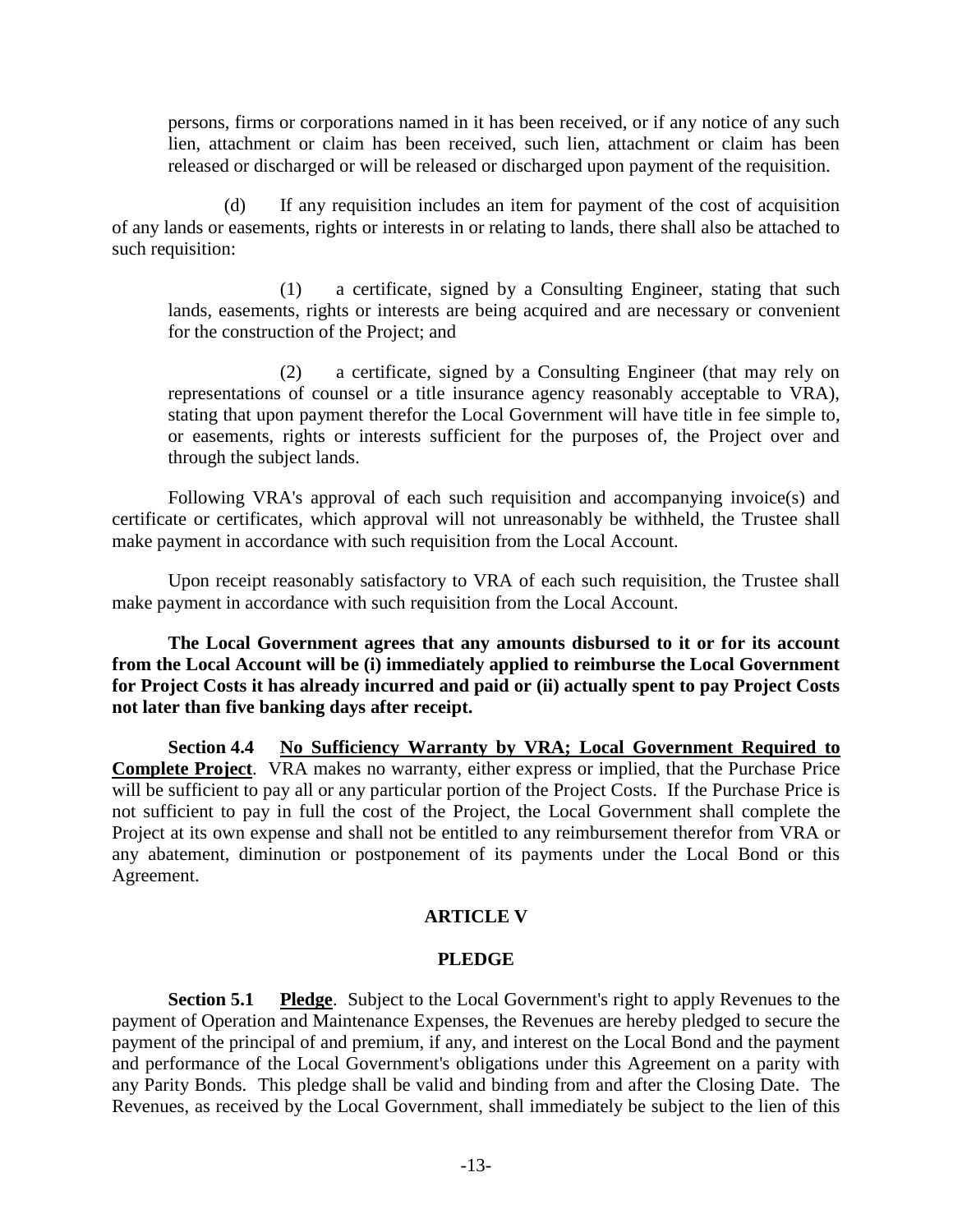persons, firms or corporations named in it has been received, or if any notice of any such lien, attachment or claim has been received, such lien, attachment or claim has been released or discharged or will be released or discharged upon payment of the requisition.

(d) If any requisition includes an item for payment of the cost of acquisition of any lands or easements, rights or interests in or relating to lands, there shall also be attached to such requisition:

(1) a certificate, signed by a Consulting Engineer, stating that such lands, easements, rights or interests are being acquired and are necessary or convenient for the construction of the Project; and

(2) a certificate, signed by a Consulting Engineer (that may rely on representations of counsel or a title insurance agency reasonably acceptable to VRA), stating that upon payment therefor the Local Government will have title in fee simple to, or easements, rights or interests sufficient for the purposes of, the Project over and through the subject lands.

Following VRA's approval of each such requisition and accompanying invoice(s) and certificate or certificates, which approval will not unreasonably be withheld, the Trustee shall make payment in accordance with such requisition from the Local Account.

Upon receipt reasonably satisfactory to VRA of each such requisition, the Trustee shall make payment in accordance with such requisition from the Local Account.

**The Local Government agrees that any amounts disbursed to it or for its account from the Local Account will be (i) immediately applied to reimburse the Local Government for Project Costs it has already incurred and paid or (ii) actually spent to pay Project Costs not later than five banking days after receipt.**

**Section 4.4 No Sufficiency Warranty by VRA; Local Government Required to Complete Project**. VRA makes no warranty, either express or implied, that the Purchase Price will be sufficient to pay all or any particular portion of the Project Costs. If the Purchase Price is not sufficient to pay in full the cost of the Project, the Local Government shall complete the Project at its own expense and shall not be entitled to any reimbursement therefor from VRA or any abatement, diminution or postponement of its payments under the Local Bond or this Agreement.

## **ARTICLE V**

### **PLEDGE**

**Section 5.1 Pledge**. Subject to the Local Government's right to apply Revenues to the payment of Operation and Maintenance Expenses, the Revenues are hereby pledged to secure the payment of the principal of and premium, if any, and interest on the Local Bond and the payment and performance of the Local Government's obligations under this Agreement on a parity with any Parity Bonds. This pledge shall be valid and binding from and after the Closing Date. The Revenues, as received by the Local Government, shall immediately be subject to the lien of this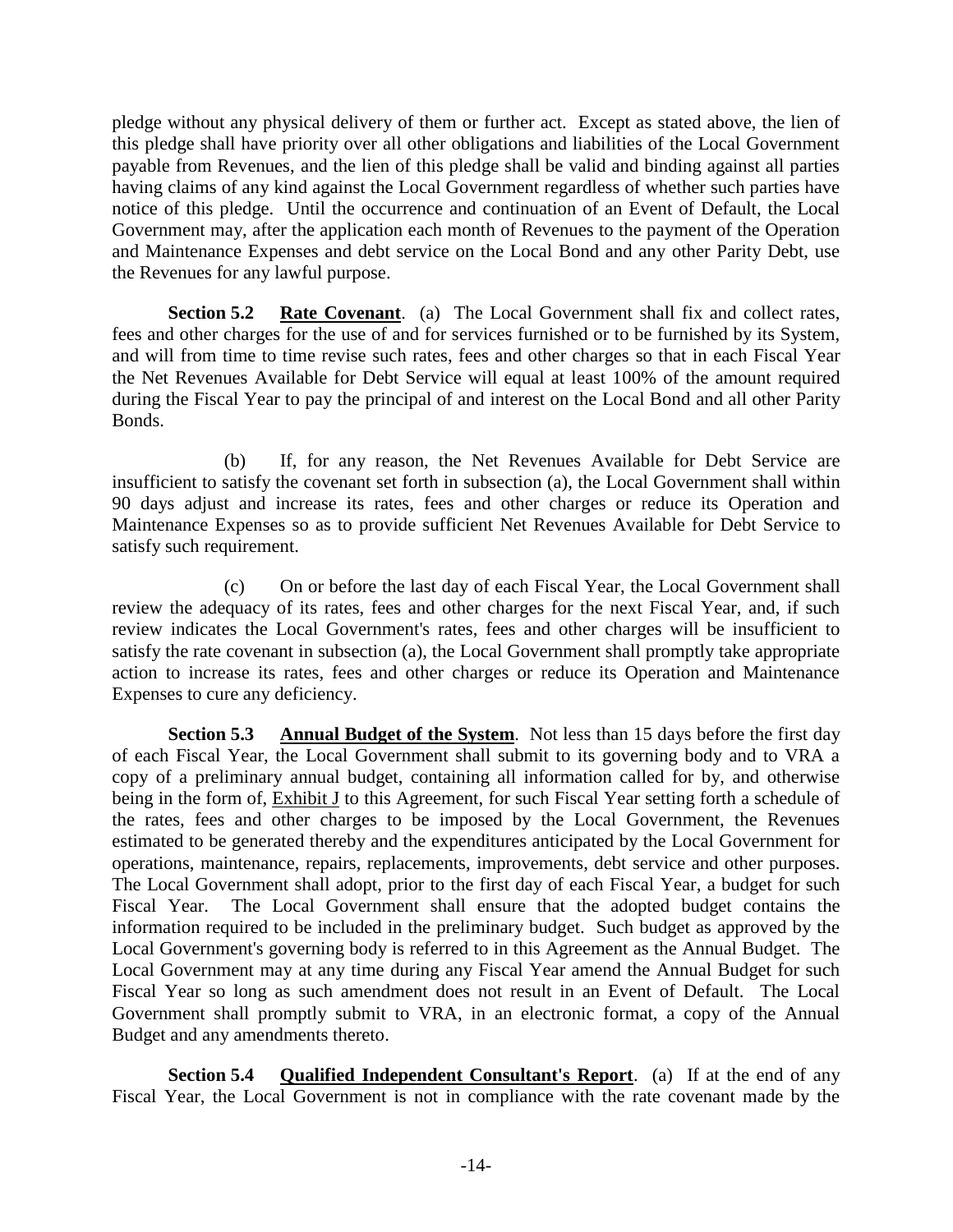pledge without any physical delivery of them or further act. Except as stated above, the lien of this pledge shall have priority over all other obligations and liabilities of the Local Government payable from Revenues, and the lien of this pledge shall be valid and binding against all parties having claims of any kind against the Local Government regardless of whether such parties have notice of this pledge. Until the occurrence and continuation of an Event of Default, the Local Government may, after the application each month of Revenues to the payment of the Operation and Maintenance Expenses and debt service on the Local Bond and any other Parity Debt, use the Revenues for any lawful purpose.

**Section 5.2 Rate Covenant**. (a) The Local Government shall fix and collect rates, fees and other charges for the use of and for services furnished or to be furnished by its System, and will from time to time revise such rates, fees and other charges so that in each Fiscal Year the Net Revenues Available for Debt Service will equal at least 100% of the amount required during the Fiscal Year to pay the principal of and interest on the Local Bond and all other Parity Bonds.

(b) If, for any reason, the Net Revenues Available for Debt Service are insufficient to satisfy the covenant set forth in subsection (a), the Local Government shall within 90 days adjust and increase its rates, fees and other charges or reduce its Operation and Maintenance Expenses so as to provide sufficient Net Revenues Available for Debt Service to satisfy such requirement.

(c) On or before the last day of each Fiscal Year, the Local Government shall review the adequacy of its rates, fees and other charges for the next Fiscal Year, and, if such review indicates the Local Government's rates, fees and other charges will be insufficient to satisfy the rate covenant in subsection (a), the Local Government shall promptly take appropriate action to increase its rates, fees and other charges or reduce its Operation and Maintenance Expenses to cure any deficiency.

**Section 5.3 Annual Budget of the System**. Not less than 15 days before the first day of each Fiscal Year, the Local Government shall submit to its governing body and to VRA a copy of a preliminary annual budget, containing all information called for by, and otherwise being in the form of, Exhibit J to this Agreement, for such Fiscal Year setting forth a schedule of the rates, fees and other charges to be imposed by the Local Government, the Revenues estimated to be generated thereby and the expenditures anticipated by the Local Government for operations, maintenance, repairs, replacements, improvements, debt service and other purposes. The Local Government shall adopt, prior to the first day of each Fiscal Year, a budget for such Fiscal Year. The Local Government shall ensure that the adopted budget contains the information required to be included in the preliminary budget. Such budget as approved by the Local Government's governing body is referred to in this Agreement as the Annual Budget. The Local Government may at any time during any Fiscal Year amend the Annual Budget for such Fiscal Year so long as such amendment does not result in an Event of Default. The Local Government shall promptly submit to VRA, in an electronic format, a copy of the Annual Budget and any amendments thereto.

**Section 5.4 Qualified Independent Consultant's Report.** (a) If at the end of any Fiscal Year, the Local Government is not in compliance with the rate covenant made by the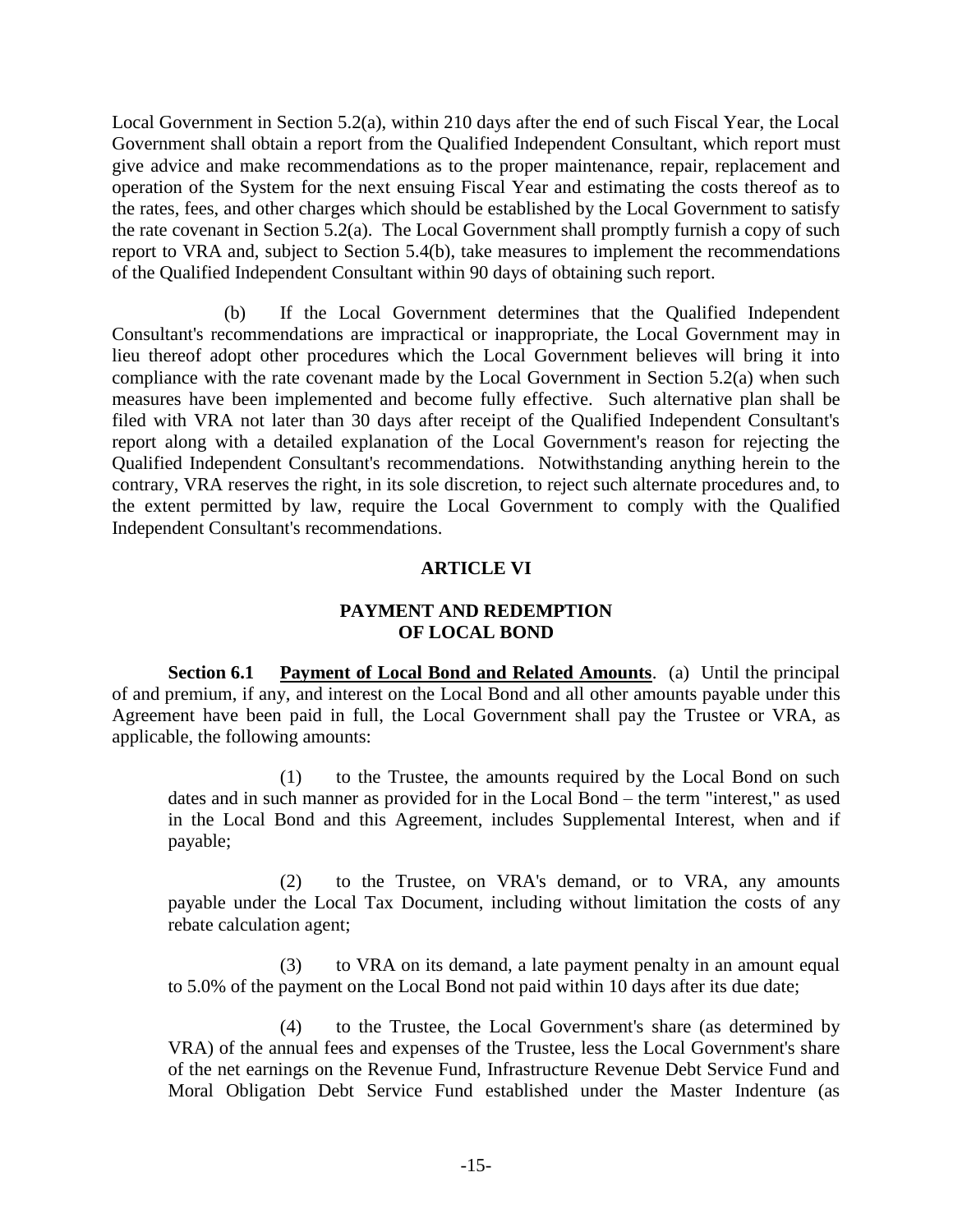Local Government in Section 5.2(a), within 210 days after the end of such Fiscal Year, the Local Government shall obtain a report from the Qualified Independent Consultant, which report must give advice and make recommendations as to the proper maintenance, repair, replacement and operation of the System for the next ensuing Fiscal Year and estimating the costs thereof as to the rates, fees, and other charges which should be established by the Local Government to satisfy the rate covenant in Section 5.2(a). The Local Government shall promptly furnish a copy of such report to VRA and, subject to Section 5.4(b), take measures to implement the recommendations of the Qualified Independent Consultant within 90 days of obtaining such report.

(b) If the Local Government determines that the Qualified Independent Consultant's recommendations are impractical or inappropriate, the Local Government may in lieu thereof adopt other procedures which the Local Government believes will bring it into compliance with the rate covenant made by the Local Government in Section 5.2(a) when such measures have been implemented and become fully effective. Such alternative plan shall be filed with VRA not later than 30 days after receipt of the Qualified Independent Consultant's report along with a detailed explanation of the Local Government's reason for rejecting the Qualified Independent Consultant's recommendations. Notwithstanding anything herein to the contrary, VRA reserves the right, in its sole discretion, to reject such alternate procedures and, to the extent permitted by law, require the Local Government to comply with the Qualified Independent Consultant's recommendations.

## **ARTICLE VI**

## **PAYMENT AND REDEMPTION OF LOCAL BOND**

**Section 6.1 Payment of Local Bond and Related Amounts**. (a) Until the principal of and premium, if any, and interest on the Local Bond and all other amounts payable under this Agreement have been paid in full, the Local Government shall pay the Trustee or VRA, as applicable, the following amounts:

(1) to the Trustee, the amounts required by the Local Bond on such dates and in such manner as provided for in the Local Bond – the term "interest," as used in the Local Bond and this Agreement, includes Supplemental Interest, when and if payable;

(2) to the Trustee, on VRA's demand, or to VRA, any amounts payable under the Local Tax Document, including without limitation the costs of any rebate calculation agent;

(3) to VRA on its demand, a late payment penalty in an amount equal to 5.0% of the payment on the Local Bond not paid within 10 days after its due date;

(4) to the Trustee, the Local Government's share (as determined by VRA) of the annual fees and expenses of the Trustee, less the Local Government's share of the net earnings on the Revenue Fund, Infrastructure Revenue Debt Service Fund and Moral Obligation Debt Service Fund established under the Master Indenture (as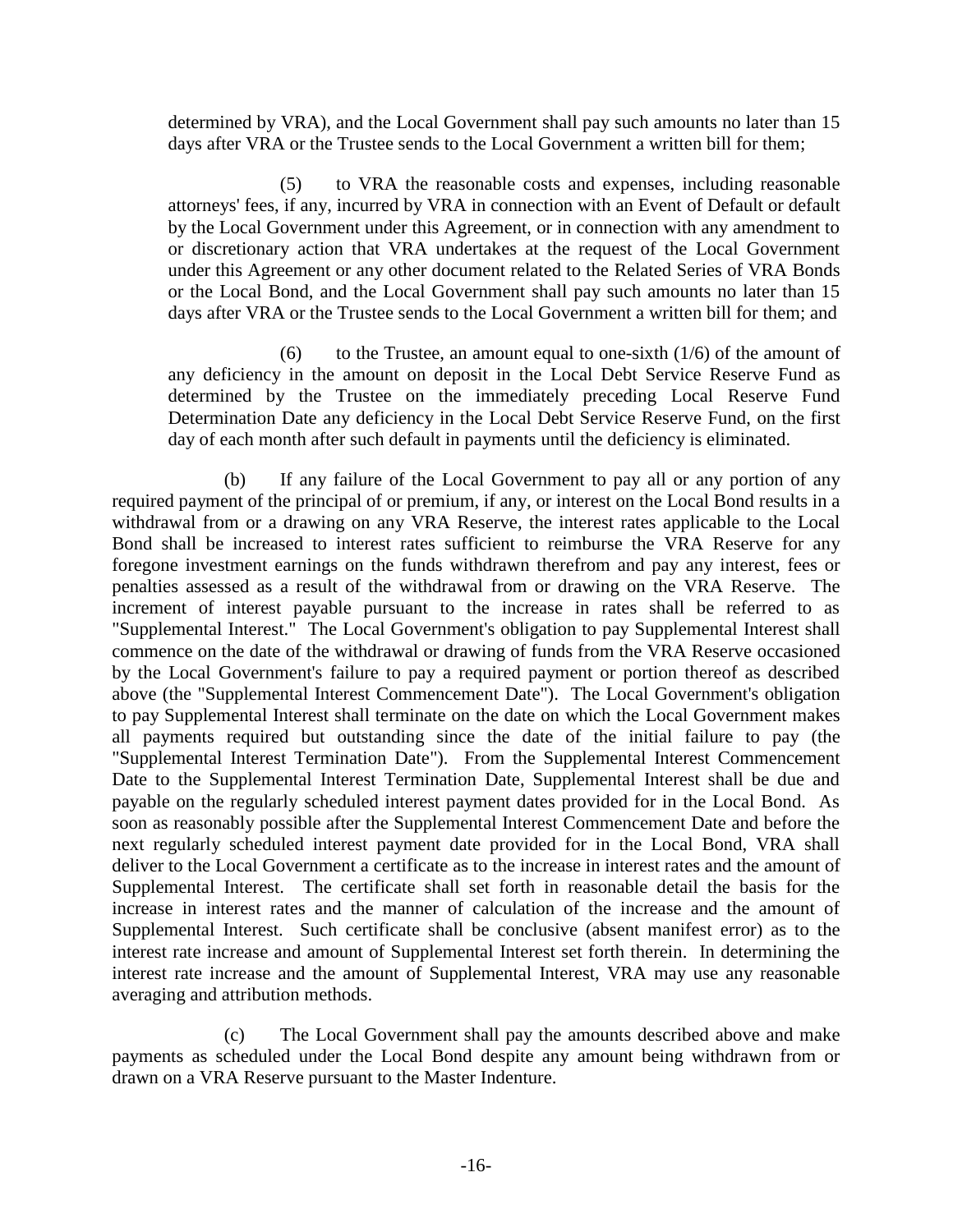determined by VRA), and the Local Government shall pay such amounts no later than 15 days after VRA or the Trustee sends to the Local Government a written bill for them;

(5) to VRA the reasonable costs and expenses, including reasonable attorneys' fees, if any, incurred by VRA in connection with an Event of Default or default by the Local Government under this Agreement, or in connection with any amendment to or discretionary action that VRA undertakes at the request of the Local Government under this Agreement or any other document related to the Related Series of VRA Bonds or the Local Bond, and the Local Government shall pay such amounts no later than 15 days after VRA or the Trustee sends to the Local Government a written bill for them; and

(6) to the Trustee, an amount equal to one-sixth  $(1/6)$  of the amount of any deficiency in the amount on deposit in the Local Debt Service Reserve Fund as determined by the Trustee on the immediately preceding Local Reserve Fund Determination Date any deficiency in the Local Debt Service Reserve Fund, on the first day of each month after such default in payments until the deficiency is eliminated.

(b) If any failure of the Local Government to pay all or any portion of any required payment of the principal of or premium, if any, or interest on the Local Bond results in a withdrawal from or a drawing on any VRA Reserve, the interest rates applicable to the Local Bond shall be increased to interest rates sufficient to reimburse the VRA Reserve for any foregone investment earnings on the funds withdrawn therefrom and pay any interest, fees or penalties assessed as a result of the withdrawal from or drawing on the VRA Reserve. The increment of interest payable pursuant to the increase in rates shall be referred to as "Supplemental Interest." The Local Government's obligation to pay Supplemental Interest shall commence on the date of the withdrawal or drawing of funds from the VRA Reserve occasioned by the Local Government's failure to pay a required payment or portion thereof as described above (the "Supplemental Interest Commencement Date"). The Local Government's obligation to pay Supplemental Interest shall terminate on the date on which the Local Government makes all payments required but outstanding since the date of the initial failure to pay (the "Supplemental Interest Termination Date"). From the Supplemental Interest Commencement Date to the Supplemental Interest Termination Date, Supplemental Interest shall be due and payable on the regularly scheduled interest payment dates provided for in the Local Bond. As soon as reasonably possible after the Supplemental Interest Commencement Date and before the next regularly scheduled interest payment date provided for in the Local Bond, VRA shall deliver to the Local Government a certificate as to the increase in interest rates and the amount of Supplemental Interest. The certificate shall set forth in reasonable detail the basis for the increase in interest rates and the manner of calculation of the increase and the amount of Supplemental Interest. Such certificate shall be conclusive (absent manifest error) as to the interest rate increase and amount of Supplemental Interest set forth therein. In determining the interest rate increase and the amount of Supplemental Interest, VRA may use any reasonable averaging and attribution methods.

(c) The Local Government shall pay the amounts described above and make payments as scheduled under the Local Bond despite any amount being withdrawn from or drawn on a VRA Reserve pursuant to the Master Indenture.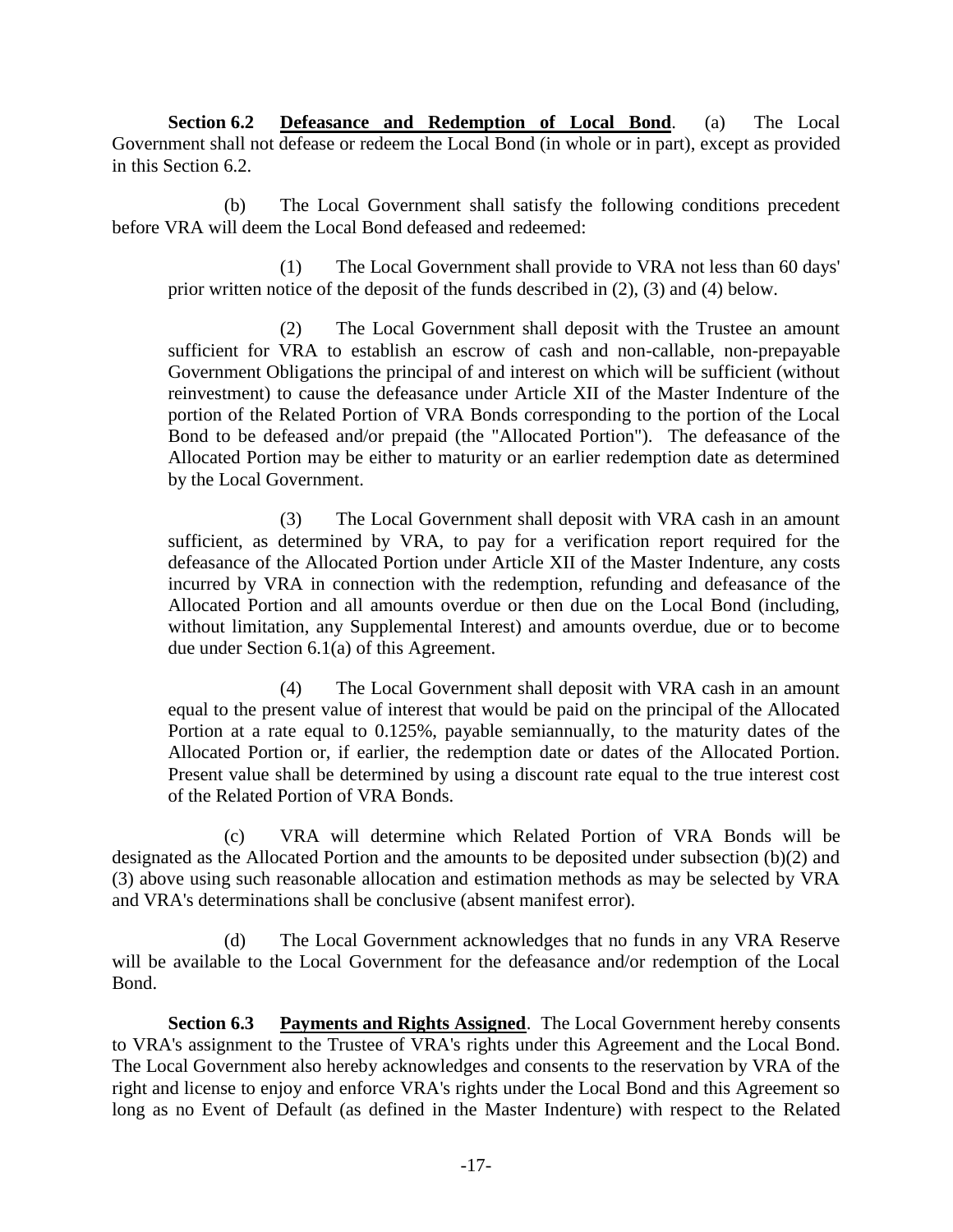**Section 6.2 Defeasance and Redemption of Local Bond**. (a) The Local Government shall not defease or redeem the Local Bond (in whole or in part), except as provided in this Section 6.2.

(b) The Local Government shall satisfy the following conditions precedent before VRA will deem the Local Bond defeased and redeemed:

(1) The Local Government shall provide to VRA not less than 60 days' prior written notice of the deposit of the funds described in (2), (3) and (4) below.

(2) The Local Government shall deposit with the Trustee an amount sufficient for VRA to establish an escrow of cash and non-callable, non-prepayable Government Obligations the principal of and interest on which will be sufficient (without reinvestment) to cause the defeasance under Article XII of the Master Indenture of the portion of the Related Portion of VRA Bonds corresponding to the portion of the Local Bond to be defeased and/or prepaid (the "Allocated Portion"). The defeasance of the Allocated Portion may be either to maturity or an earlier redemption date as determined by the Local Government.

(3) The Local Government shall deposit with VRA cash in an amount sufficient, as determined by VRA, to pay for a verification report required for the defeasance of the Allocated Portion under Article XII of the Master Indenture, any costs incurred by VRA in connection with the redemption, refunding and defeasance of the Allocated Portion and all amounts overdue or then due on the Local Bond (including, without limitation, any Supplemental Interest) and amounts overdue, due or to become due under Section 6.1(a) of this Agreement.

(4) The Local Government shall deposit with VRA cash in an amount equal to the present value of interest that would be paid on the principal of the Allocated Portion at a rate equal to 0.125%, payable semiannually, to the maturity dates of the Allocated Portion or, if earlier, the redemption date or dates of the Allocated Portion. Present value shall be determined by using a discount rate equal to the true interest cost of the Related Portion of VRA Bonds.

(c) VRA will determine which Related Portion of VRA Bonds will be designated as the Allocated Portion and the amounts to be deposited under subsection (b)(2) and (3) above using such reasonable allocation and estimation methods as may be selected by VRA and VRA's determinations shall be conclusive (absent manifest error).

(d) The Local Government acknowledges that no funds in any VRA Reserve will be available to the Local Government for the defeasance and/or redemption of the Local Bond.

**Section 6.3 Payments and Rights Assigned**. The Local Government hereby consents to VRA's assignment to the Trustee of VRA's rights under this Agreement and the Local Bond. The Local Government also hereby acknowledges and consents to the reservation by VRA of the right and license to enjoy and enforce VRA's rights under the Local Bond and this Agreement so long as no Event of Default (as defined in the Master Indenture) with respect to the Related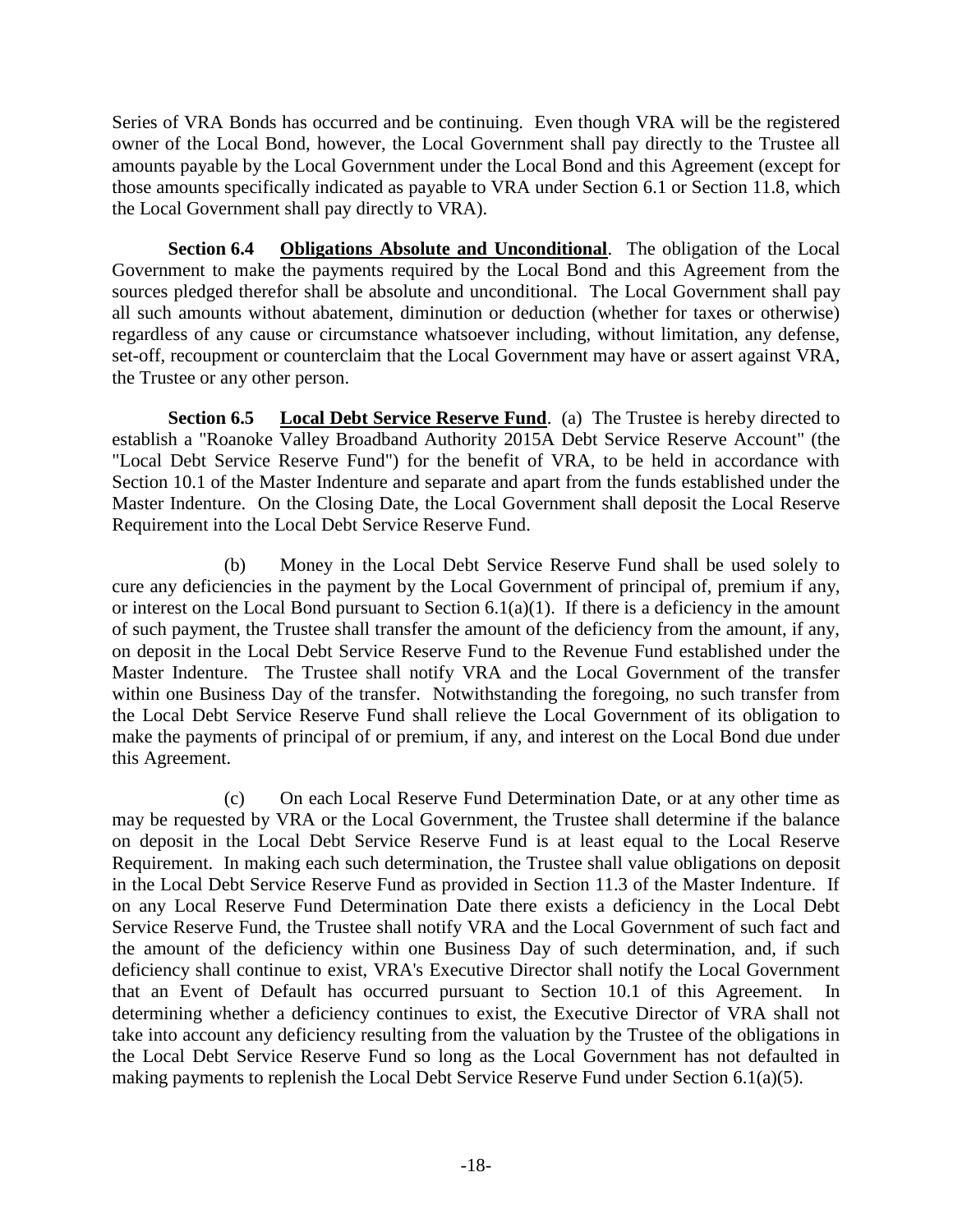Series of VRA Bonds has occurred and be continuing. Even though VRA will be the registered owner of the Local Bond, however, the Local Government shall pay directly to the Trustee all amounts payable by the Local Government under the Local Bond and this Agreement (except for those amounts specifically indicated as payable to VRA under Section 6.1 or Section 11.8, which the Local Government shall pay directly to VRA).

**Section 6.4 Obligations Absolute and Unconditional**. The obligation of the Local Government to make the payments required by the Local Bond and this Agreement from the sources pledged therefor shall be absolute and unconditional. The Local Government shall pay all such amounts without abatement, diminution or deduction (whether for taxes or otherwise) regardless of any cause or circumstance whatsoever including, without limitation, any defense, set-off, recoupment or counterclaim that the Local Government may have or assert against VRA, the Trustee or any other person.

**Section 6.5 Local Debt Service Reserve Fund**. (a) The Trustee is hereby directed to establish a "Roanoke Valley Broadband Authority 2015A Debt Service Reserve Account" (the "Local Debt Service Reserve Fund") for the benefit of VRA, to be held in accordance with Section 10.1 of the Master Indenture and separate and apart from the funds established under the Master Indenture. On the Closing Date, the Local Government shall deposit the Local Reserve Requirement into the Local Debt Service Reserve Fund.

(b) Money in the Local Debt Service Reserve Fund shall be used solely to cure any deficiencies in the payment by the Local Government of principal of, premium if any, or interest on the Local Bond pursuant to Section 6.1(a)(1). If there is a deficiency in the amount of such payment, the Trustee shall transfer the amount of the deficiency from the amount, if any, on deposit in the Local Debt Service Reserve Fund to the Revenue Fund established under the Master Indenture. The Trustee shall notify VRA and the Local Government of the transfer within one Business Day of the transfer. Notwithstanding the foregoing, no such transfer from the Local Debt Service Reserve Fund shall relieve the Local Government of its obligation to make the payments of principal of or premium, if any, and interest on the Local Bond due under this Agreement.

(c) On each Local Reserve Fund Determination Date, or at any other time as may be requested by VRA or the Local Government, the Trustee shall determine if the balance on deposit in the Local Debt Service Reserve Fund is at least equal to the Local Reserve Requirement. In making each such determination, the Trustee shall value obligations on deposit in the Local Debt Service Reserve Fund as provided in Section 11.3 of the Master Indenture. If on any Local Reserve Fund Determination Date there exists a deficiency in the Local Debt Service Reserve Fund, the Trustee shall notify VRA and the Local Government of such fact and the amount of the deficiency within one Business Day of such determination, and, if such deficiency shall continue to exist, VRA's Executive Director shall notify the Local Government that an Event of Default has occurred pursuant to Section 10.1 of this Agreement. In determining whether a deficiency continues to exist, the Executive Director of VRA shall not take into account any deficiency resulting from the valuation by the Trustee of the obligations in the Local Debt Service Reserve Fund so long as the Local Government has not defaulted in making payments to replenish the Local Debt Service Reserve Fund under Section 6.1(a)(5).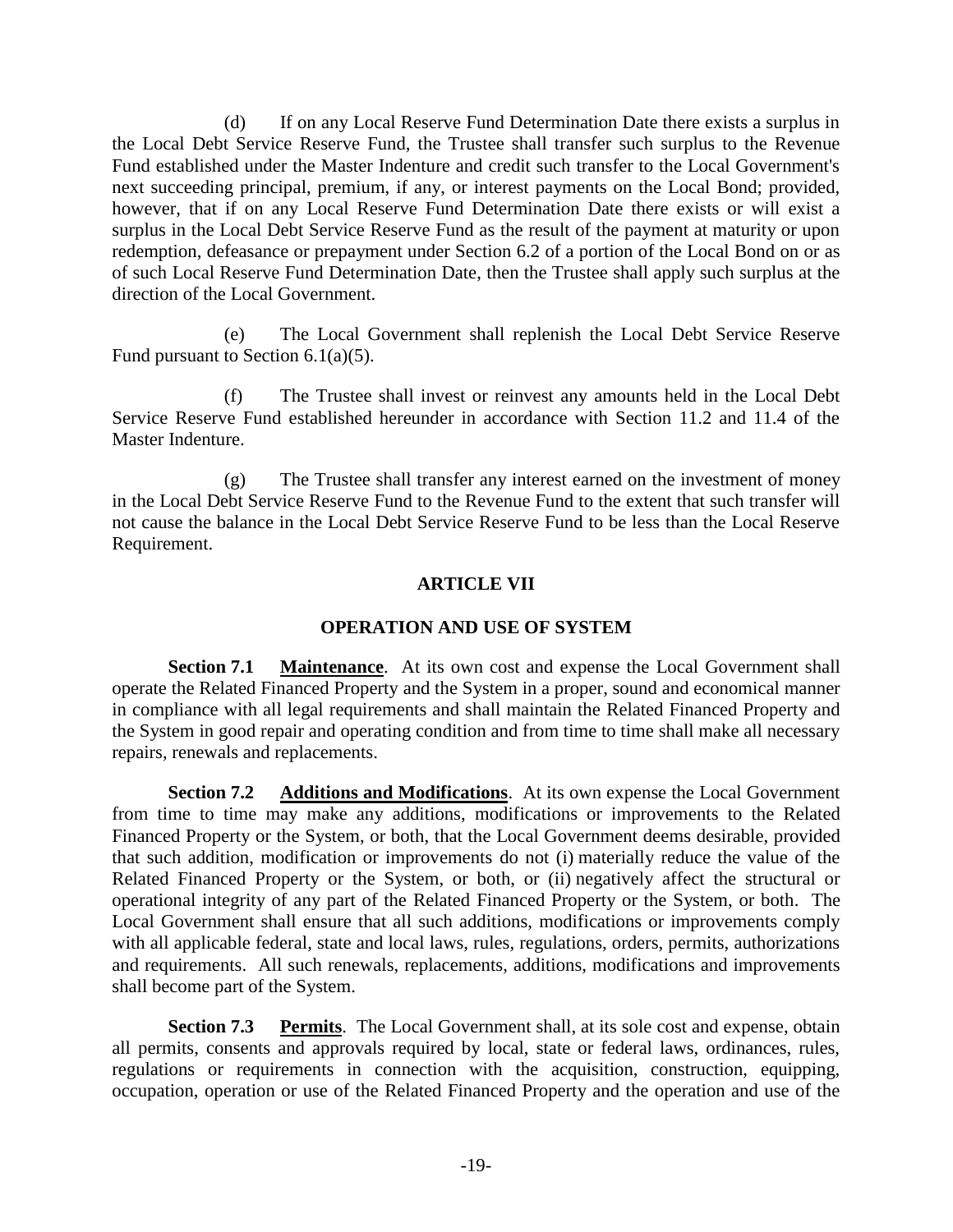(d) If on any Local Reserve Fund Determination Date there exists a surplus in the Local Debt Service Reserve Fund, the Trustee shall transfer such surplus to the Revenue Fund established under the Master Indenture and credit such transfer to the Local Government's next succeeding principal, premium, if any, or interest payments on the Local Bond; provided, however, that if on any Local Reserve Fund Determination Date there exists or will exist a surplus in the Local Debt Service Reserve Fund as the result of the payment at maturity or upon redemption, defeasance or prepayment under Section 6.2 of a portion of the Local Bond on or as of such Local Reserve Fund Determination Date, then the Trustee shall apply such surplus at the direction of the Local Government.

(e) The Local Government shall replenish the Local Debt Service Reserve Fund pursuant to Section 6.1(a)(5).

(f) The Trustee shall invest or reinvest any amounts held in the Local Debt Service Reserve Fund established hereunder in accordance with Section 11.2 and 11.4 of the Master Indenture.

(g) The Trustee shall transfer any interest earned on the investment of money in the Local Debt Service Reserve Fund to the Revenue Fund to the extent that such transfer will not cause the balance in the Local Debt Service Reserve Fund to be less than the Local Reserve Requirement.

## **ARTICLE VII**

## **OPERATION AND USE OF SYSTEM**

**Section 7.1 Maintenance**. At its own cost and expense the Local Government shall operate the Related Financed Property and the System in a proper, sound and economical manner in compliance with all legal requirements and shall maintain the Related Financed Property and the System in good repair and operating condition and from time to time shall make all necessary repairs, renewals and replacements.

**Section 7.2** Additions and Modifications. At its own expense the Local Government from time to time may make any additions, modifications or improvements to the Related Financed Property or the System, or both, that the Local Government deems desirable, provided that such addition, modification or improvements do not (i) materially reduce the value of the Related Financed Property or the System, or both, or (ii) negatively affect the structural or operational integrity of any part of the Related Financed Property or the System, or both. The Local Government shall ensure that all such additions, modifications or improvements comply with all applicable federal, state and local laws, rules, regulations, orders, permits, authorizations and requirements. All such renewals, replacements, additions, modifications and improvements shall become part of the System.

**Section 7.3 Permits**. The Local Government shall, at its sole cost and expense, obtain all permits, consents and approvals required by local, state or federal laws, ordinances, rules, regulations or requirements in connection with the acquisition, construction, equipping, occupation, operation or use of the Related Financed Property and the operation and use of the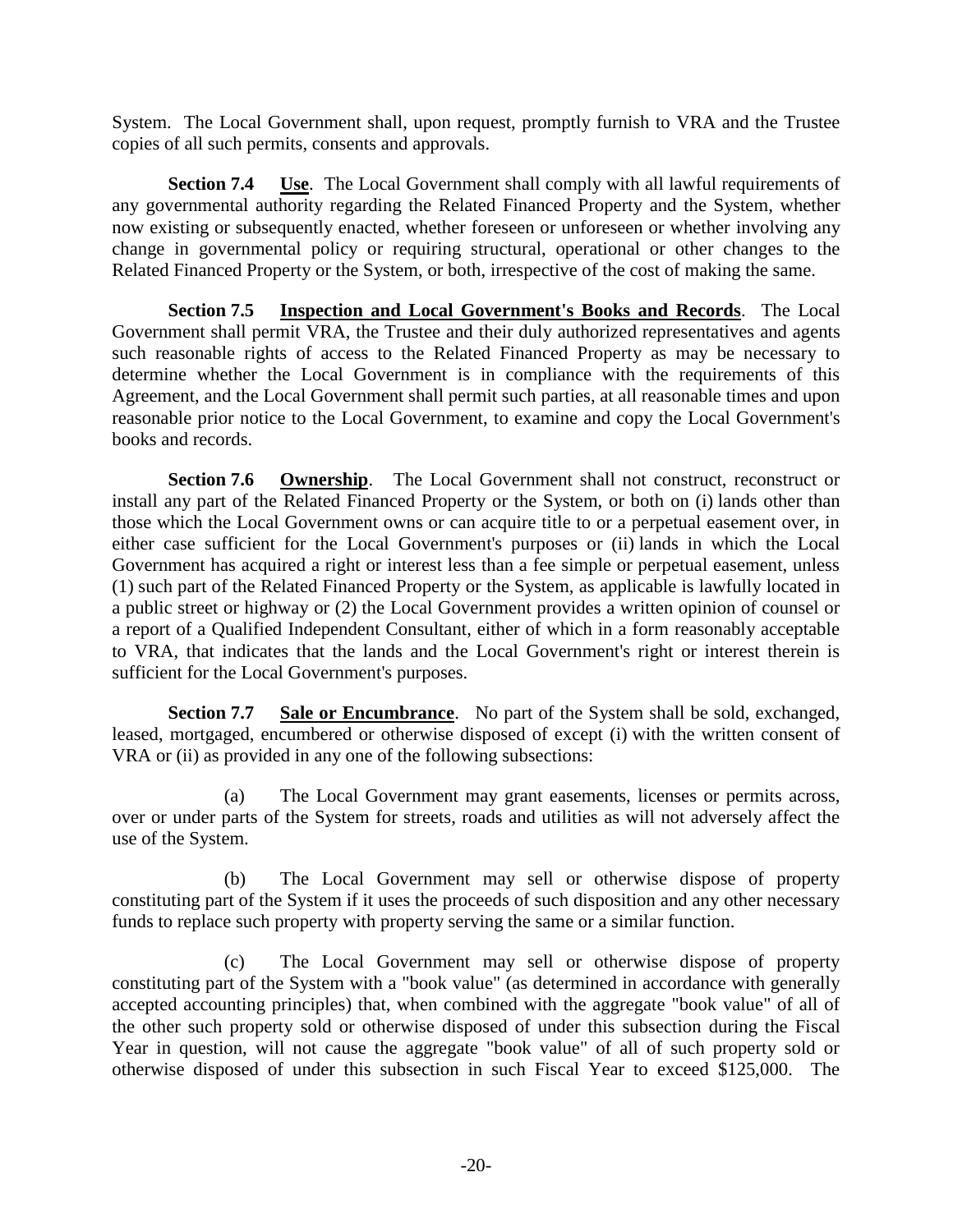System. The Local Government shall, upon request, promptly furnish to VRA and the Trustee copies of all such permits, consents and approvals.

**Section 7.4 Use**. The Local Government shall comply with all lawful requirements of any governmental authority regarding the Related Financed Property and the System, whether now existing or subsequently enacted, whether foreseen or unforeseen or whether involving any change in governmental policy or requiring structural, operational or other changes to the Related Financed Property or the System, or both, irrespective of the cost of making the same.

**Section 7.5 Inspection and Local Government's Books and Records**. The Local Government shall permit VRA, the Trustee and their duly authorized representatives and agents such reasonable rights of access to the Related Financed Property as may be necessary to determine whether the Local Government is in compliance with the requirements of this Agreement, and the Local Government shall permit such parties, at all reasonable times and upon reasonable prior notice to the Local Government, to examine and copy the Local Government's books and records.

**Section 7.6 Ownership**. The Local Government shall not construct, reconstruct or install any part of the Related Financed Property or the System, or both on (i) lands other than those which the Local Government owns or can acquire title to or a perpetual easement over, in either case sufficient for the Local Government's purposes or (ii) lands in which the Local Government has acquired a right or interest less than a fee simple or perpetual easement, unless (1) such part of the Related Financed Property or the System, as applicable is lawfully located in a public street or highway or (2) the Local Government provides a written opinion of counsel or a report of a Qualified Independent Consultant, either of which in a form reasonably acceptable to VRA, that indicates that the lands and the Local Government's right or interest therein is sufficient for the Local Government's purposes.

**Section 7.7 Sale or Encumbrance**. No part of the System shall be sold, exchanged, leased, mortgaged, encumbered or otherwise disposed of except (i) with the written consent of VRA or (ii) as provided in any one of the following subsections:

(a) The Local Government may grant easements, licenses or permits across, over or under parts of the System for streets, roads and utilities as will not adversely affect the use of the System.

(b) The Local Government may sell or otherwise dispose of property constituting part of the System if it uses the proceeds of such disposition and any other necessary funds to replace such property with property serving the same or a similar function.

(c) The Local Government may sell or otherwise dispose of property constituting part of the System with a "book value" (as determined in accordance with generally accepted accounting principles) that, when combined with the aggregate "book value" of all of the other such property sold or otherwise disposed of under this subsection during the Fiscal Year in question, will not cause the aggregate "book value" of all of such property sold or otherwise disposed of under this subsection in such Fiscal Year to exceed \$125,000. The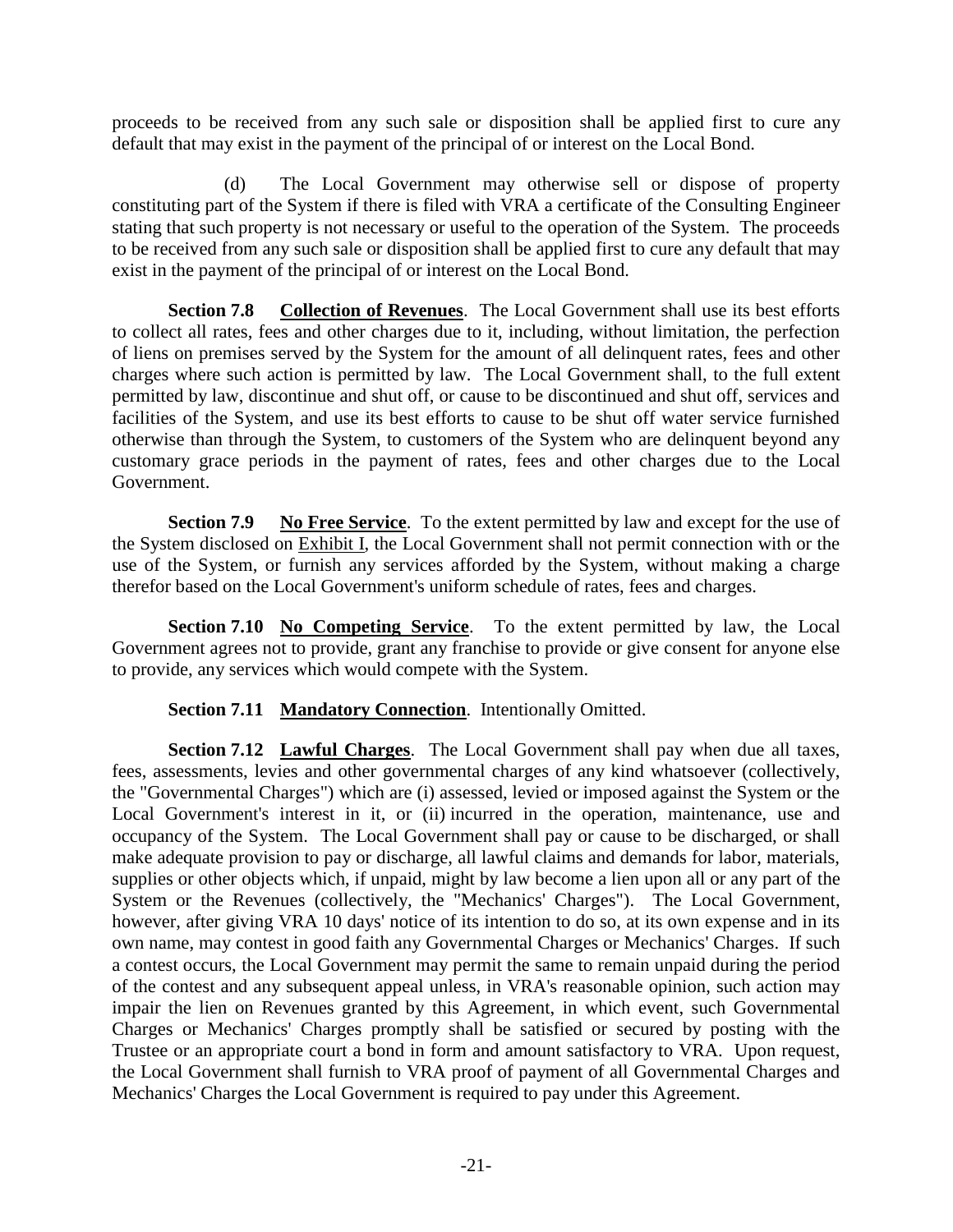proceeds to be received from any such sale or disposition shall be applied first to cure any default that may exist in the payment of the principal of or interest on the Local Bond.

(d) The Local Government may otherwise sell or dispose of property constituting part of the System if there is filed with VRA a certificate of the Consulting Engineer stating that such property is not necessary or useful to the operation of the System. The proceeds to be received from any such sale or disposition shall be applied first to cure any default that may exist in the payment of the principal of or interest on the Local Bond.

**Section 7.8 Collection of Revenues**. The Local Government shall use its best efforts to collect all rates, fees and other charges due to it, including, without limitation, the perfection of liens on premises served by the System for the amount of all delinquent rates, fees and other charges where such action is permitted by law. The Local Government shall, to the full extent permitted by law, discontinue and shut off, or cause to be discontinued and shut off, services and facilities of the System, and use its best efforts to cause to be shut off water service furnished otherwise than through the System, to customers of the System who are delinquent beyond any customary grace periods in the payment of rates, fees and other charges due to the Local Government.

**Section 7.9 No Free Service**. To the extent permitted by law and except for the use of the System disclosed on Exhibit I, the Local Government shall not permit connection with or the use of the System, or furnish any services afforded by the System, without making a charge therefor based on the Local Government's uniform schedule of rates, fees and charges.

**Section 7.10 No Competing Service**. To the extent permitted by law, the Local Government agrees not to provide, grant any franchise to provide or give consent for anyone else to provide, any services which would compete with the System.

## **Section 7.11 Mandatory Connection**. Intentionally Omitted.

**Section 7.12 Lawful Charges**. The Local Government shall pay when due all taxes, fees, assessments, levies and other governmental charges of any kind whatsoever (collectively, the "Governmental Charges") which are (i) assessed, levied or imposed against the System or the Local Government's interest in it, or (ii) incurred in the operation, maintenance, use and occupancy of the System. The Local Government shall pay or cause to be discharged, or shall make adequate provision to pay or discharge, all lawful claims and demands for labor, materials, supplies or other objects which, if unpaid, might by law become a lien upon all or any part of the System or the Revenues (collectively, the "Mechanics' Charges"). The Local Government, however, after giving VRA 10 days' notice of its intention to do so, at its own expense and in its own name, may contest in good faith any Governmental Charges or Mechanics' Charges. If such a contest occurs, the Local Government may permit the same to remain unpaid during the period of the contest and any subsequent appeal unless, in VRA's reasonable opinion, such action may impair the lien on Revenues granted by this Agreement, in which event, such Governmental Charges or Mechanics' Charges promptly shall be satisfied or secured by posting with the Trustee or an appropriate court a bond in form and amount satisfactory to VRA. Upon request, the Local Government shall furnish to VRA proof of payment of all Governmental Charges and Mechanics' Charges the Local Government is required to pay under this Agreement.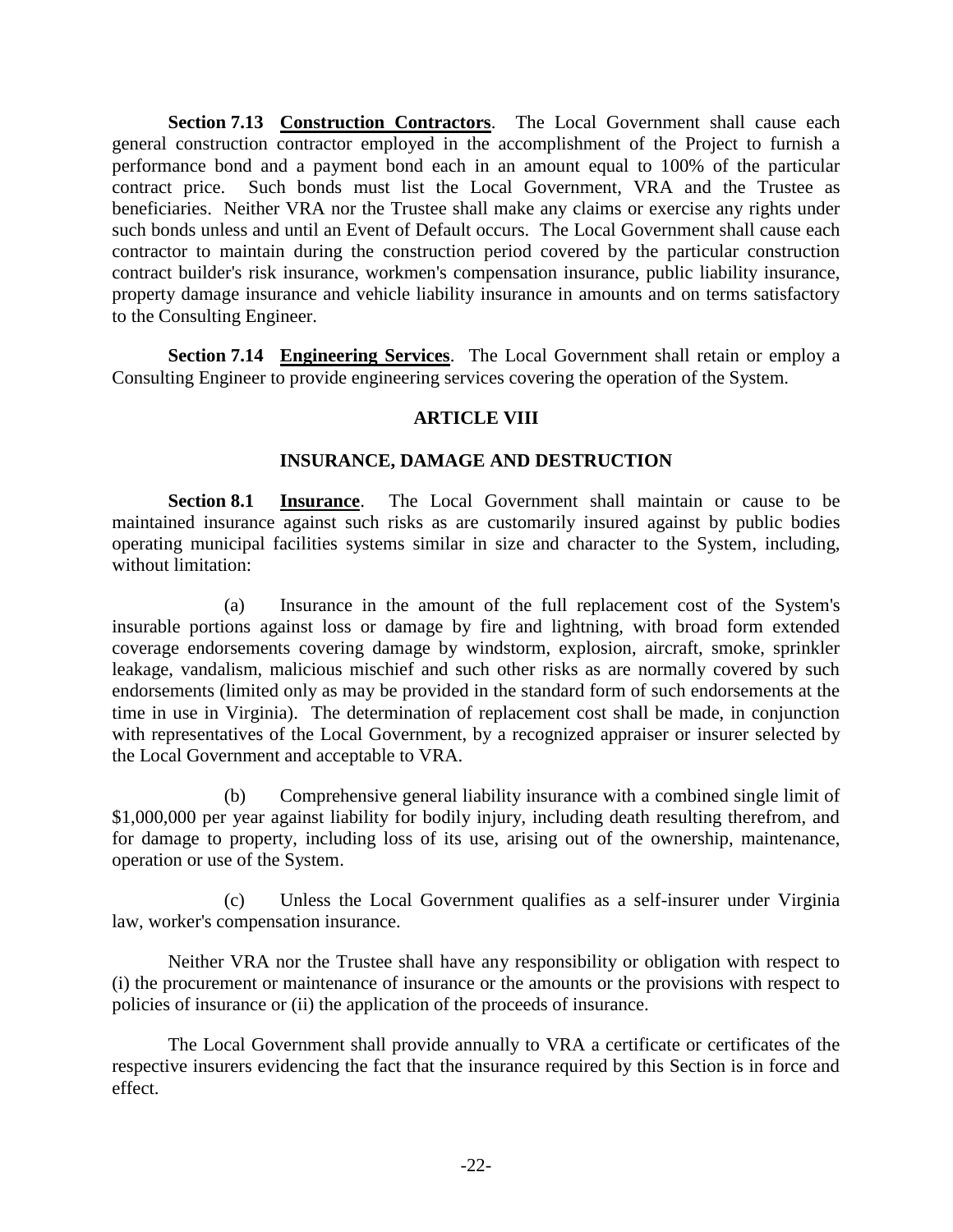**Section 7.13 Construction Contractors**. The Local Government shall cause each general construction contractor employed in the accomplishment of the Project to furnish a performance bond and a payment bond each in an amount equal to 100% of the particular contract price. Such bonds must list the Local Government, VRA and the Trustee as beneficiaries. Neither VRA nor the Trustee shall make any claims or exercise any rights under such bonds unless and until an Event of Default occurs. The Local Government shall cause each contractor to maintain during the construction period covered by the particular construction contract builder's risk insurance, workmen's compensation insurance, public liability insurance, property damage insurance and vehicle liability insurance in amounts and on terms satisfactory to the Consulting Engineer.

**Section 7.14 Engineering Services**. The Local Government shall retain or employ a Consulting Engineer to provide engineering services covering the operation of the System.

### **ARTICLE VIII**

#### **INSURANCE, DAMAGE AND DESTRUCTION**

**Section 8.1 Insurance**. The Local Government shall maintain or cause to be maintained insurance against such risks as are customarily insured against by public bodies operating municipal facilities systems similar in size and character to the System, including, without limitation:

(a) Insurance in the amount of the full replacement cost of the System's insurable portions against loss or damage by fire and lightning, with broad form extended coverage endorsements covering damage by windstorm, explosion, aircraft, smoke, sprinkler leakage, vandalism, malicious mischief and such other risks as are normally covered by such endorsements (limited only as may be provided in the standard form of such endorsements at the time in use in Virginia). The determination of replacement cost shall be made, in conjunction with representatives of the Local Government, by a recognized appraiser or insurer selected by the Local Government and acceptable to VRA.

(b) Comprehensive general liability insurance with a combined single limit of \$1,000,000 per year against liability for bodily injury, including death resulting therefrom, and for damage to property, including loss of its use, arising out of the ownership, maintenance, operation or use of the System.

(c) Unless the Local Government qualifies as a self-insurer under Virginia law, worker's compensation insurance.

Neither VRA nor the Trustee shall have any responsibility or obligation with respect to (i) the procurement or maintenance of insurance or the amounts or the provisions with respect to policies of insurance or (ii) the application of the proceeds of insurance.

The Local Government shall provide annually to VRA a certificate or certificates of the respective insurers evidencing the fact that the insurance required by this Section is in force and effect.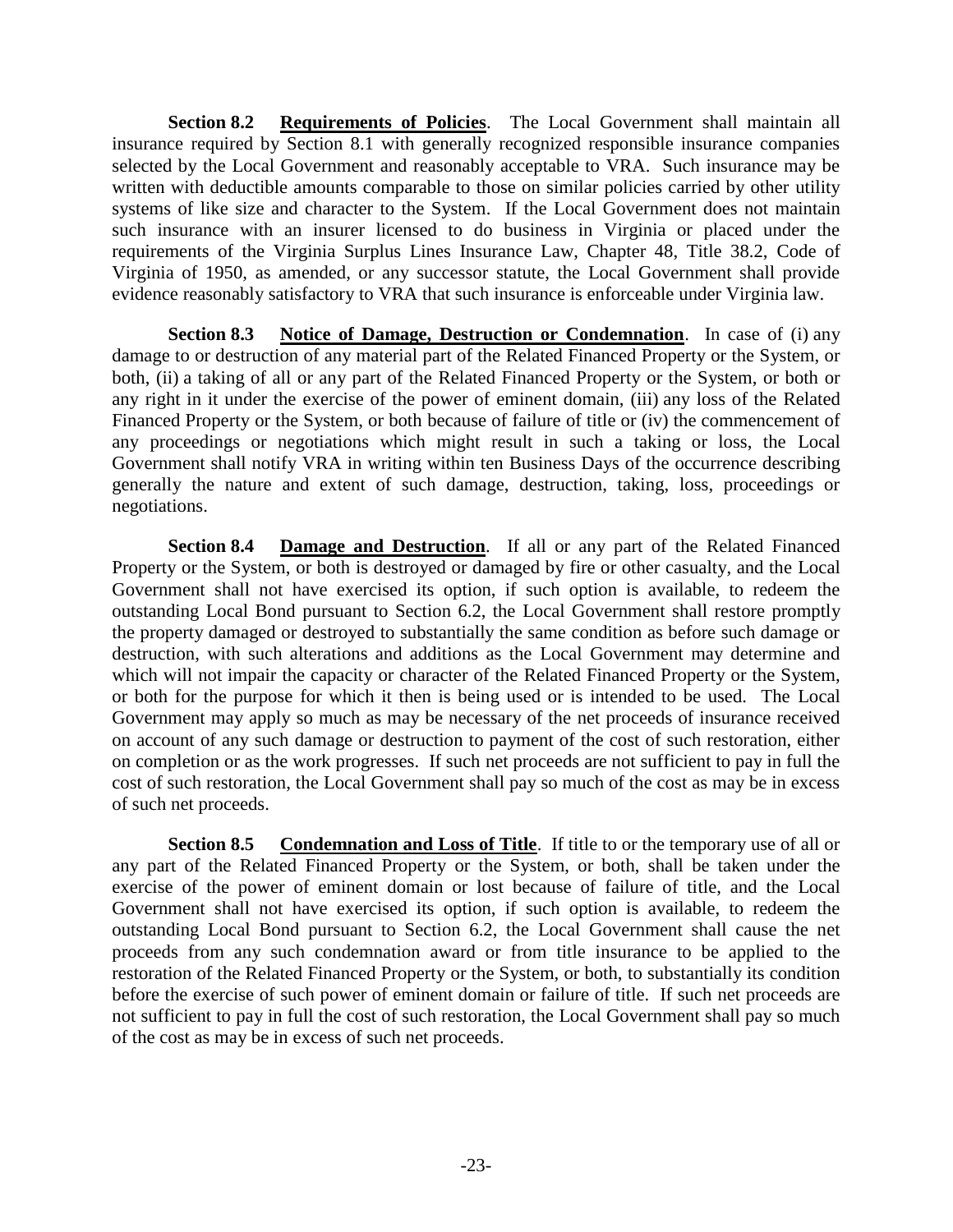**Section 8.2 Requirements of Policies**. The Local Government shall maintain all insurance required by Section 8.1 with generally recognized responsible insurance companies selected by the Local Government and reasonably acceptable to VRA. Such insurance may be written with deductible amounts comparable to those on similar policies carried by other utility systems of like size and character to the System. If the Local Government does not maintain such insurance with an insurer licensed to do business in Virginia or placed under the requirements of the Virginia Surplus Lines Insurance Law, Chapter 48, Title 38.2, Code of Virginia of 1950, as amended, or any successor statute, the Local Government shall provide evidence reasonably satisfactory to VRA that such insurance is enforceable under Virginia law.

**Section 8.3 Notice of Damage, Destruction or Condemnation**. In case of (i) any damage to or destruction of any material part of the Related Financed Property or the System, or both, (ii) a taking of all or any part of the Related Financed Property or the System, or both or any right in it under the exercise of the power of eminent domain, (iii) any loss of the Related Financed Property or the System, or both because of failure of title or (iv) the commencement of any proceedings or negotiations which might result in such a taking or loss, the Local Government shall notify VRA in writing within ten Business Days of the occurrence describing generally the nature and extent of such damage, destruction, taking, loss, proceedings or negotiations.

**Section 8.4 Damage and Destruction**. If all or any part of the Related Financed Property or the System, or both is destroyed or damaged by fire or other casualty, and the Local Government shall not have exercised its option, if such option is available, to redeem the outstanding Local Bond pursuant to Section 6.2, the Local Government shall restore promptly the property damaged or destroyed to substantially the same condition as before such damage or destruction, with such alterations and additions as the Local Government may determine and which will not impair the capacity or character of the Related Financed Property or the System, or both for the purpose for which it then is being used or is intended to be used. The Local Government may apply so much as may be necessary of the net proceeds of insurance received on account of any such damage or destruction to payment of the cost of such restoration, either on completion or as the work progresses. If such net proceeds are not sufficient to pay in full the cost of such restoration, the Local Government shall pay so much of the cost as may be in excess of such net proceeds.

**Section 8.5** Condemnation and Loss of Title. If title to or the temporary use of all or any part of the Related Financed Property or the System, or both, shall be taken under the exercise of the power of eminent domain or lost because of failure of title, and the Local Government shall not have exercised its option, if such option is available, to redeem the outstanding Local Bond pursuant to Section 6.2, the Local Government shall cause the net proceeds from any such condemnation award or from title insurance to be applied to the restoration of the Related Financed Property or the System, or both, to substantially its condition before the exercise of such power of eminent domain or failure of title. If such net proceeds are not sufficient to pay in full the cost of such restoration, the Local Government shall pay so much of the cost as may be in excess of such net proceeds.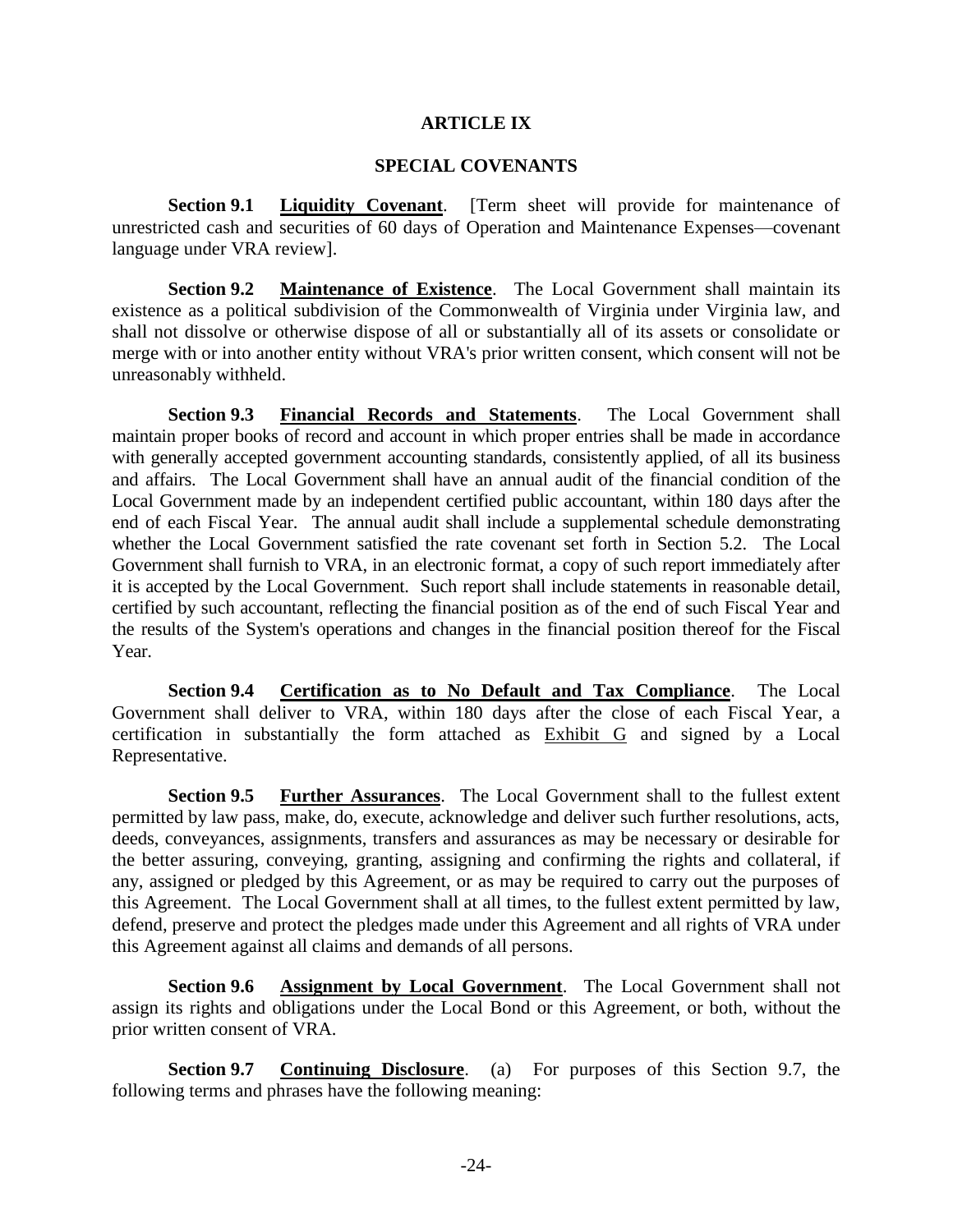#### **ARTICLE IX**

#### **SPECIAL COVENANTS**

**Section 9.1 Liquidity Covenant**. [Term sheet will provide for maintenance of unrestricted cash and securities of 60 days of Operation and Maintenance Expenses—covenant language under VRA review].

**Section 9.2 Maintenance of Existence**. The Local Government shall maintain its existence as a political subdivision of the Commonwealth of Virginia under Virginia law, and shall not dissolve or otherwise dispose of all or substantially all of its assets or consolidate or merge with or into another entity without VRA's prior written consent, which consent will not be unreasonably withheld.

**Section 9.3 Financial Records and Statements**. The Local Government shall maintain proper books of record and account in which proper entries shall be made in accordance with generally accepted government accounting standards, consistently applied, of all its business and affairs. The Local Government shall have an annual audit of the financial condition of the Local Government made by an independent certified public accountant, within 180 days after the end of each Fiscal Year. The annual audit shall include a supplemental schedule demonstrating whether the Local Government satisfied the rate covenant set forth in Section 5.2. The Local Government shall furnish to VRA, in an electronic format, a copy of such report immediately after it is accepted by the Local Government. Such report shall include statements in reasonable detail, certified by such accountant, reflecting the financial position as of the end of such Fiscal Year and the results of the System's operations and changes in the financial position thereof for the Fiscal Year.

**Section 9.4 Certification as to No Default and Tax Compliance**. The Local Government shall deliver to VRA, within 180 days after the close of each Fiscal Year, a certification in substantially the form attached as Exhibit G and signed by a Local Representative.

**Section 9.5 Further Assurances**. The Local Government shall to the fullest extent permitted by law pass, make, do, execute, acknowledge and deliver such further resolutions, acts, deeds, conveyances, assignments, transfers and assurances as may be necessary or desirable for the better assuring, conveying, granting, assigning and confirming the rights and collateral, if any, assigned or pledged by this Agreement, or as may be required to carry out the purposes of this Agreement. The Local Government shall at all times, to the fullest extent permitted by law, defend, preserve and protect the pledges made under this Agreement and all rights of VRA under this Agreement against all claims and demands of all persons.

**Section 9.6 Assignment by Local Government**. The Local Government shall not assign its rights and obligations under the Local Bond or this Agreement, or both, without the prior written consent of VRA.

**Section 9.7 Continuing Disclosure**. (a) For purposes of this Section 9.7, the following terms and phrases have the following meaning: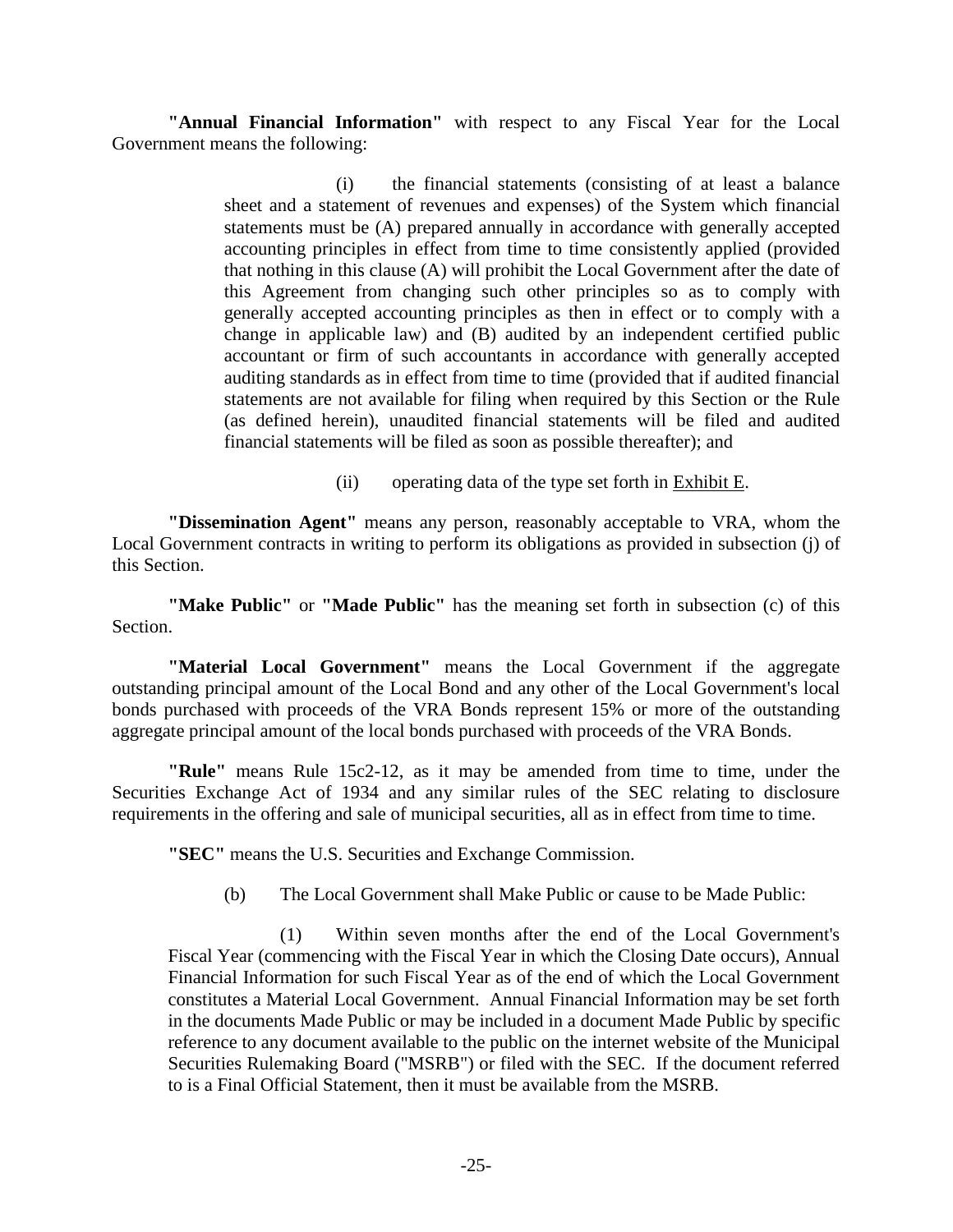**"Annual Financial Information"** with respect to any Fiscal Year for the Local Government means the following:

> (i) the financial statements (consisting of at least a balance sheet and a statement of revenues and expenses) of the System which financial statements must be (A) prepared annually in accordance with generally accepted accounting principles in effect from time to time consistently applied (provided that nothing in this clause (A) will prohibit the Local Government after the date of this Agreement from changing such other principles so as to comply with generally accepted accounting principles as then in effect or to comply with a change in applicable law) and (B) audited by an independent certified public accountant or firm of such accountants in accordance with generally accepted auditing standards as in effect from time to time (provided that if audited financial statements are not available for filing when required by this Section or the Rule (as defined herein), unaudited financial statements will be filed and audited financial statements will be filed as soon as possible thereafter); and

> > (ii) operating data of the type set forth in Exhibit E.

**"Dissemination Agent"** means any person, reasonably acceptable to VRA, whom the Local Government contracts in writing to perform its obligations as provided in subsection (j) of this Section.

**"Make Public"** or **"Made Public"** has the meaning set forth in subsection (c) of this Section.

**"Material Local Government"** means the Local Government if the aggregate outstanding principal amount of the Local Bond and any other of the Local Government's local bonds purchased with proceeds of the VRA Bonds represent 15% or more of the outstanding aggregate principal amount of the local bonds purchased with proceeds of the VRA Bonds.

**"Rule"** means Rule 15c2-12, as it may be amended from time to time, under the Securities Exchange Act of 1934 and any similar rules of the SEC relating to disclosure requirements in the offering and sale of municipal securities, all as in effect from time to time.

**"SEC"** means the U.S. Securities and Exchange Commission.

(b) The Local Government shall Make Public or cause to be Made Public:

(1) Within seven months after the end of the Local Government's Fiscal Year (commencing with the Fiscal Year in which the Closing Date occurs), Annual Financial Information for such Fiscal Year as of the end of which the Local Government constitutes a Material Local Government. Annual Financial Information may be set forth in the documents Made Public or may be included in a document Made Public by specific reference to any document available to the public on the internet website of the Municipal Securities Rulemaking Board ("MSRB") or filed with the SEC. If the document referred to is a Final Official Statement, then it must be available from the MSRB.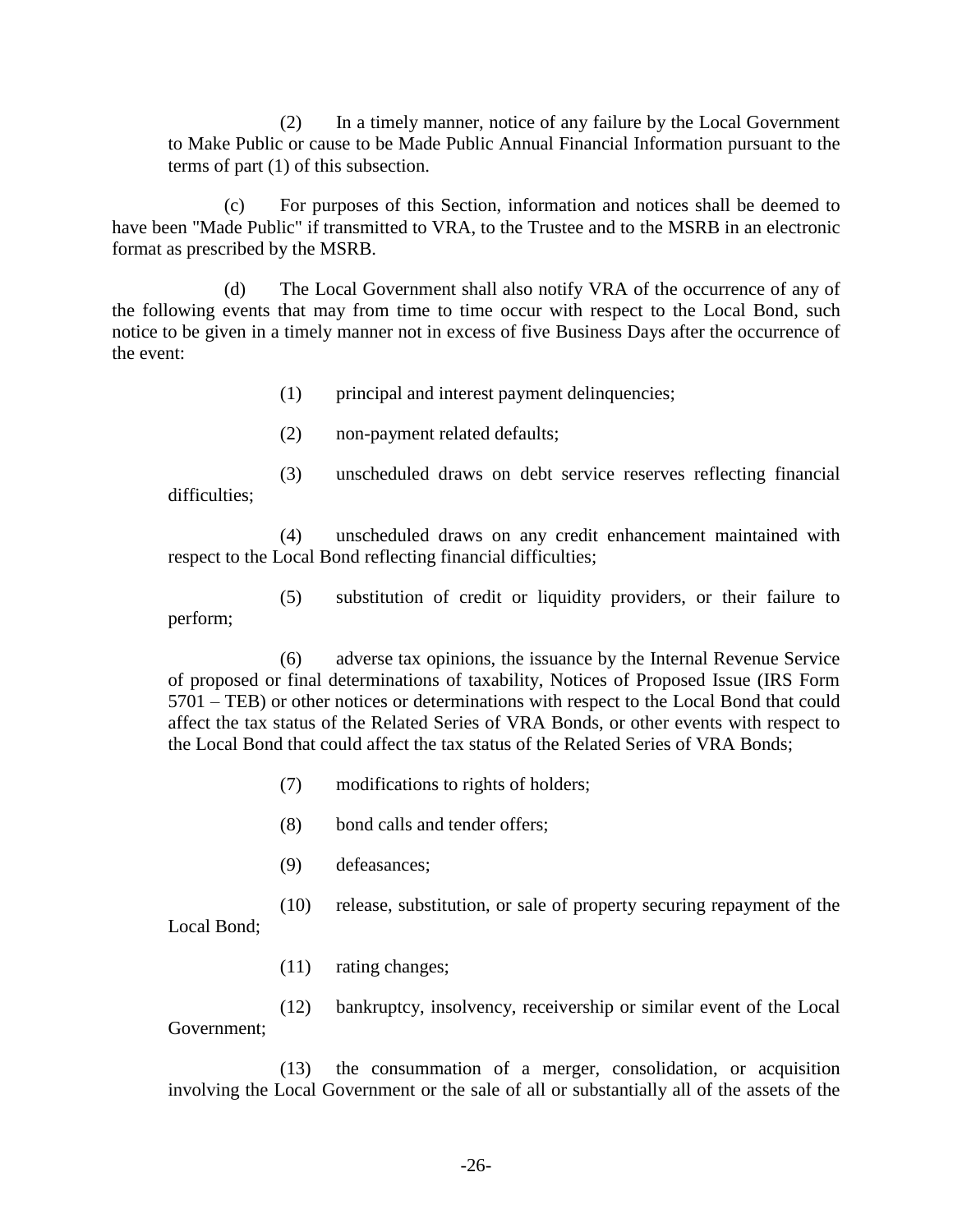(2) In a timely manner, notice of any failure by the Local Government to Make Public or cause to be Made Public Annual Financial Information pursuant to the terms of part (1) of this subsection.

(c) For purposes of this Section, information and notices shall be deemed to have been "Made Public" if transmitted to VRA, to the Trustee and to the MSRB in an electronic format as prescribed by the MSRB.

(d) The Local Government shall also notify VRA of the occurrence of any of the following events that may from time to time occur with respect to the Local Bond, such notice to be given in a timely manner not in excess of five Business Days after the occurrence of the event:

- (1) principal and interest payment delinquencies;
- (2) non-payment related defaults;

(3) unscheduled draws on debt service reserves reflecting financial difficulties;

(4) unscheduled draws on any credit enhancement maintained with respect to the Local Bond reflecting financial difficulties;

(5) substitution of credit or liquidity providers, or their failure to perform;

(6) adverse tax opinions, the issuance by the Internal Revenue Service of proposed or final determinations of taxability, Notices of Proposed Issue (IRS Form 5701 – TEB) or other notices or determinations with respect to the Local Bond that could affect the tax status of the Related Series of VRA Bonds, or other events with respect to the Local Bond that could affect the tax status of the Related Series of VRA Bonds;

- (7) modifications to rights of holders;
- (8) bond calls and tender offers;
- (9) defeasances;

(10) release, substitution, or sale of property securing repayment of the Local Bond;

(11) rating changes;

(12) bankruptcy, insolvency, receivership or similar event of the Local Government;

(13) the consummation of a merger, consolidation, or acquisition involving the Local Government or the sale of all or substantially all of the assets of the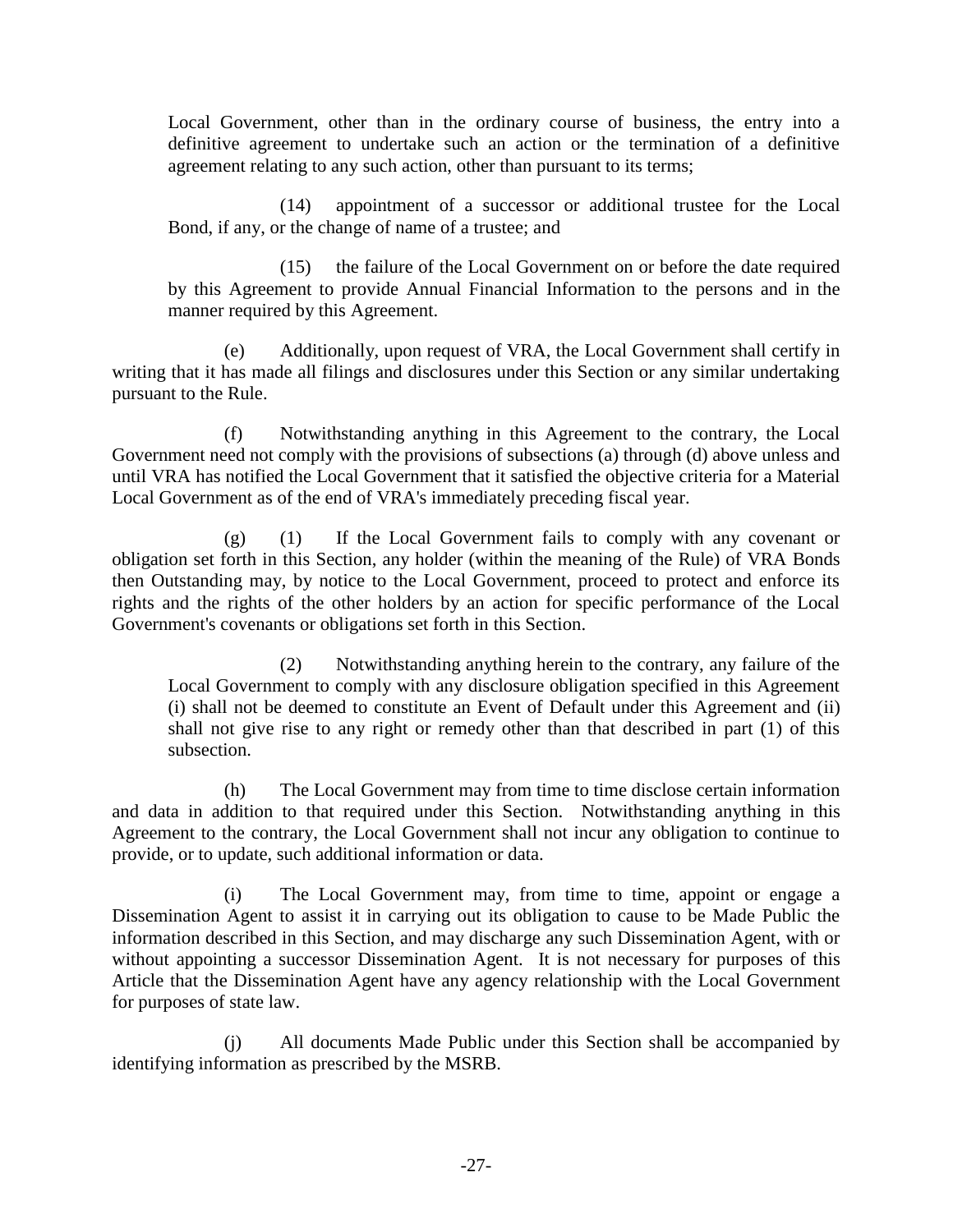Local Government, other than in the ordinary course of business, the entry into a definitive agreement to undertake such an action or the termination of a definitive agreement relating to any such action, other than pursuant to its terms;

(14) appointment of a successor or additional trustee for the Local Bond, if any, or the change of name of a trustee; and

(15) the failure of the Local Government on or before the date required by this Agreement to provide Annual Financial Information to the persons and in the manner required by this Agreement.

(e) Additionally, upon request of VRA, the Local Government shall certify in writing that it has made all filings and disclosures under this Section or any similar undertaking pursuant to the Rule.

(f) Notwithstanding anything in this Agreement to the contrary, the Local Government need not comply with the provisions of subsections (a) through (d) above unless and until VRA has notified the Local Government that it satisfied the objective criteria for a Material Local Government as of the end of VRA's immediately preceding fiscal year.

(g) (1) If the Local Government fails to comply with any covenant or obligation set forth in this Section, any holder (within the meaning of the Rule) of VRA Bonds then Outstanding may, by notice to the Local Government, proceed to protect and enforce its rights and the rights of the other holders by an action for specific performance of the Local Government's covenants or obligations set forth in this Section.

(2) Notwithstanding anything herein to the contrary, any failure of the Local Government to comply with any disclosure obligation specified in this Agreement (i) shall not be deemed to constitute an Event of Default under this Agreement and (ii) shall not give rise to any right or remedy other than that described in part (1) of this subsection.

(h) The Local Government may from time to time disclose certain information and data in addition to that required under this Section. Notwithstanding anything in this Agreement to the contrary, the Local Government shall not incur any obligation to continue to provide, or to update, such additional information or data.

(i) The Local Government may, from time to time, appoint or engage a Dissemination Agent to assist it in carrying out its obligation to cause to be Made Public the information described in this Section, and may discharge any such Dissemination Agent, with or without appointing a successor Dissemination Agent. It is not necessary for purposes of this Article that the Dissemination Agent have any agency relationship with the Local Government for purposes of state law.

(j) All documents Made Public under this Section shall be accompanied by identifying information as prescribed by the MSRB.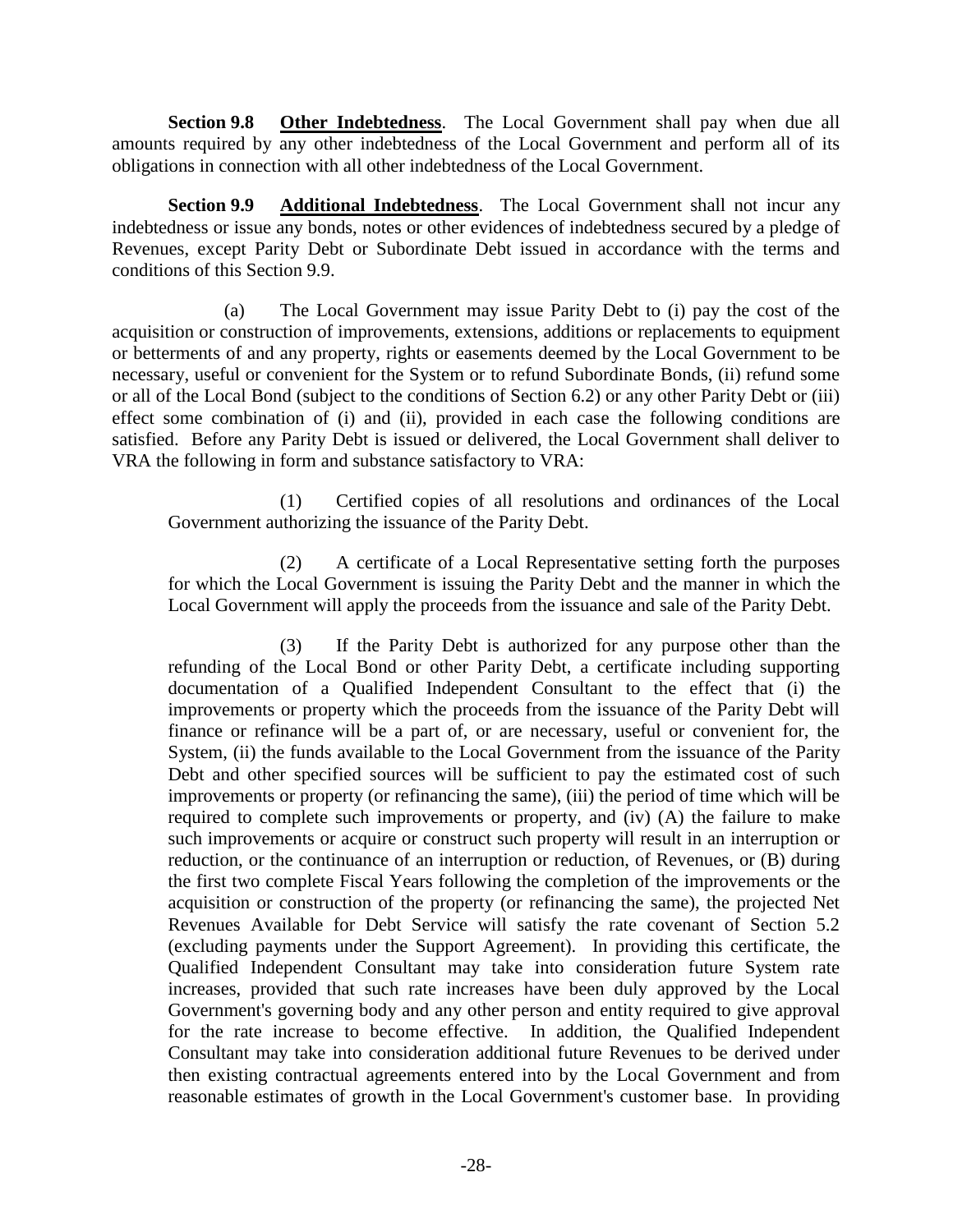**Section 9.8 Other Indebtedness**. The Local Government shall pay when due all amounts required by any other indebtedness of the Local Government and perform all of its obligations in connection with all other indebtedness of the Local Government.

**Section 9.9 Additional Indebtedness**. The Local Government shall not incur any indebtedness or issue any bonds, notes or other evidences of indebtedness secured by a pledge of Revenues, except Parity Debt or Subordinate Debt issued in accordance with the terms and conditions of this Section 9.9.

(a) The Local Government may issue Parity Debt to (i) pay the cost of the acquisition or construction of improvements, extensions, additions or replacements to equipment or betterments of and any property, rights or easements deemed by the Local Government to be necessary, useful or convenient for the System or to refund Subordinate Bonds, (ii) refund some or all of the Local Bond (subject to the conditions of Section 6.2) or any other Parity Debt or (iii) effect some combination of (i) and (ii), provided in each case the following conditions are satisfied. Before any Parity Debt is issued or delivered, the Local Government shall deliver to VRA the following in form and substance satisfactory to VRA:

(1) Certified copies of all resolutions and ordinances of the Local Government authorizing the issuance of the Parity Debt.

(2) A certificate of a Local Representative setting forth the purposes for which the Local Government is issuing the Parity Debt and the manner in which the Local Government will apply the proceeds from the issuance and sale of the Parity Debt.

(3) If the Parity Debt is authorized for any purpose other than the refunding of the Local Bond or other Parity Debt, a certificate including supporting documentation of a Qualified Independent Consultant to the effect that (i) the improvements or property which the proceeds from the issuance of the Parity Debt will finance or refinance will be a part of, or are necessary, useful or convenient for, the System, (ii) the funds available to the Local Government from the issuance of the Parity Debt and other specified sources will be sufficient to pay the estimated cost of such improvements or property (or refinancing the same), (iii) the period of time which will be required to complete such improvements or property, and (iv) (A) the failure to make such improvements or acquire or construct such property will result in an interruption or reduction, or the continuance of an interruption or reduction, of Revenues, or (B) during the first two complete Fiscal Years following the completion of the improvements or the acquisition or construction of the property (or refinancing the same), the projected Net Revenues Available for Debt Service will satisfy the rate covenant of Section 5.2 (excluding payments under the Support Agreement). In providing this certificate, the Qualified Independent Consultant may take into consideration future System rate increases, provided that such rate increases have been duly approved by the Local Government's governing body and any other person and entity required to give approval for the rate increase to become effective. In addition, the Qualified Independent Consultant may take into consideration additional future Revenues to be derived under then existing contractual agreements entered into by the Local Government and from reasonable estimates of growth in the Local Government's customer base. In providing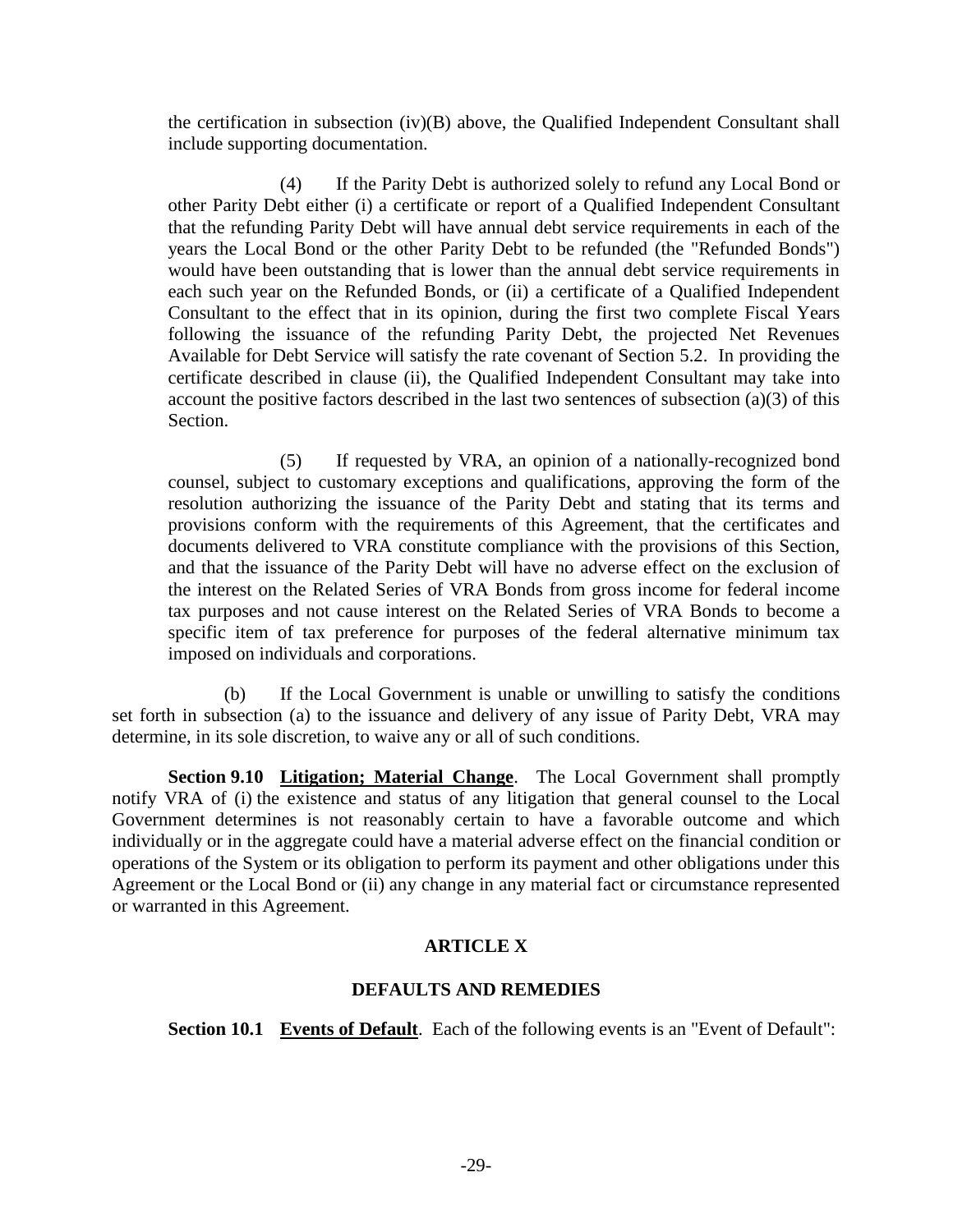the certification in subsection  $(iv)(B)$  above, the Qualified Independent Consultant shall include supporting documentation.

(4) If the Parity Debt is authorized solely to refund any Local Bond or other Parity Debt either (i) a certificate or report of a Qualified Independent Consultant that the refunding Parity Debt will have annual debt service requirements in each of the years the Local Bond or the other Parity Debt to be refunded (the "Refunded Bonds") would have been outstanding that is lower than the annual debt service requirements in each such year on the Refunded Bonds, or (ii) a certificate of a Qualified Independent Consultant to the effect that in its opinion, during the first two complete Fiscal Years following the issuance of the refunding Parity Debt, the projected Net Revenues Available for Debt Service will satisfy the rate covenant of Section 5.2. In providing the certificate described in clause (ii), the Qualified Independent Consultant may take into account the positive factors described in the last two sentences of subsection (a)(3) of this Section.

(5) If requested by VRA, an opinion of a nationally-recognized bond counsel, subject to customary exceptions and qualifications, approving the form of the resolution authorizing the issuance of the Parity Debt and stating that its terms and provisions conform with the requirements of this Agreement, that the certificates and documents delivered to VRA constitute compliance with the provisions of this Section, and that the issuance of the Parity Debt will have no adverse effect on the exclusion of the interest on the Related Series of VRA Bonds from gross income for federal income tax purposes and not cause interest on the Related Series of VRA Bonds to become a specific item of tax preference for purposes of the federal alternative minimum tax imposed on individuals and corporations.

(b) If the Local Government is unable or unwilling to satisfy the conditions set forth in subsection (a) to the issuance and delivery of any issue of Parity Debt, VRA may determine, in its sole discretion, to waive any or all of such conditions.

**Section 9.10 Litigation; Material Change**. The Local Government shall promptly notify VRA of (i) the existence and status of any litigation that general counsel to the Local Government determines is not reasonably certain to have a favorable outcome and which individually or in the aggregate could have a material adverse effect on the financial condition or operations of the System or its obligation to perform its payment and other obligations under this Agreement or the Local Bond or (ii) any change in any material fact or circumstance represented or warranted in this Agreement.

## **ARTICLE X**

## **DEFAULTS AND REMEDIES**

**Section 10.1 Events of Default**. Each of the following events is an "Event of Default":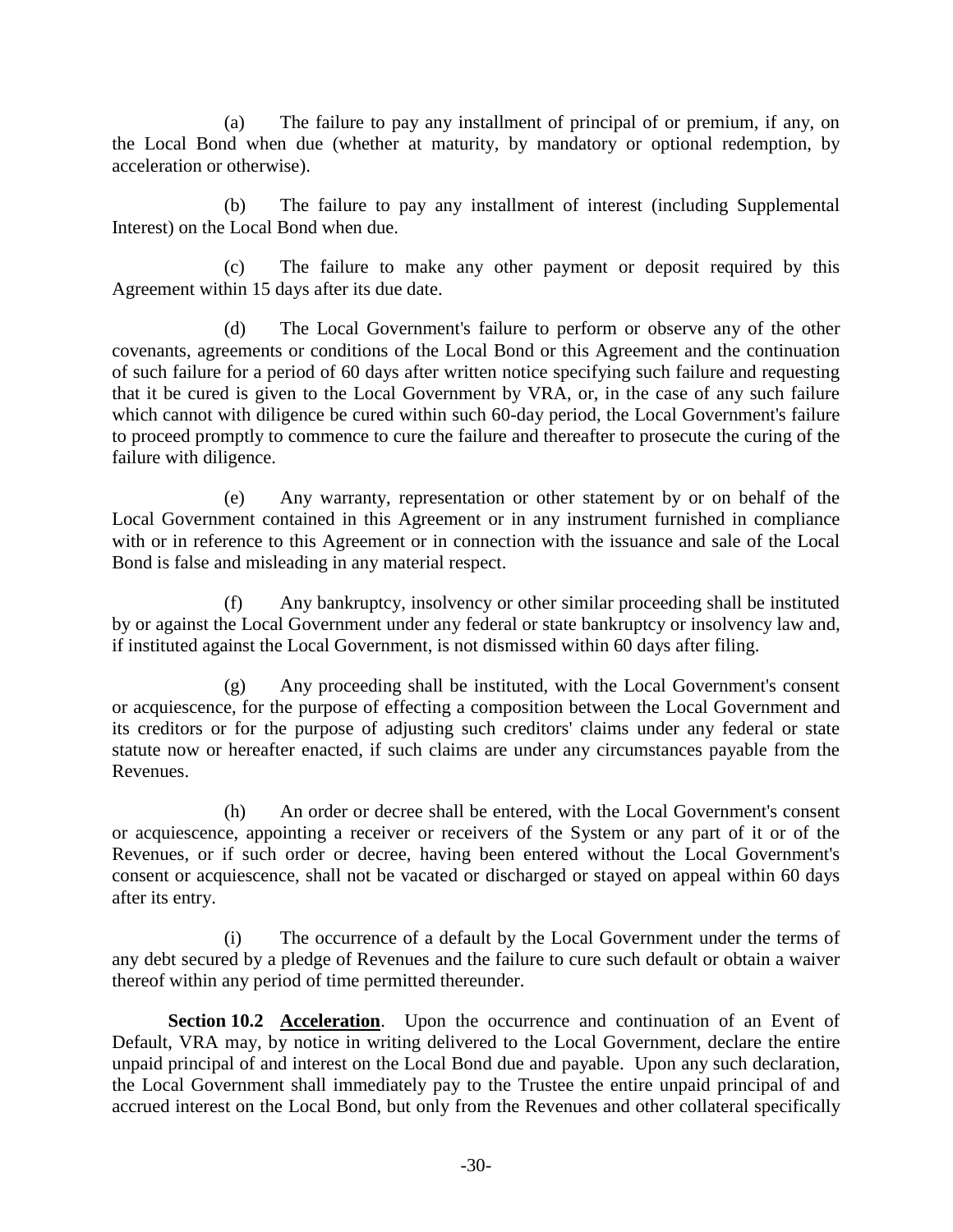(a) The failure to pay any installment of principal of or premium, if any, on the Local Bond when due (whether at maturity, by mandatory or optional redemption, by acceleration or otherwise).

(b) The failure to pay any installment of interest (including Supplemental Interest) on the Local Bond when due.

(c) The failure to make any other payment or deposit required by this Agreement within 15 days after its due date.

(d) The Local Government's failure to perform or observe any of the other covenants, agreements or conditions of the Local Bond or this Agreement and the continuation of such failure for a period of 60 days after written notice specifying such failure and requesting that it be cured is given to the Local Government by VRA, or, in the case of any such failure which cannot with diligence be cured within such 60-day period, the Local Government's failure to proceed promptly to commence to cure the failure and thereafter to prosecute the curing of the failure with diligence.

(e) Any warranty, representation or other statement by or on behalf of the Local Government contained in this Agreement or in any instrument furnished in compliance with or in reference to this Agreement or in connection with the issuance and sale of the Local Bond is false and misleading in any material respect.

(f) Any bankruptcy, insolvency or other similar proceeding shall be instituted by or against the Local Government under any federal or state bankruptcy or insolvency law and, if instituted against the Local Government, is not dismissed within 60 days after filing.

(g) Any proceeding shall be instituted, with the Local Government's consent or acquiescence, for the purpose of effecting a composition between the Local Government and its creditors or for the purpose of adjusting such creditors' claims under any federal or state statute now or hereafter enacted, if such claims are under any circumstances payable from the Revenues.

(h) An order or decree shall be entered, with the Local Government's consent or acquiescence, appointing a receiver or receivers of the System or any part of it or of the Revenues, or if such order or decree, having been entered without the Local Government's consent or acquiescence, shall not be vacated or discharged or stayed on appeal within 60 days after its entry.

(i) The occurrence of a default by the Local Government under the terms of any debt secured by a pledge of Revenues and the failure to cure such default or obtain a waiver thereof within any period of time permitted thereunder.

**Section 10.2 Acceleration**. Upon the occurrence and continuation of an Event of Default, VRA may, by notice in writing delivered to the Local Government, declare the entire unpaid principal of and interest on the Local Bond due and payable. Upon any such declaration, the Local Government shall immediately pay to the Trustee the entire unpaid principal of and accrued interest on the Local Bond, but only from the Revenues and other collateral specifically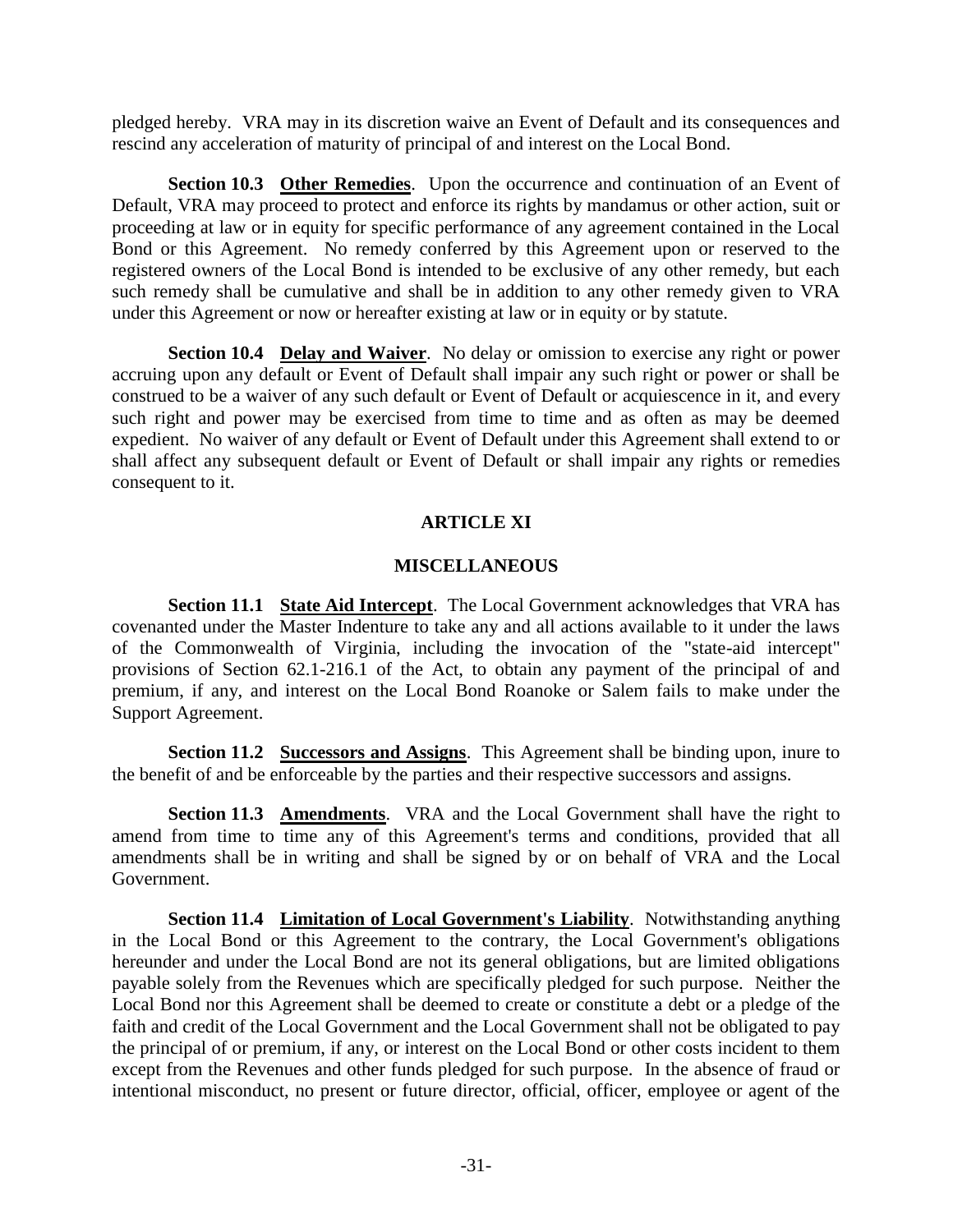pledged hereby. VRA may in its discretion waive an Event of Default and its consequences and rescind any acceleration of maturity of principal of and interest on the Local Bond.

**Section 10.3 Other Remedies**. Upon the occurrence and continuation of an Event of Default, VRA may proceed to protect and enforce its rights by mandamus or other action, suit or proceeding at law or in equity for specific performance of any agreement contained in the Local Bond or this Agreement. No remedy conferred by this Agreement upon or reserved to the registered owners of the Local Bond is intended to be exclusive of any other remedy, but each such remedy shall be cumulative and shall be in addition to any other remedy given to VRA under this Agreement or now or hereafter existing at law or in equity or by statute.

**Section 10.4 Delay and Waiver**. No delay or omission to exercise any right or power accruing upon any default or Event of Default shall impair any such right or power or shall be construed to be a waiver of any such default or Event of Default or acquiescence in it, and every such right and power may be exercised from time to time and as often as may be deemed expedient. No waiver of any default or Event of Default under this Agreement shall extend to or shall affect any subsequent default or Event of Default or shall impair any rights or remedies consequent to it.

## **ARTICLE XI**

## **MISCELLANEOUS**

**Section 11.1 State Aid Intercept**. The Local Government acknowledges that VRA has covenanted under the Master Indenture to take any and all actions available to it under the laws of the Commonwealth of Virginia, including the invocation of the "state-aid intercept" provisions of Section 62.1-216.1 of the Act, to obtain any payment of the principal of and premium, if any, and interest on the Local Bond Roanoke or Salem fails to make under the Support Agreement.

**Section 11.2 Successors and Assigns**. This Agreement shall be binding upon, inure to the benefit of and be enforceable by the parties and their respective successors and assigns.

**Section 11.3 Amendments**. VRA and the Local Government shall have the right to amend from time to time any of this Agreement's terms and conditions, provided that all amendments shall be in writing and shall be signed by or on behalf of VRA and the Local Government.

**Section 11.4 Limitation of Local Government's Liability**. Notwithstanding anything in the Local Bond or this Agreement to the contrary, the Local Government's obligations hereunder and under the Local Bond are not its general obligations, but are limited obligations payable solely from the Revenues which are specifically pledged for such purpose. Neither the Local Bond nor this Agreement shall be deemed to create or constitute a debt or a pledge of the faith and credit of the Local Government and the Local Government shall not be obligated to pay the principal of or premium, if any, or interest on the Local Bond or other costs incident to them except from the Revenues and other funds pledged for such purpose. In the absence of fraud or intentional misconduct, no present or future director, official, officer, employee or agent of the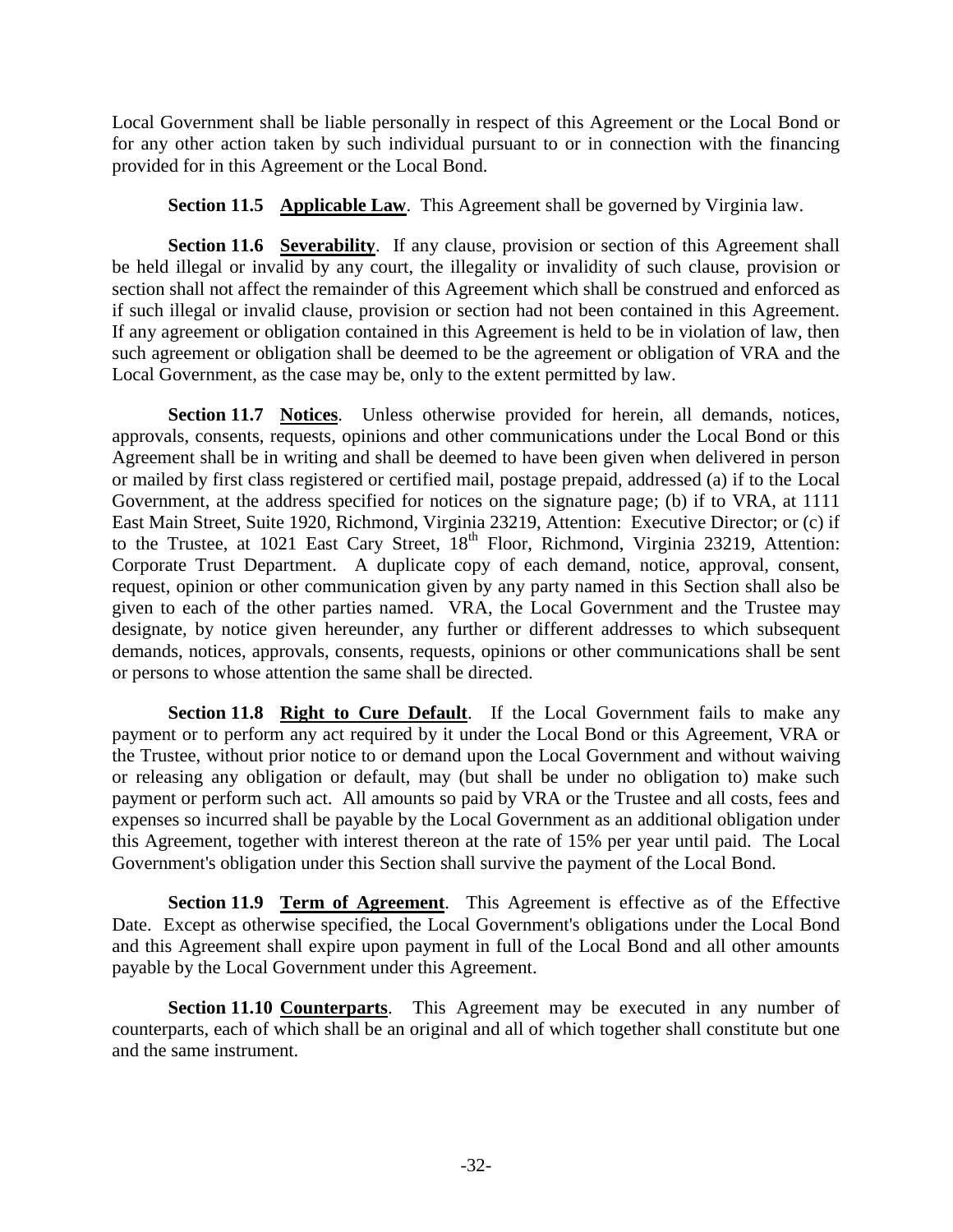Local Government shall be liable personally in respect of this Agreement or the Local Bond or for any other action taken by such individual pursuant to or in connection with the financing provided for in this Agreement or the Local Bond.

**Section 11.5 Applicable Law**. This Agreement shall be governed by Virginia law.

**Section 11.6 Severability**. If any clause, provision or section of this Agreement shall be held illegal or invalid by any court, the illegality or invalidity of such clause, provision or section shall not affect the remainder of this Agreement which shall be construed and enforced as if such illegal or invalid clause, provision or section had not been contained in this Agreement. If any agreement or obligation contained in this Agreement is held to be in violation of law, then such agreement or obligation shall be deemed to be the agreement or obligation of VRA and the Local Government, as the case may be, only to the extent permitted by law.

**Section 11.7 Notices**. Unless otherwise provided for herein, all demands, notices, approvals, consents, requests, opinions and other communications under the Local Bond or this Agreement shall be in writing and shall be deemed to have been given when delivered in person or mailed by first class registered or certified mail, postage prepaid, addressed (a) if to the Local Government, at the address specified for notices on the signature page; (b) if to VRA, at 1111 East Main Street, Suite 1920, Richmond, Virginia 23219, Attention: Executive Director; or (c) if to the Trustee, at 1021 East Cary Street, 18<sup>th</sup> Floor, Richmond, Virginia 23219, Attention: Corporate Trust Department. A duplicate copy of each demand, notice, approval, consent, request, opinion or other communication given by any party named in this Section shall also be given to each of the other parties named. VRA, the Local Government and the Trustee may designate, by notice given hereunder, any further or different addresses to which subsequent demands, notices, approvals, consents, requests, opinions or other communications shall be sent or persons to whose attention the same shall be directed.

**Section 11.8 Right to Cure Default**. If the Local Government fails to make any payment or to perform any act required by it under the Local Bond or this Agreement, VRA or the Trustee, without prior notice to or demand upon the Local Government and without waiving or releasing any obligation or default, may (but shall be under no obligation to) make such payment or perform such act. All amounts so paid by VRA or the Trustee and all costs, fees and expenses so incurred shall be payable by the Local Government as an additional obligation under this Agreement, together with interest thereon at the rate of 15% per year until paid. The Local Government's obligation under this Section shall survive the payment of the Local Bond.

**Section 11.9 Term of Agreement**. This Agreement is effective as of the Effective Date. Except as otherwise specified, the Local Government's obligations under the Local Bond and this Agreement shall expire upon payment in full of the Local Bond and all other amounts payable by the Local Government under this Agreement.

**Section 11.10 Counterparts**. This Agreement may be executed in any number of counterparts, each of which shall be an original and all of which together shall constitute but one and the same instrument.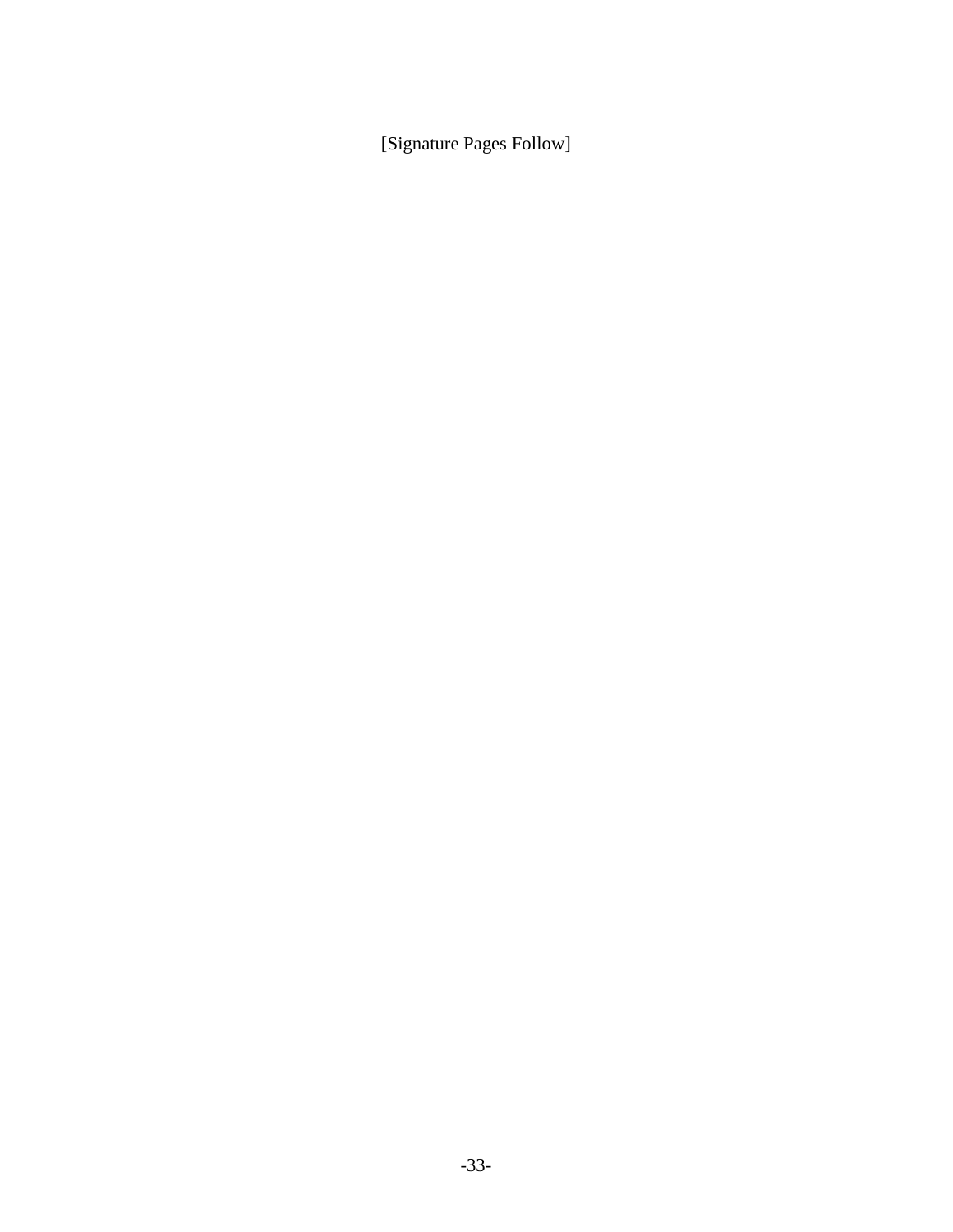[Signature Pages Follow]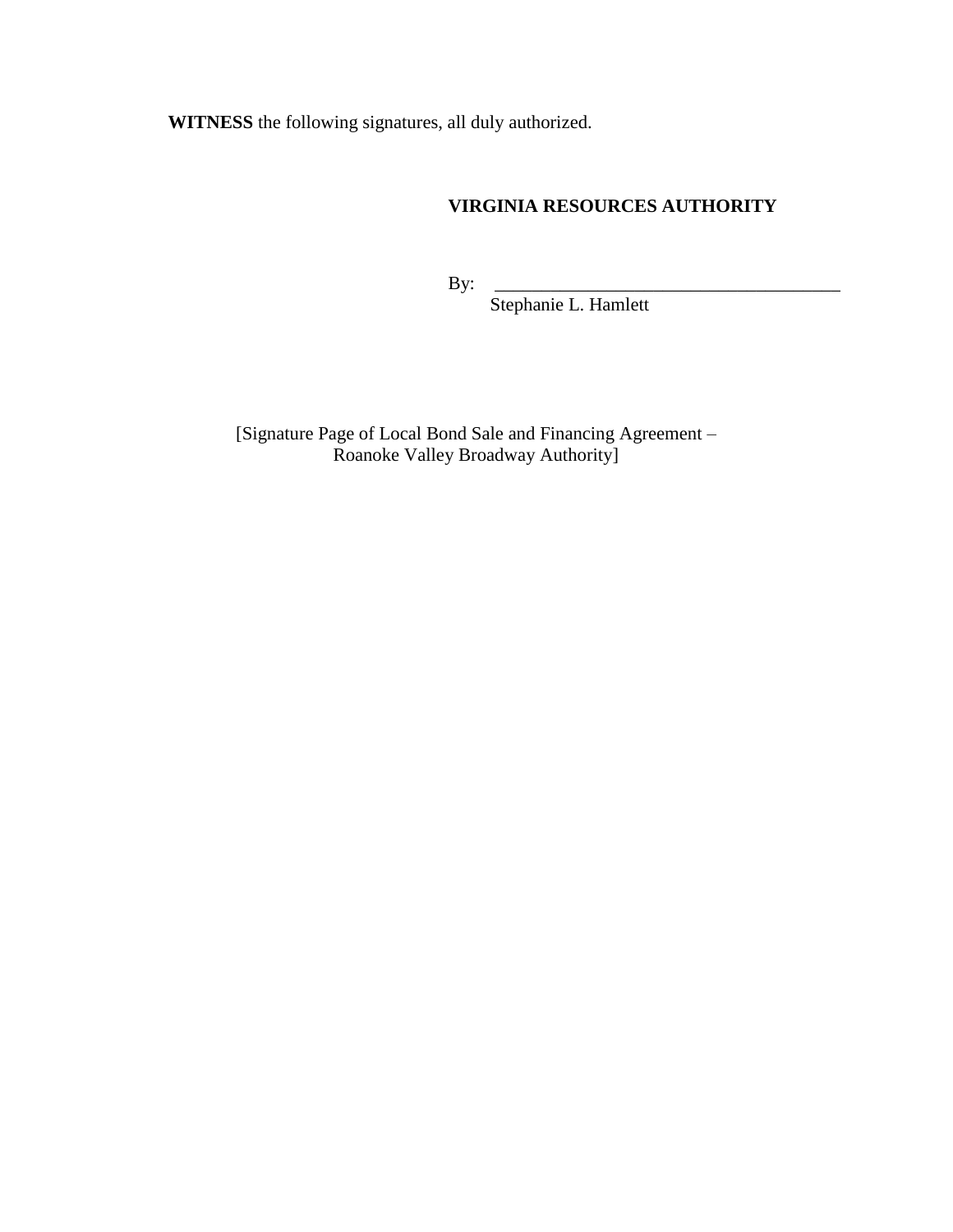**WITNESS** the following signatures, all duly authorized.

## **VIRGINIA RESOURCES AUTHORITY**

By: \_\_\_\_\_\_\_\_\_\_\_\_\_\_\_\_\_\_\_\_\_\_\_\_\_\_\_\_\_\_\_\_\_\_\_\_\_

Stephanie L. Hamlett

[Signature Page of Local Bond Sale and Financing Agreement – Roanoke Valley Broadway Authority]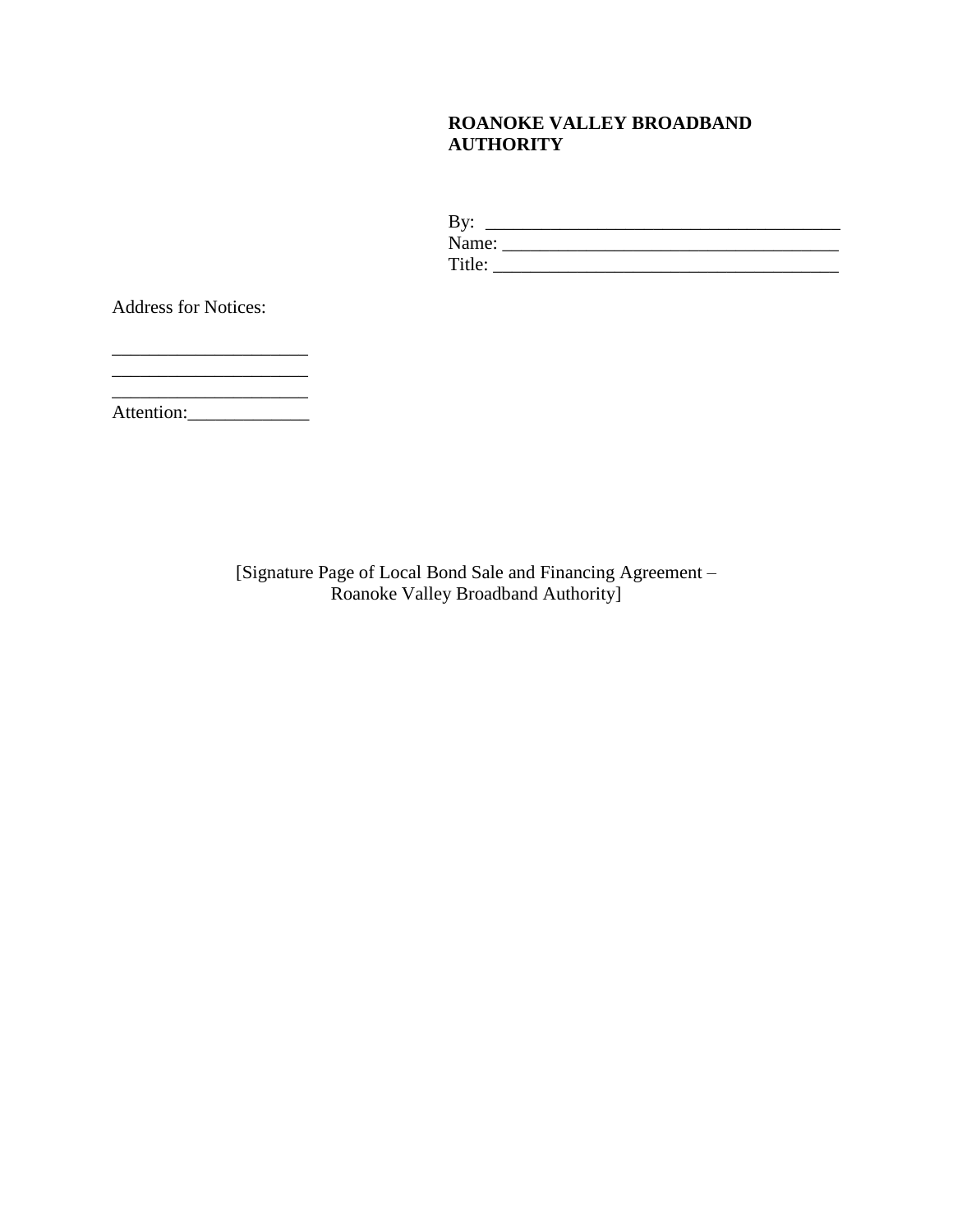## **ROANOKE VALLEY BROADBAND AUTHORITY**

| By:    |  |
|--------|--|
| Name:  |  |
| Title: |  |

Address for Notices:

\_\_\_\_\_\_\_\_\_\_\_\_\_\_\_\_\_\_\_\_\_ Attention:\_\_\_\_\_\_\_\_\_\_\_\_\_

\_\_\_\_\_\_\_\_\_\_\_\_\_\_\_\_\_\_\_\_\_

 $\overline{\phantom{a}}$  , where  $\overline{\phantom{a}}$ 

[Signature Page of Local Bond Sale and Financing Agreement – Roanoke Valley Broadband Authority]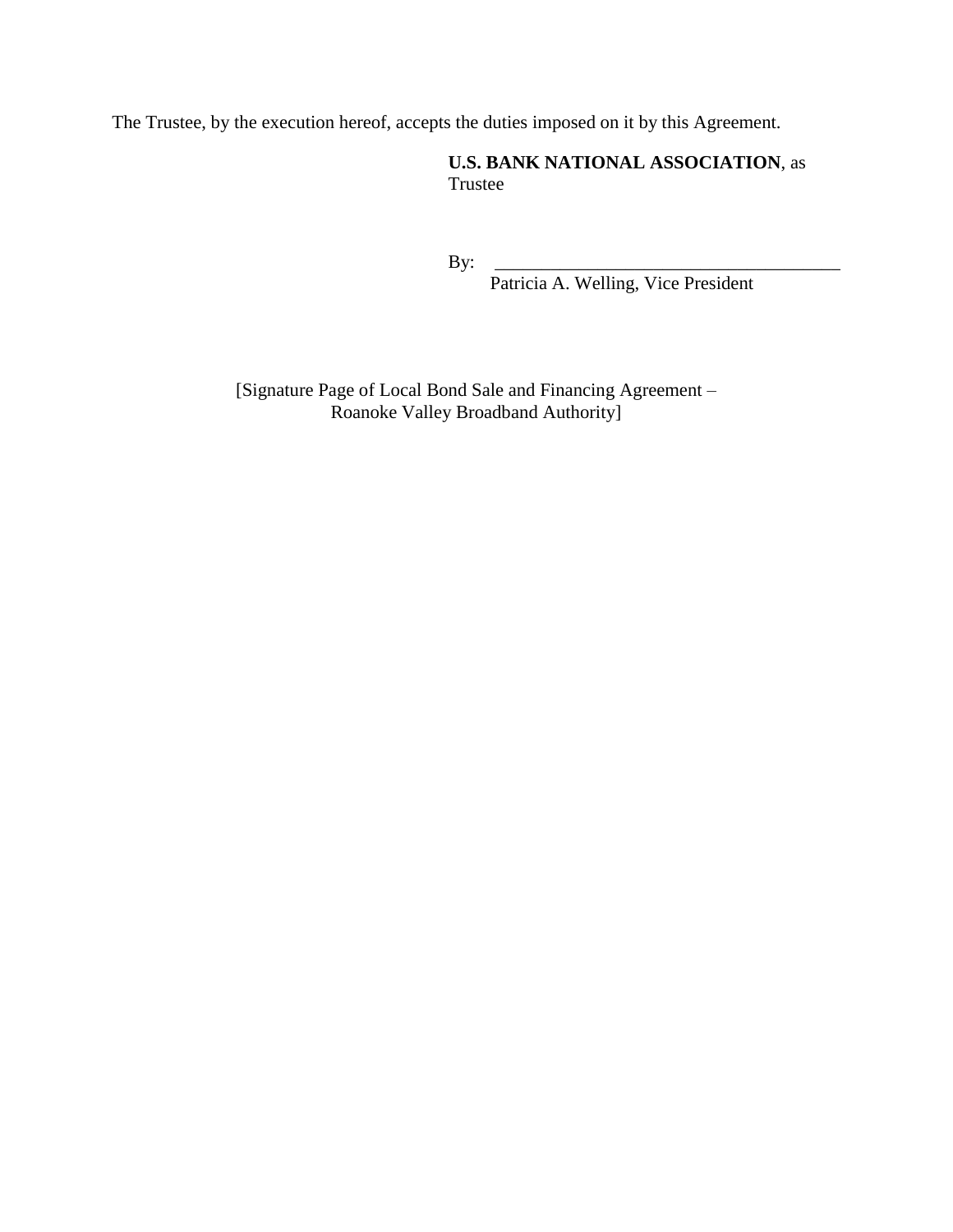The Trustee, by the execution hereof, accepts the duties imposed on it by this Agreement.

**U.S. BANK NATIONAL ASSOCIATION**, as Trustee

By: \_\_\_\_\_\_\_\_\_\_\_\_\_\_\_\_\_\_\_\_\_\_\_\_\_\_\_\_\_\_\_\_\_\_\_\_\_

Patricia A. Welling, Vice President

[Signature Page of Local Bond Sale and Financing Agreement – Roanoke Valley Broadband Authority]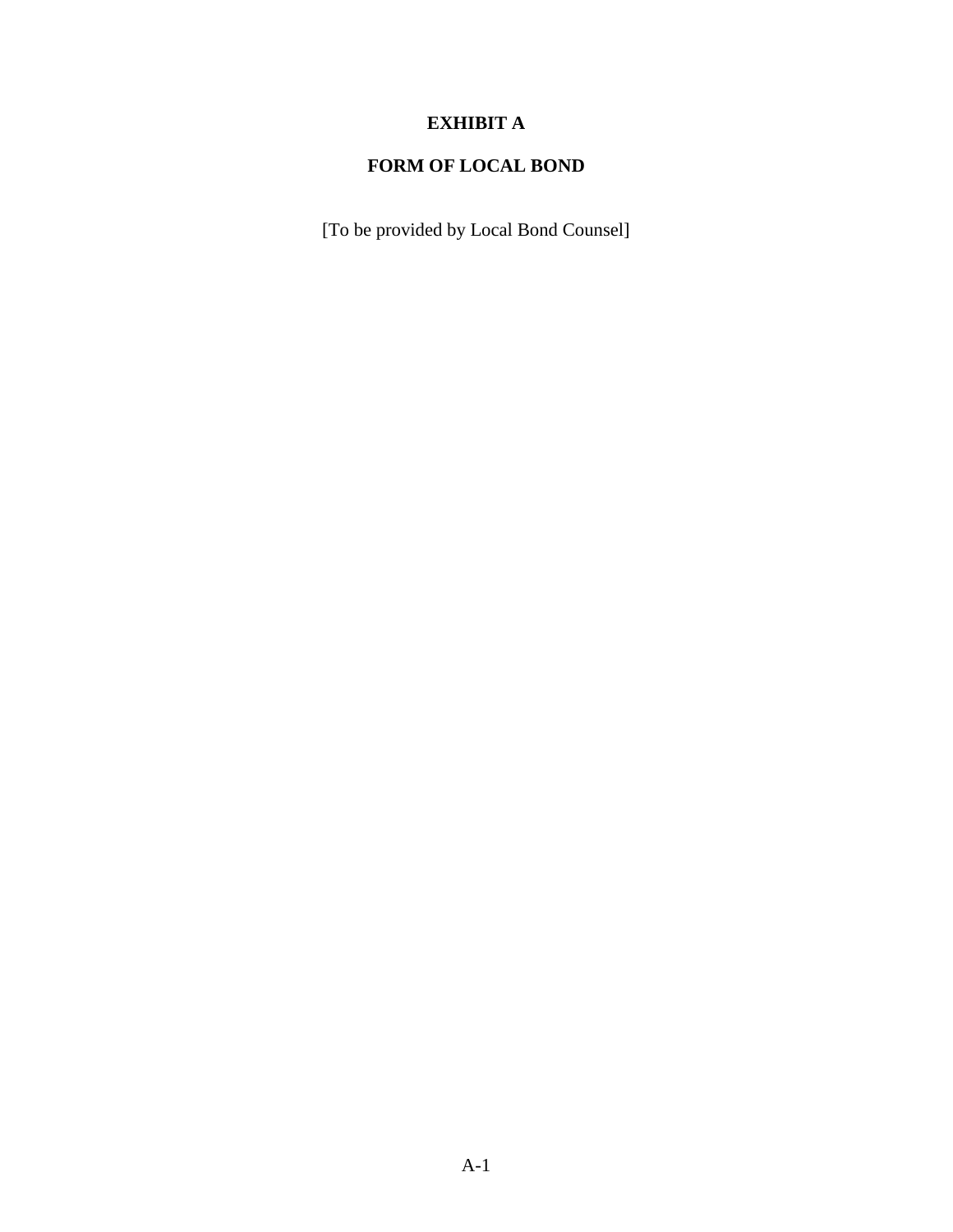# **EXHIBIT A**

# **FORM OF LOCAL BOND**

[To be provided by Local Bond Counsel]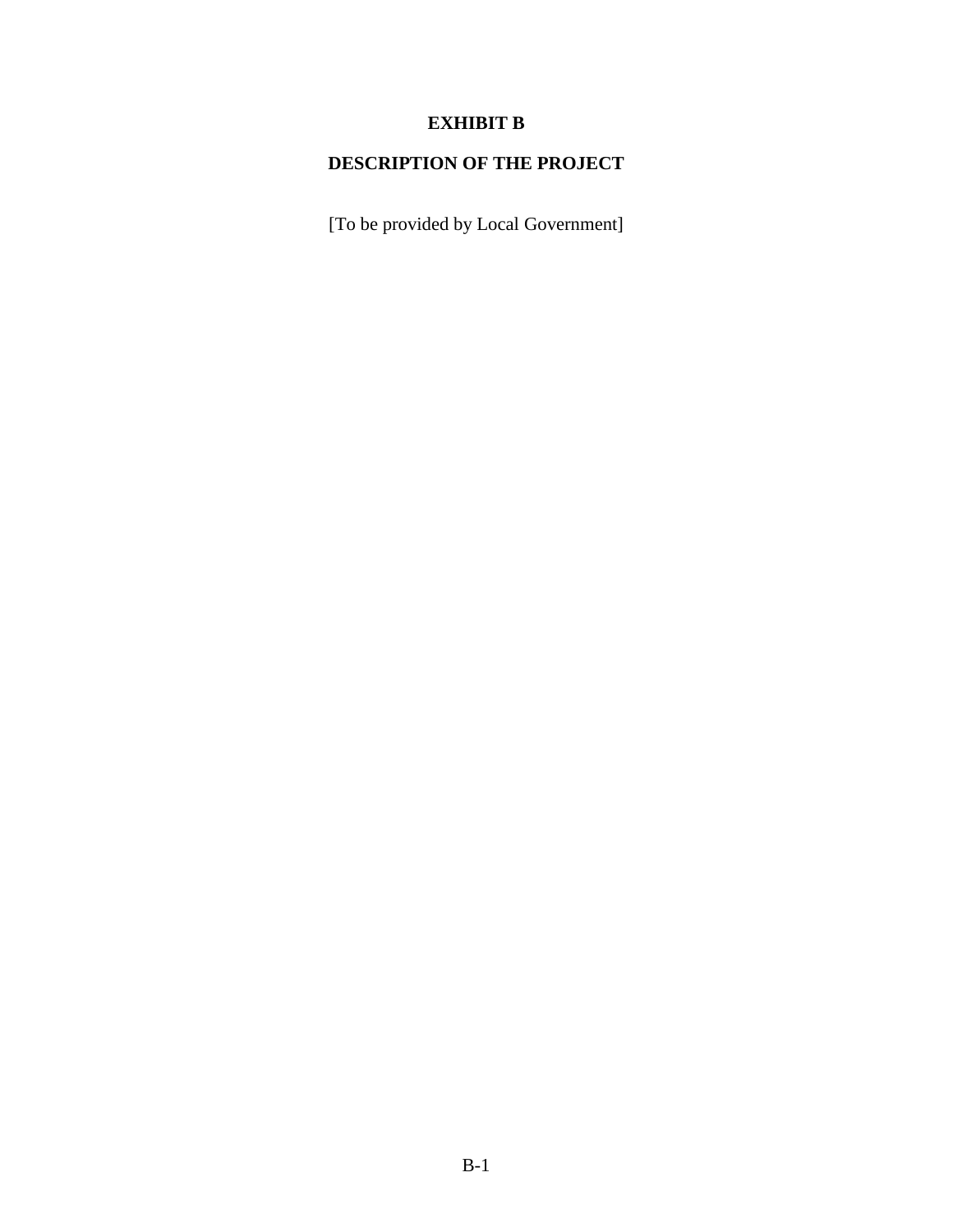# **EXHIBIT B**

# **DESCRIPTION OF THE PROJECT**

[To be provided by Local Government]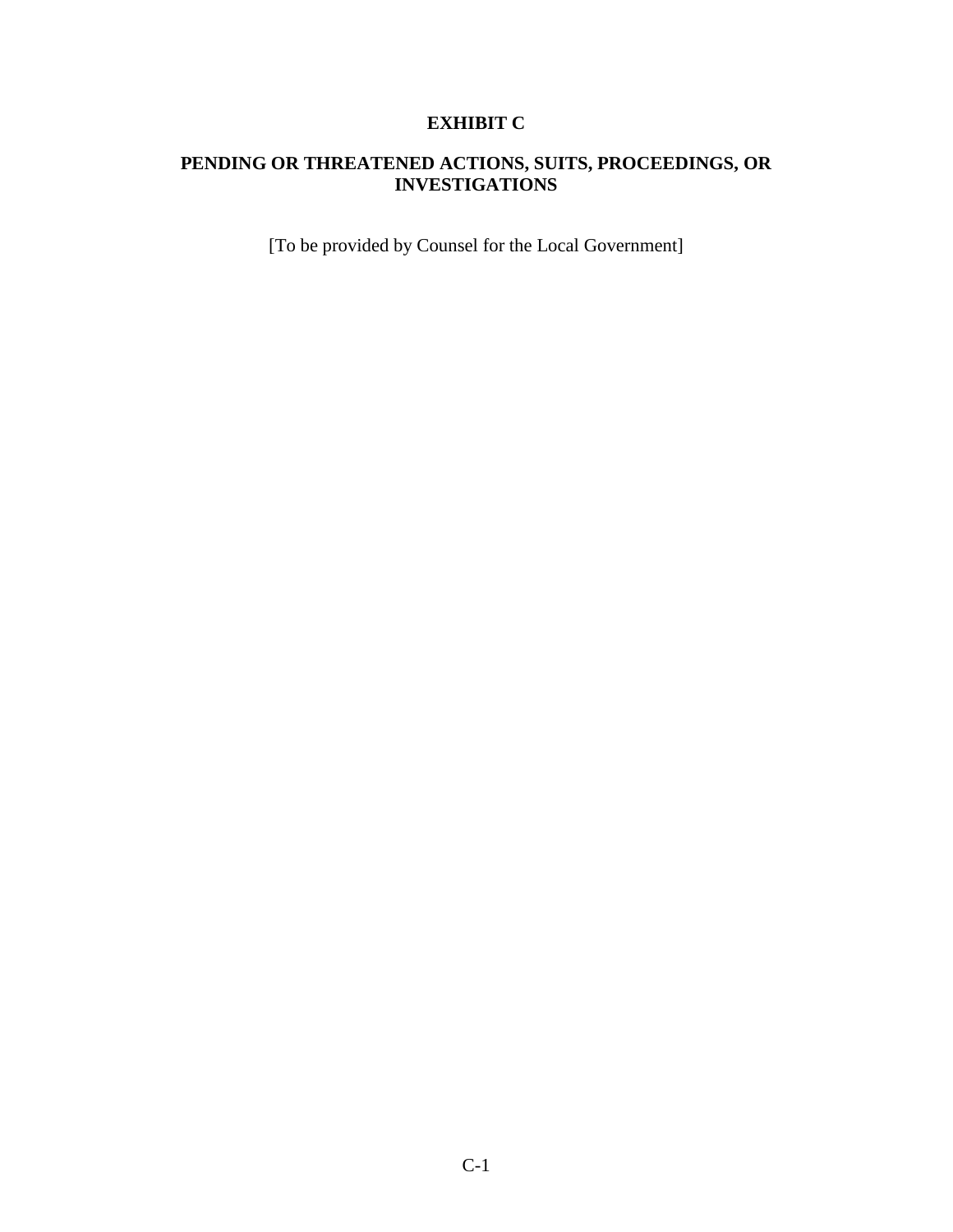# **EXHIBIT C**

## **PENDING OR THREATENED ACTIONS, SUITS, PROCEEDINGS, OR INVESTIGATIONS**

[To be provided by Counsel for the Local Government]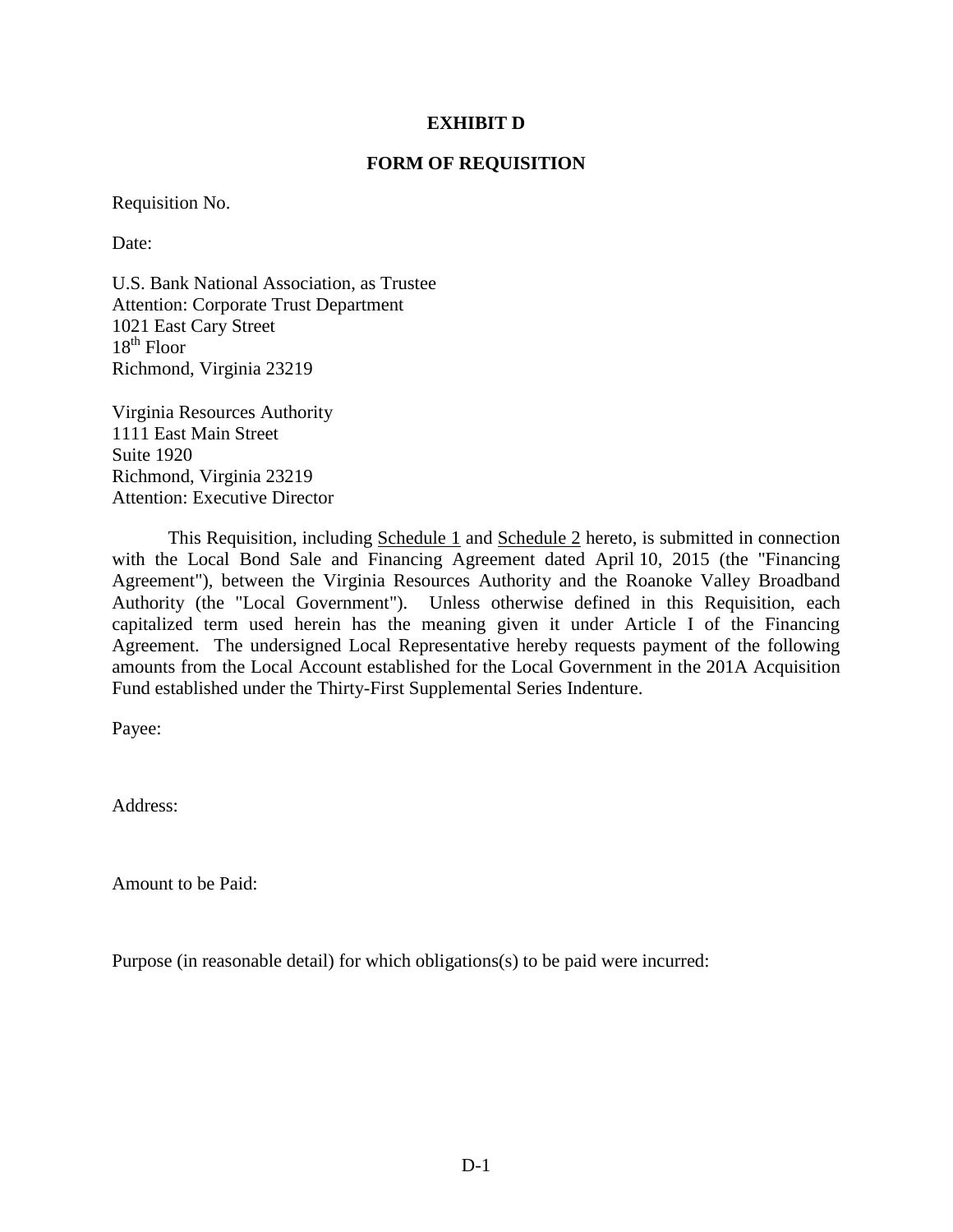#### **EXHIBIT D**

#### **FORM OF REQUISITION**

Requisition No.

Date:

U.S. Bank National Association, as Trustee Attention: Corporate Trust Department 1021 East Cary Street  $18^{th}$  Floor Richmond, Virginia 23219

Virginia Resources Authority 1111 East Main Street Suite 1920 Richmond, Virginia 23219 Attention: Executive Director

This Requisition, including Schedule 1 and Schedule 2 hereto, is submitted in connection with the Local Bond Sale and Financing Agreement dated April 10, 2015 (the "Financing Agreement"), between the Virginia Resources Authority and the Roanoke Valley Broadband Authority (the "Local Government"). Unless otherwise defined in this Requisition, each capitalized term used herein has the meaning given it under Article I of the Financing Agreement. The undersigned Local Representative hereby requests payment of the following amounts from the Local Account established for the Local Government in the 201A Acquisition Fund established under the Thirty-First Supplemental Series Indenture.

Payee:

Address:

Amount to be Paid:

Purpose (in reasonable detail) for which obligations(s) to be paid were incurred: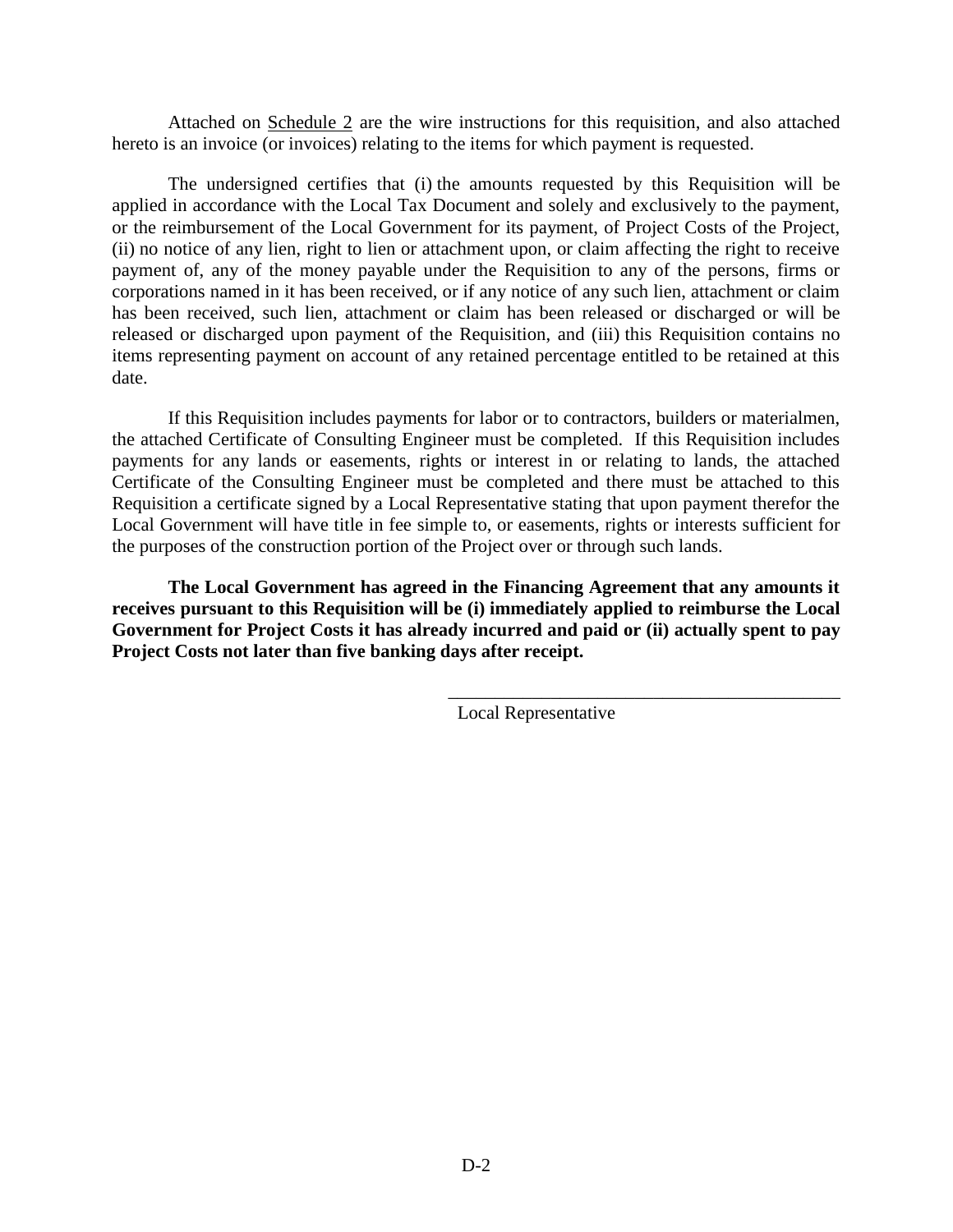Attached on Schedule 2 are the wire instructions for this requisition, and also attached hereto is an invoice (or invoices) relating to the items for which payment is requested.

The undersigned certifies that (i) the amounts requested by this Requisition will be applied in accordance with the Local Tax Document and solely and exclusively to the payment, or the reimbursement of the Local Government for its payment, of Project Costs of the Project, (ii) no notice of any lien, right to lien or attachment upon, or claim affecting the right to receive payment of, any of the money payable under the Requisition to any of the persons, firms or corporations named in it has been received, or if any notice of any such lien, attachment or claim has been received, such lien, attachment or claim has been released or discharged or will be released or discharged upon payment of the Requisition, and (iii) this Requisition contains no items representing payment on account of any retained percentage entitled to be retained at this date.

If this Requisition includes payments for labor or to contractors, builders or materialmen, the attached Certificate of Consulting Engineer must be completed. If this Requisition includes payments for any lands or easements, rights or interest in or relating to lands, the attached Certificate of the Consulting Engineer must be completed and there must be attached to this Requisition a certificate signed by a Local Representative stating that upon payment therefor the Local Government will have title in fee simple to, or easements, rights or interests sufficient for the purposes of the construction portion of the Project over or through such lands.

**The Local Government has agreed in the Financing Agreement that any amounts it receives pursuant to this Requisition will be (i) immediately applied to reimburse the Local Government for Project Costs it has already incurred and paid or (ii) actually spent to pay Project Costs not later than five banking days after receipt.**

Local Representative

\_\_\_\_\_\_\_\_\_\_\_\_\_\_\_\_\_\_\_\_\_\_\_\_\_\_\_\_\_\_\_\_\_\_\_\_\_\_\_\_\_\_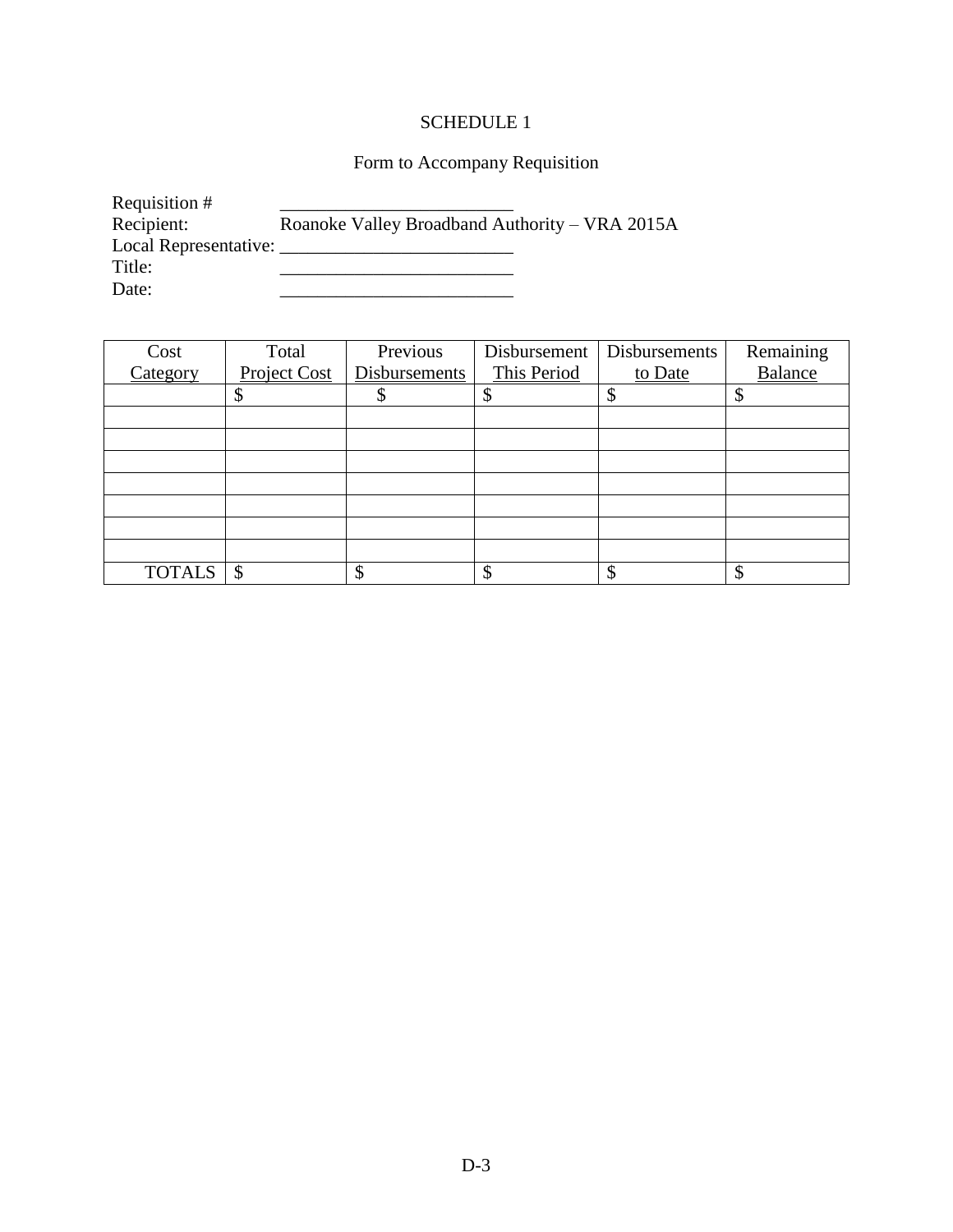# SCHEDULE 1

# Form to Accompany Requisition

| Requisition #         |                                                |
|-----------------------|------------------------------------------------|
| Recipient:            | Roanoke Valley Broadband Authority – VRA 2015A |
| Local Representative: |                                                |
| Title:                |                                                |
| Date:                 |                                                |

| Cost          | Total        | Previous      | Disbursement | Disbursements | Remaining |
|---------------|--------------|---------------|--------------|---------------|-----------|
| Category      | Project Cost | Disbursements | This Period  | to Date       | Balance   |
|               |              |               | Φ            |               |           |
|               |              |               |              |               |           |
|               |              |               |              |               |           |
|               |              |               |              |               |           |
|               |              |               |              |               |           |
|               |              |               |              |               |           |
|               |              |               |              |               |           |
|               |              |               |              |               |           |
| <b>TOTALS</b> | \$           | Φ             | \$           |               |           |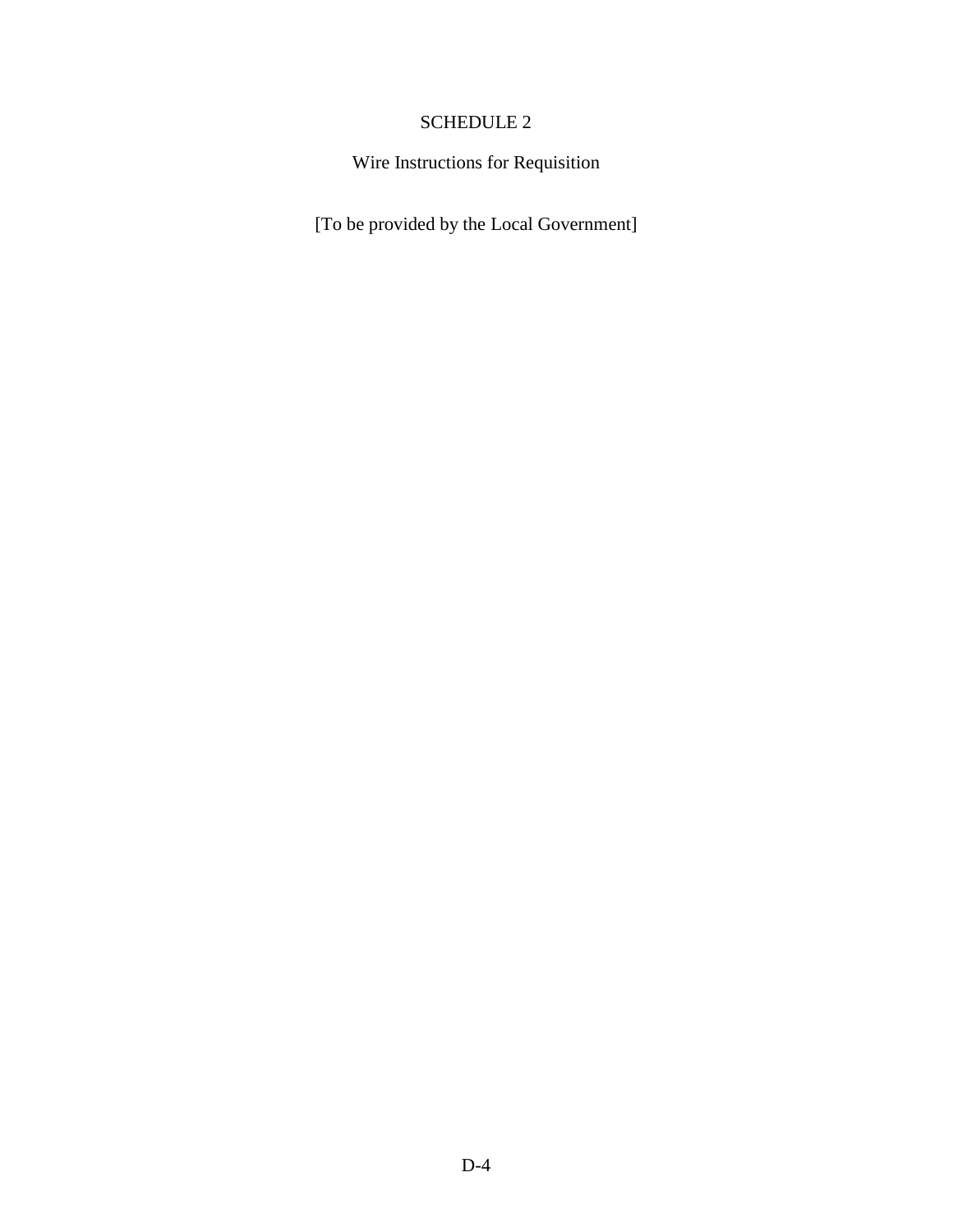# SCHEDULE 2

Wire Instructions for Requisition

[To be provided by the Local Government]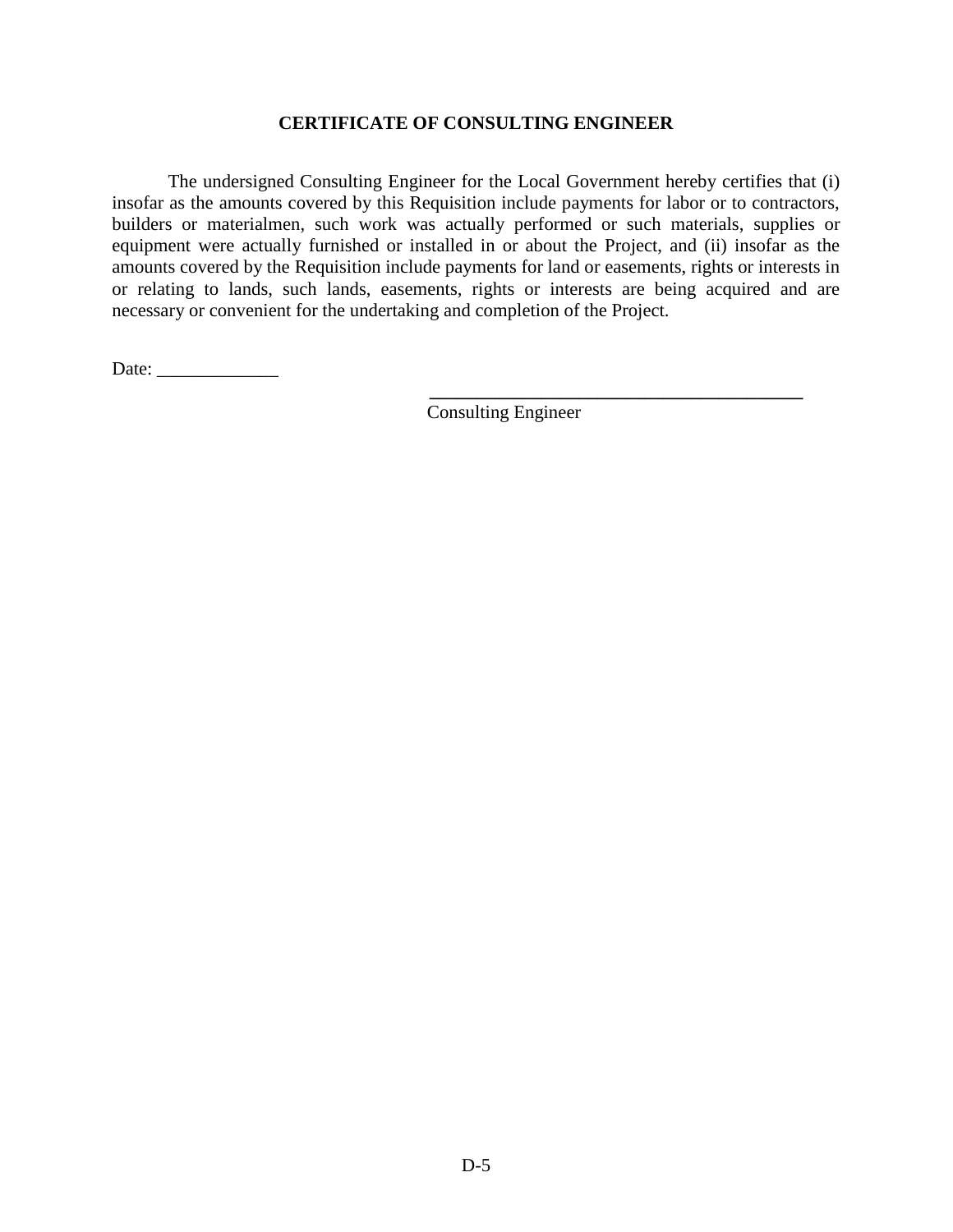#### **CERTIFICATE OF CONSULTING ENGINEER**

The undersigned Consulting Engineer for the Local Government hereby certifies that (i) insofar as the amounts covered by this Requisition include payments for labor or to contractors, builders or materialmen, such work was actually performed or such materials, supplies or equipment were actually furnished or installed in or about the Project, and (ii) insofar as the amounts covered by the Requisition include payments for land or easements, rights or interests in or relating to lands, such lands, easements, rights or interests are being acquired and are necessary or convenient for the undertaking and completion of the Project.

Date: \_\_\_\_\_\_\_\_\_\_\_\_\_

Consulting Engineer

**\_\_\_\_\_\_\_\_\_\_\_\_\_\_\_\_\_\_\_\_\_\_\_\_\_\_\_\_\_\_\_\_\_\_\_\_\_\_\_\_**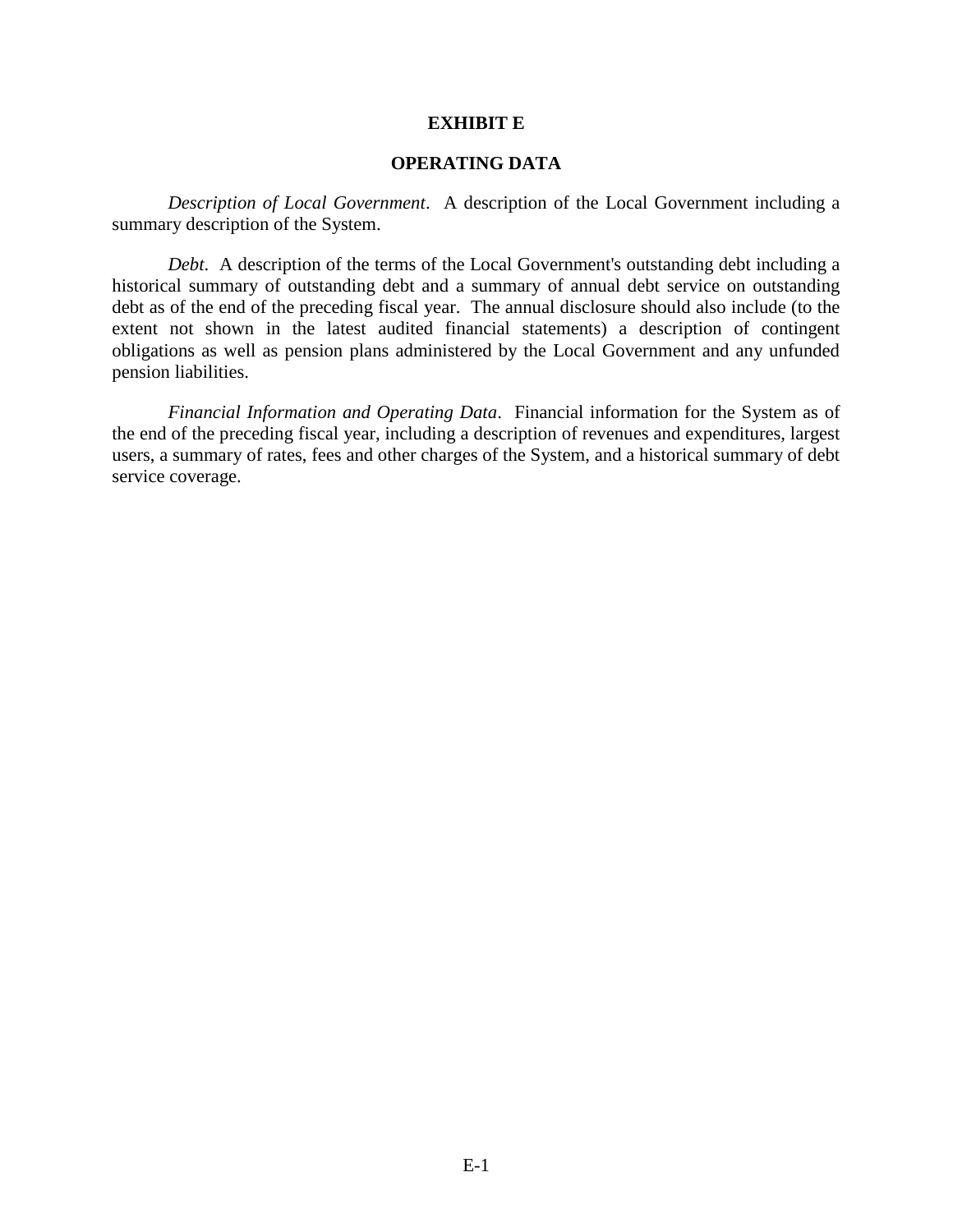#### **EXHIBIT E**

### **OPERATING DATA**

*Description of Local Government*. A description of the Local Government including a summary description of the System.

*Debt*. A description of the terms of the Local Government's outstanding debt including a historical summary of outstanding debt and a summary of annual debt service on outstanding debt as of the end of the preceding fiscal year. The annual disclosure should also include (to the extent not shown in the latest audited financial statements) a description of contingent obligations as well as pension plans administered by the Local Government and any unfunded pension liabilities.

*Financial Information and Operating Data*. Financial information for the System as of the end of the preceding fiscal year, including a description of revenues and expenditures, largest users, a summary of rates, fees and other charges of the System, and a historical summary of debt service coverage.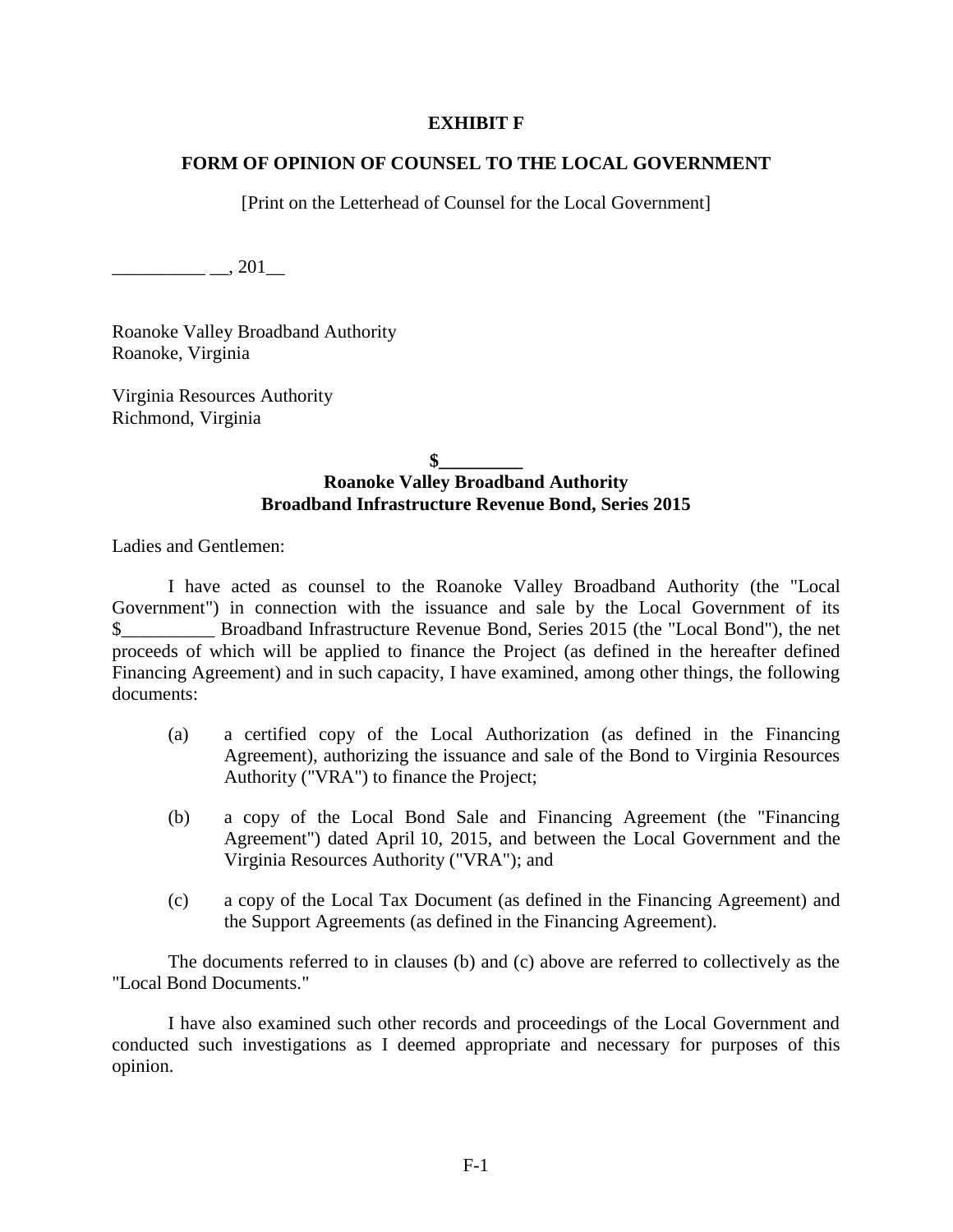#### **EXHIBIT F**

## **FORM OF OPINION OF COUNSEL TO THE LOCAL GOVERNMENT**

[Print on the Letterhead of Counsel for the Local Government]

 $\frac{1}{201}$   $\frac{1}{201}$ 

Roanoke Valley Broadband Authority Roanoke, Virginia

Virginia Resources Authority Richmond, Virginia

### $\mathbf{\$}$ **Roanoke Valley Broadband Authority Broadband Infrastructure Revenue Bond, Series 2015**

Ladies and Gentlemen:

I have acted as counsel to the Roanoke Valley Broadband Authority (the "Local Government") in connection with the issuance and sale by the Local Government of its \$\_\_\_\_\_\_\_\_\_\_ Broadband Infrastructure Revenue Bond, Series 2015 (the "Local Bond"), the net proceeds of which will be applied to finance the Project (as defined in the hereafter defined Financing Agreement) and in such capacity, I have examined, among other things, the following documents:

- (a) a certified copy of the Local Authorization (as defined in the Financing Agreement), authorizing the issuance and sale of the Bond to Virginia Resources Authority ("VRA") to finance the Project;
- (b) a copy of the Local Bond Sale and Financing Agreement (the "Financing Agreement") dated April 10, 2015, and between the Local Government and the Virginia Resources Authority ("VRA"); and
- (c) a copy of the Local Tax Document (as defined in the Financing Agreement) and the Support Agreements (as defined in the Financing Agreement).

The documents referred to in clauses (b) and (c) above are referred to collectively as the "Local Bond Documents."

I have also examined such other records and proceedings of the Local Government and conducted such investigations as I deemed appropriate and necessary for purposes of this opinion.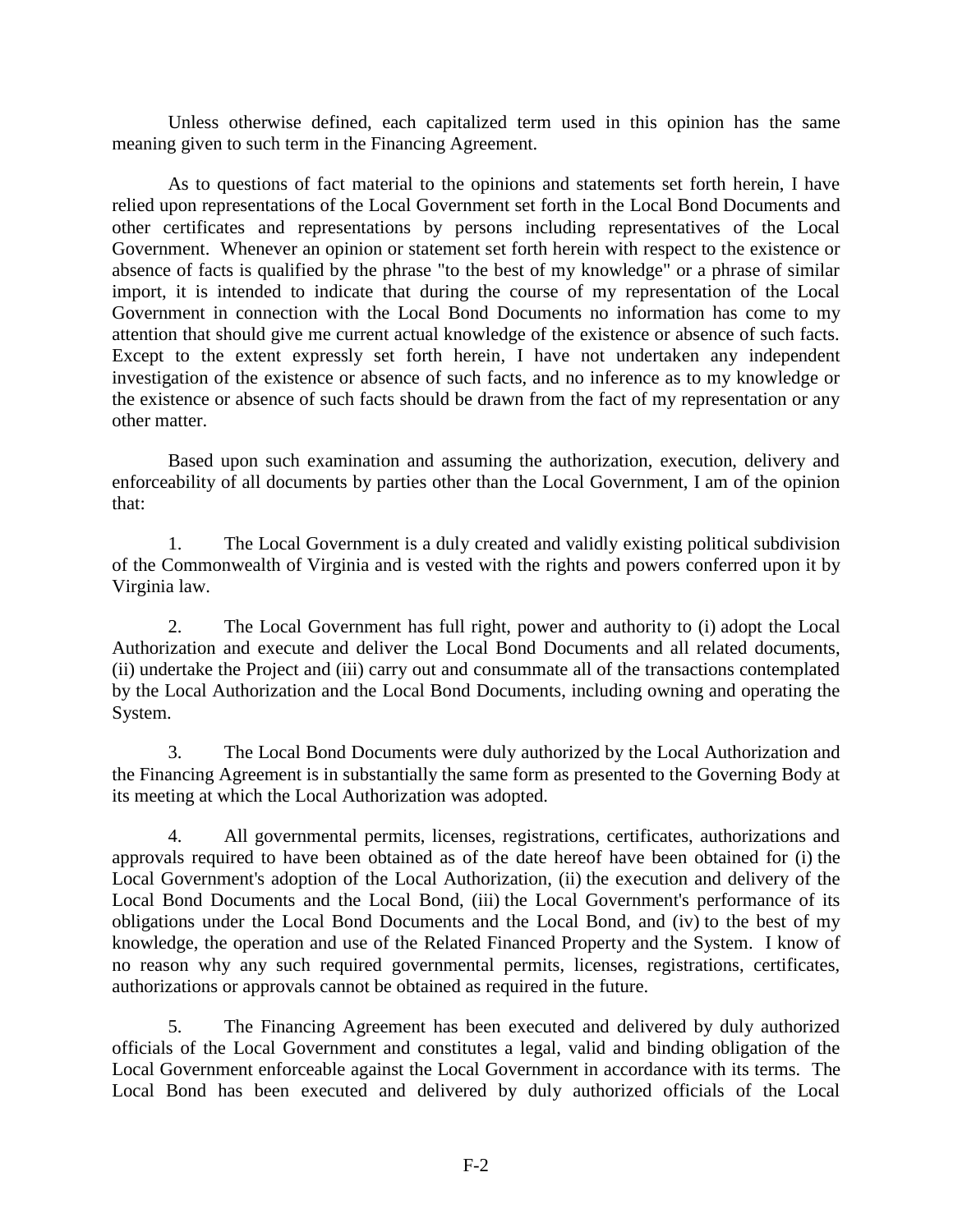Unless otherwise defined, each capitalized term used in this opinion has the same meaning given to such term in the Financing Agreement.

As to questions of fact material to the opinions and statements set forth herein, I have relied upon representations of the Local Government set forth in the Local Bond Documents and other certificates and representations by persons including representatives of the Local Government. Whenever an opinion or statement set forth herein with respect to the existence or absence of facts is qualified by the phrase "to the best of my knowledge" or a phrase of similar import, it is intended to indicate that during the course of my representation of the Local Government in connection with the Local Bond Documents no information has come to my attention that should give me current actual knowledge of the existence or absence of such facts. Except to the extent expressly set forth herein, I have not undertaken any independent investigation of the existence or absence of such facts, and no inference as to my knowledge or the existence or absence of such facts should be drawn from the fact of my representation or any other matter.

Based upon such examination and assuming the authorization, execution, delivery and enforceability of all documents by parties other than the Local Government, I am of the opinion that:

1. The Local Government is a duly created and validly existing political subdivision of the Commonwealth of Virginia and is vested with the rights and powers conferred upon it by Virginia law.

2. The Local Government has full right, power and authority to (i) adopt the Local Authorization and execute and deliver the Local Bond Documents and all related documents, (ii) undertake the Project and (iii) carry out and consummate all of the transactions contemplated by the Local Authorization and the Local Bond Documents, including owning and operating the System.

3. The Local Bond Documents were duly authorized by the Local Authorization and the Financing Agreement is in substantially the same form as presented to the Governing Body at its meeting at which the Local Authorization was adopted.

4. All governmental permits, licenses, registrations, certificates, authorizations and approvals required to have been obtained as of the date hereof have been obtained for (i) the Local Government's adoption of the Local Authorization, (ii) the execution and delivery of the Local Bond Documents and the Local Bond, (iii) the Local Government's performance of its obligations under the Local Bond Documents and the Local Bond, and (iv) to the best of my knowledge, the operation and use of the Related Financed Property and the System. I know of no reason why any such required governmental permits, licenses, registrations, certificates, authorizations or approvals cannot be obtained as required in the future.

5. The Financing Agreement has been executed and delivered by duly authorized officials of the Local Government and constitutes a legal, valid and binding obligation of the Local Government enforceable against the Local Government in accordance with its terms. The Local Bond has been executed and delivered by duly authorized officials of the Local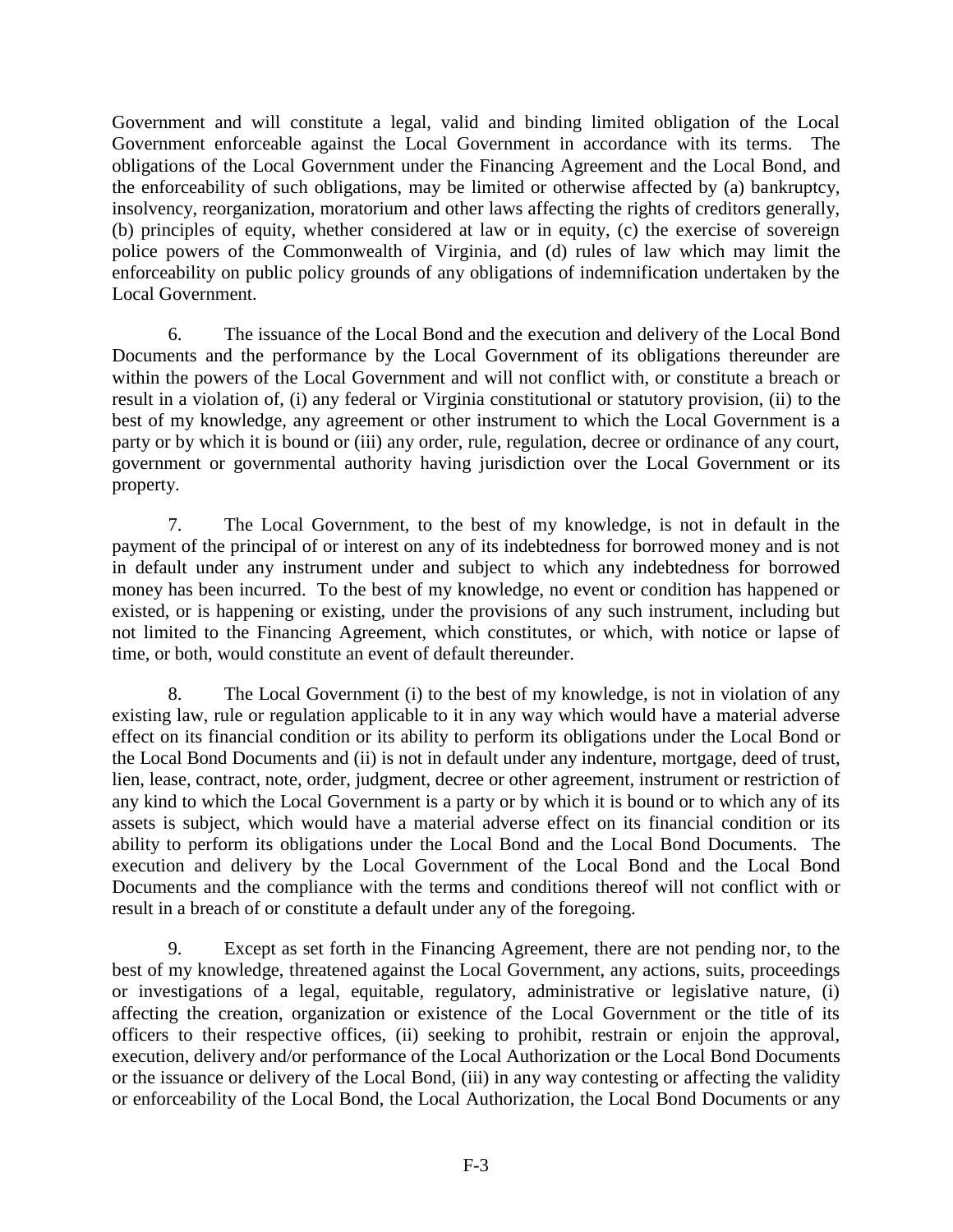Government and will constitute a legal, valid and binding limited obligation of the Local Government enforceable against the Local Government in accordance with its terms. The obligations of the Local Government under the Financing Agreement and the Local Bond, and the enforceability of such obligations, may be limited or otherwise affected by (a) bankruptcy, insolvency, reorganization, moratorium and other laws affecting the rights of creditors generally, (b) principles of equity, whether considered at law or in equity, (c) the exercise of sovereign police powers of the Commonwealth of Virginia, and (d) rules of law which may limit the enforceability on public policy grounds of any obligations of indemnification undertaken by the Local Government.

6. The issuance of the Local Bond and the execution and delivery of the Local Bond Documents and the performance by the Local Government of its obligations thereunder are within the powers of the Local Government and will not conflict with, or constitute a breach or result in a violation of, (i) any federal or Virginia constitutional or statutory provision, (ii) to the best of my knowledge, any agreement or other instrument to which the Local Government is a party or by which it is bound or (iii) any order, rule, regulation, decree or ordinance of any court, government or governmental authority having jurisdiction over the Local Government or its property.

7. The Local Government, to the best of my knowledge, is not in default in the payment of the principal of or interest on any of its indebtedness for borrowed money and is not in default under any instrument under and subject to which any indebtedness for borrowed money has been incurred. To the best of my knowledge, no event or condition has happened or existed, or is happening or existing, under the provisions of any such instrument, including but not limited to the Financing Agreement, which constitutes, or which, with notice or lapse of time, or both, would constitute an event of default thereunder.

8. The Local Government (i) to the best of my knowledge, is not in violation of any existing law, rule or regulation applicable to it in any way which would have a material adverse effect on its financial condition or its ability to perform its obligations under the Local Bond or the Local Bond Documents and (ii) is not in default under any indenture, mortgage, deed of trust, lien, lease, contract, note, order, judgment, decree or other agreement, instrument or restriction of any kind to which the Local Government is a party or by which it is bound or to which any of its assets is subject, which would have a material adverse effect on its financial condition or its ability to perform its obligations under the Local Bond and the Local Bond Documents. The execution and delivery by the Local Government of the Local Bond and the Local Bond Documents and the compliance with the terms and conditions thereof will not conflict with or result in a breach of or constitute a default under any of the foregoing.

9. Except as set forth in the Financing Agreement, there are not pending nor, to the best of my knowledge, threatened against the Local Government, any actions, suits, proceedings or investigations of a legal, equitable, regulatory, administrative or legislative nature, (i) affecting the creation, organization or existence of the Local Government or the title of its officers to their respective offices, (ii) seeking to prohibit, restrain or enjoin the approval, execution, delivery and/or performance of the Local Authorization or the Local Bond Documents or the issuance or delivery of the Local Bond, (iii) in any way contesting or affecting the validity or enforceability of the Local Bond, the Local Authorization, the Local Bond Documents or any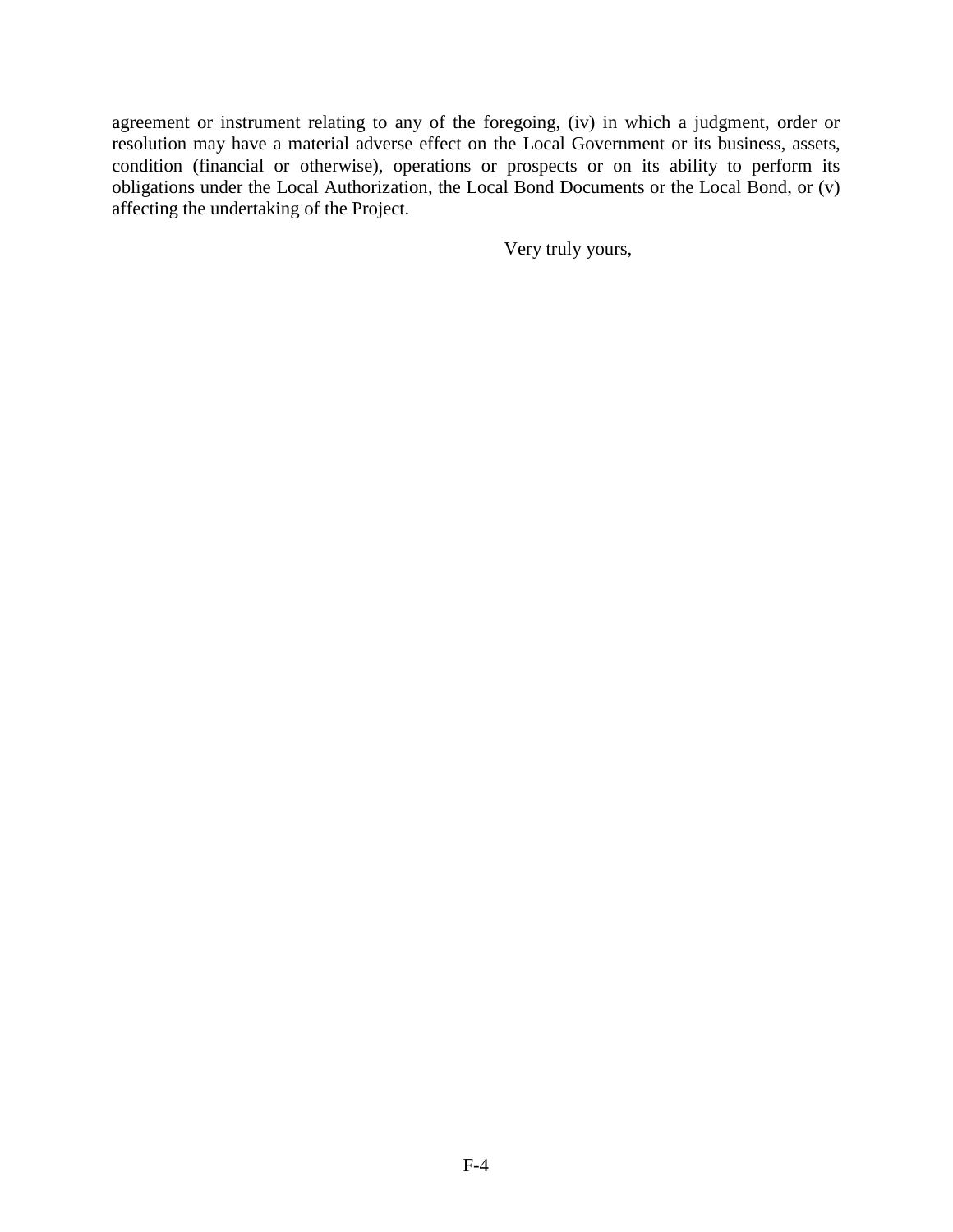agreement or instrument relating to any of the foregoing, (iv) in which a judgment, order or resolution may have a material adverse effect on the Local Government or its business, assets, condition (financial or otherwise), operations or prospects or on its ability to perform its obligations under the Local Authorization, the Local Bond Documents or the Local Bond, or (v) affecting the undertaking of the Project.

Very truly yours,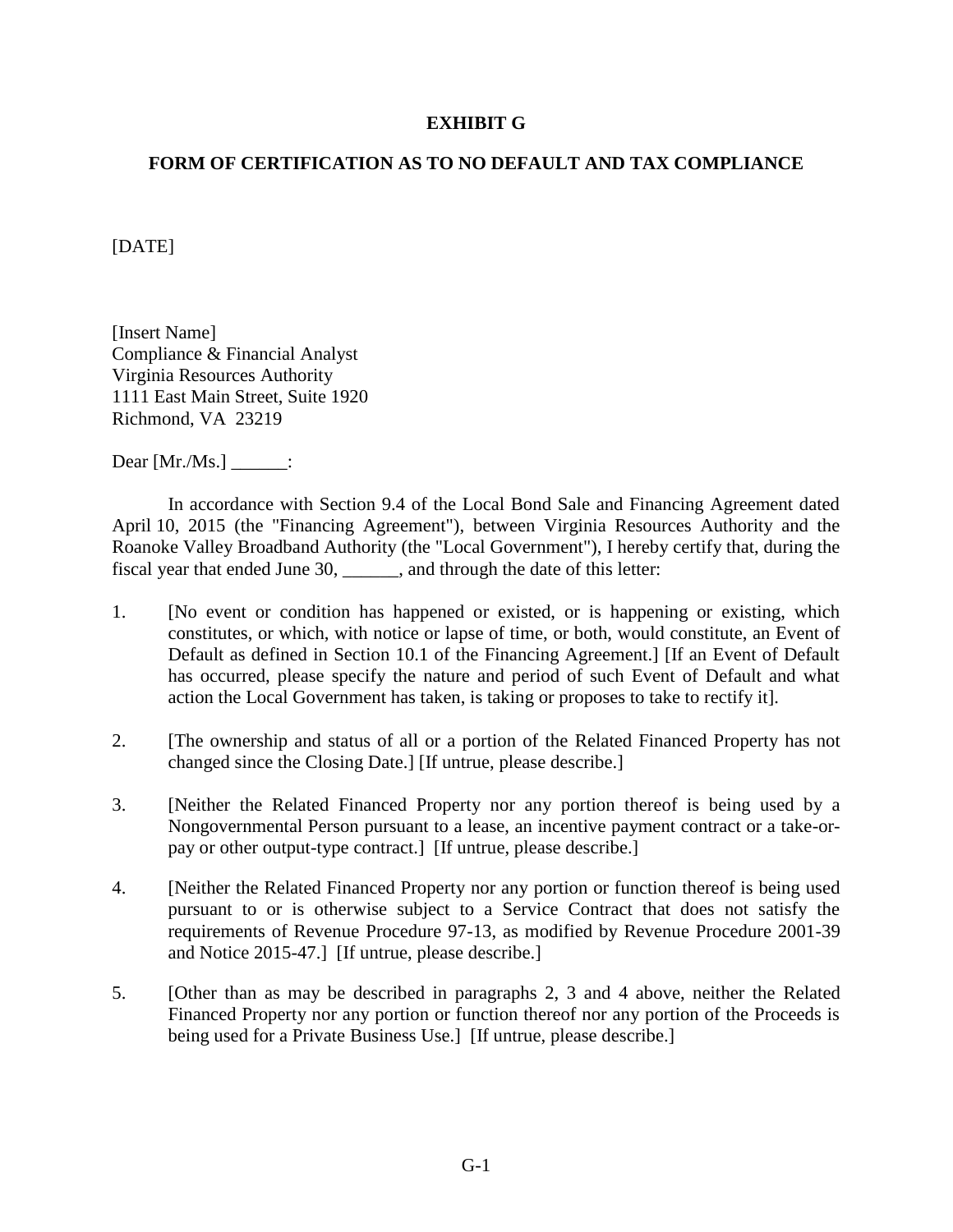### **EXHIBIT G**

## **FORM OF CERTIFICATION AS TO NO DEFAULT AND TAX COMPLIANCE**

[DATE]

[Insert Name] Compliance & Financial Analyst Virginia Resources Authority 1111 East Main Street, Suite 1920 Richmond, VA 23219

Dear [Mr./Ms.] \_\_\_\_\_\_:

In accordance with Section 9.4 of the Local Bond Sale and Financing Agreement dated April 10, 2015 (the "Financing Agreement"), between Virginia Resources Authority and the Roanoke Valley Broadband Authority (the "Local Government"), I hereby certify that, during the fiscal year that ended June 30, \_\_\_\_\_\_, and through the date of this letter:

- 1. [No event or condition has happened or existed, or is happening or existing, which constitutes, or which, with notice or lapse of time, or both, would constitute, an Event of Default as defined in Section 10.1 of the Financing Agreement.] [If an Event of Default has occurred, please specify the nature and period of such Event of Default and what action the Local Government has taken, is taking or proposes to take to rectify it].
- 2. [The ownership and status of all or a portion of the Related Financed Property has not changed since the Closing Date.] [If untrue, please describe.]
- 3. [Neither the Related Financed Property nor any portion thereof is being used by a Nongovernmental Person pursuant to a lease, an incentive payment contract or a take-orpay or other output-type contract.] [If untrue, please describe.]
- 4. [Neither the Related Financed Property nor any portion or function thereof is being used pursuant to or is otherwise subject to a Service Contract that does not satisfy the requirements of Revenue Procedure 97-13, as modified by Revenue Procedure 2001-39 and Notice 2015-47.] [If untrue, please describe.]
- 5. [Other than as may be described in paragraphs 2, 3 and 4 above, neither the Related Financed Property nor any portion or function thereof nor any portion of the Proceeds is being used for a Private Business Use.] [If untrue, please describe.]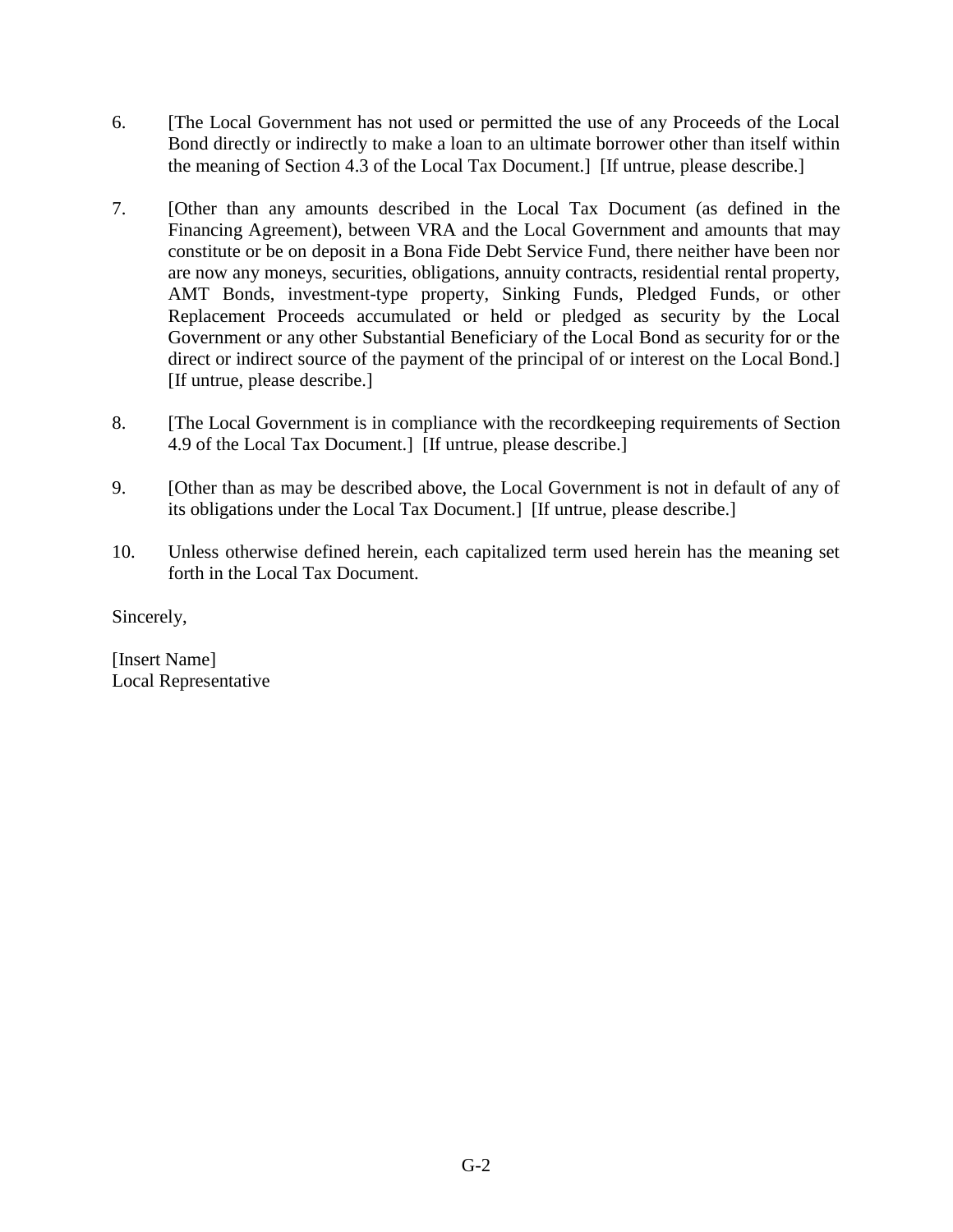- 6. [The Local Government has not used or permitted the use of any Proceeds of the Local Bond directly or indirectly to make a loan to an ultimate borrower other than itself within the meaning of Section 4.3 of the Local Tax Document.] [If untrue, please describe.]
- 7. [Other than any amounts described in the Local Tax Document (as defined in the Financing Agreement), between VRA and the Local Government and amounts that may constitute or be on deposit in a Bona Fide Debt Service Fund, there neither have been nor are now any moneys, securities, obligations, annuity contracts, residential rental property, AMT Bonds, investment-type property, Sinking Funds, Pledged Funds, or other Replacement Proceeds accumulated or held or pledged as security by the Local Government or any other Substantial Beneficiary of the Local Bond as security for or the direct or indirect source of the payment of the principal of or interest on the Local Bond.] [If untrue, please describe.]
- 8. [The Local Government is in compliance with the recordkeeping requirements of Section 4.9 of the Local Tax Document.] [If untrue, please describe.]
- 9. [Other than as may be described above, the Local Government is not in default of any of its obligations under the Local Tax Document.] [If untrue, please describe.]
- 10. Unless otherwise defined herein, each capitalized term used herein has the meaning set forth in the Local Tax Document.

Sincerely,

[Insert Name] Local Representative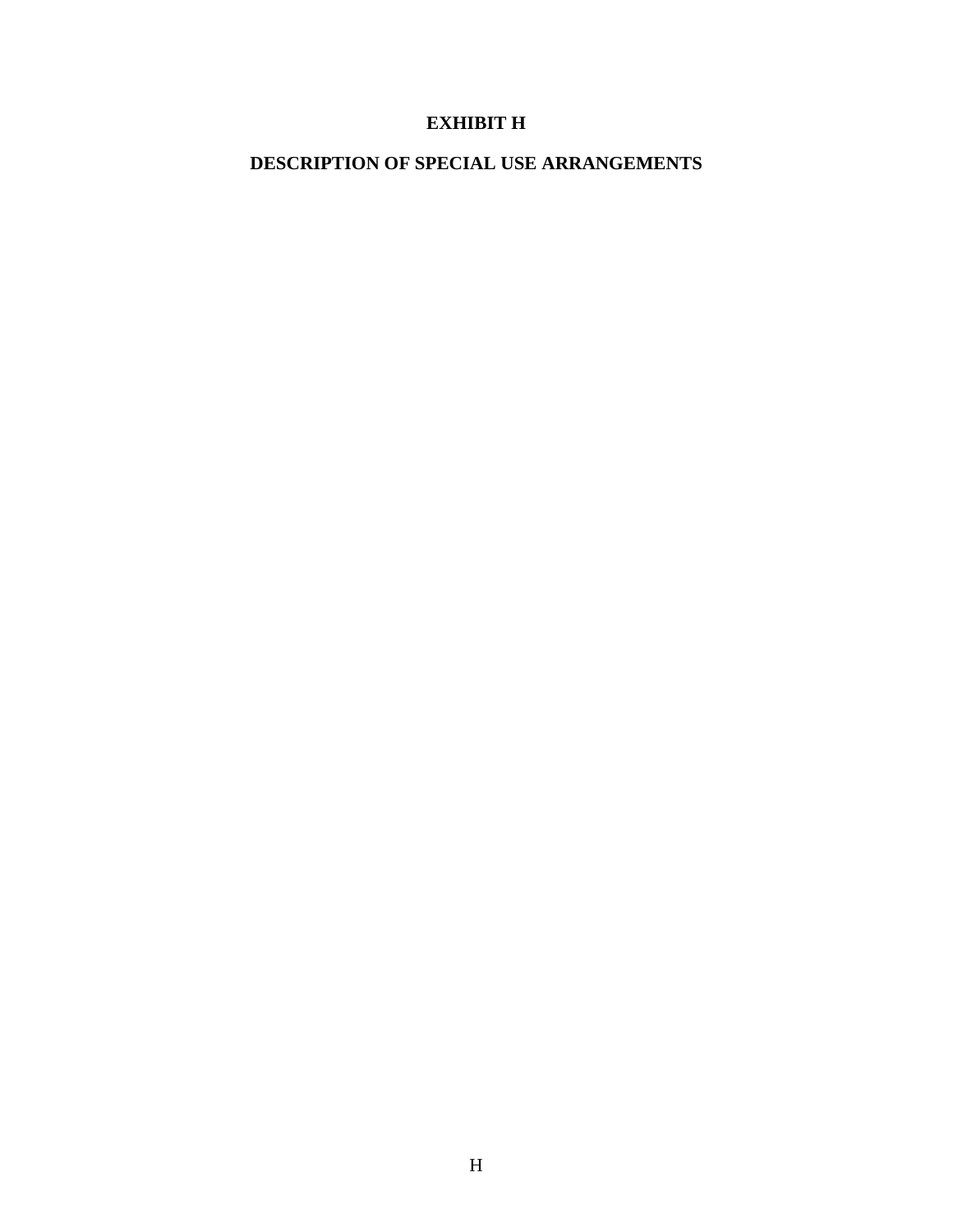# **EXHIBIT H**

## **DESCRIPTION OF SPECIAL USE ARRANGEMENTS**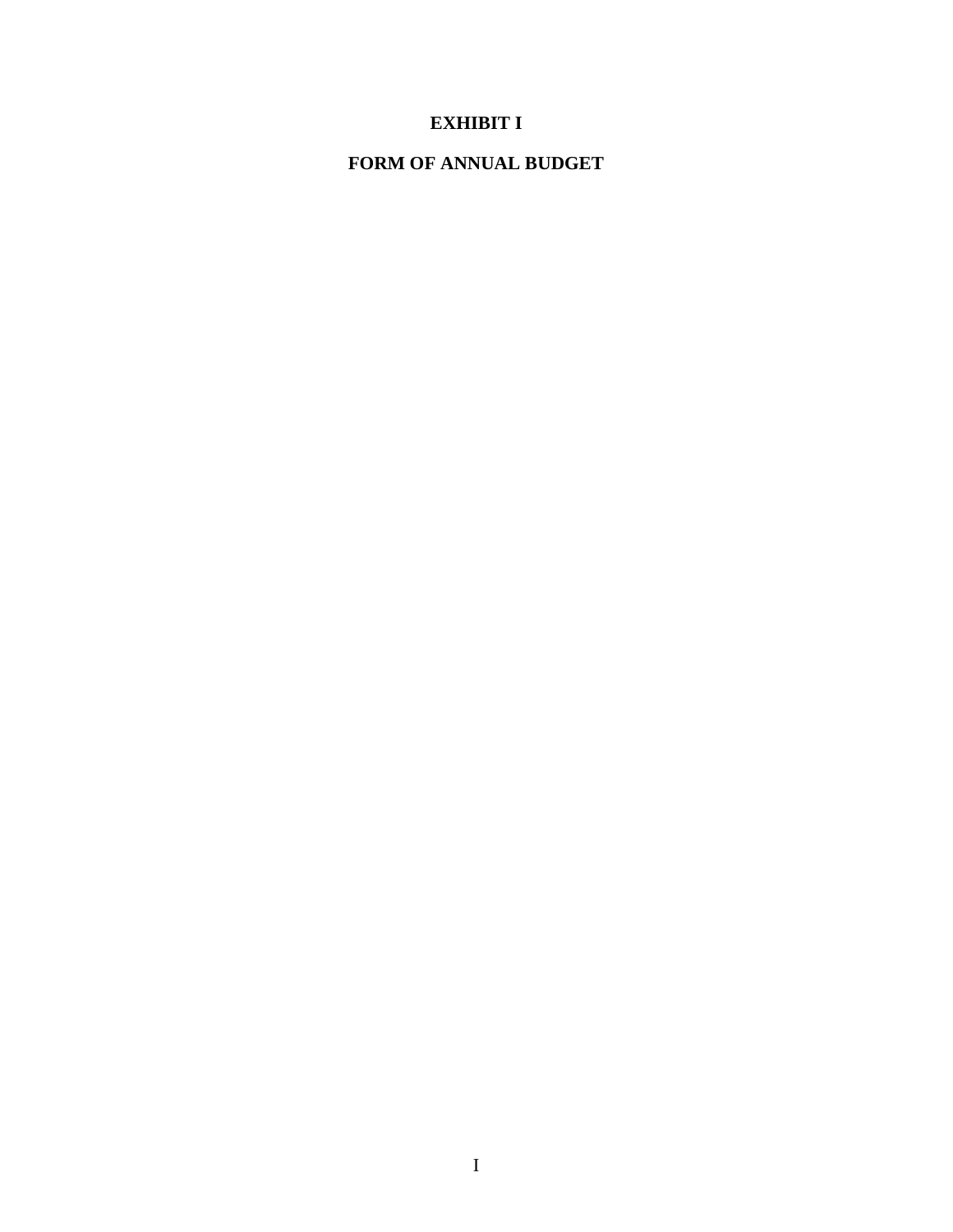# **EXHIBIT I**

## **FORM OF ANNUAL BUDGET**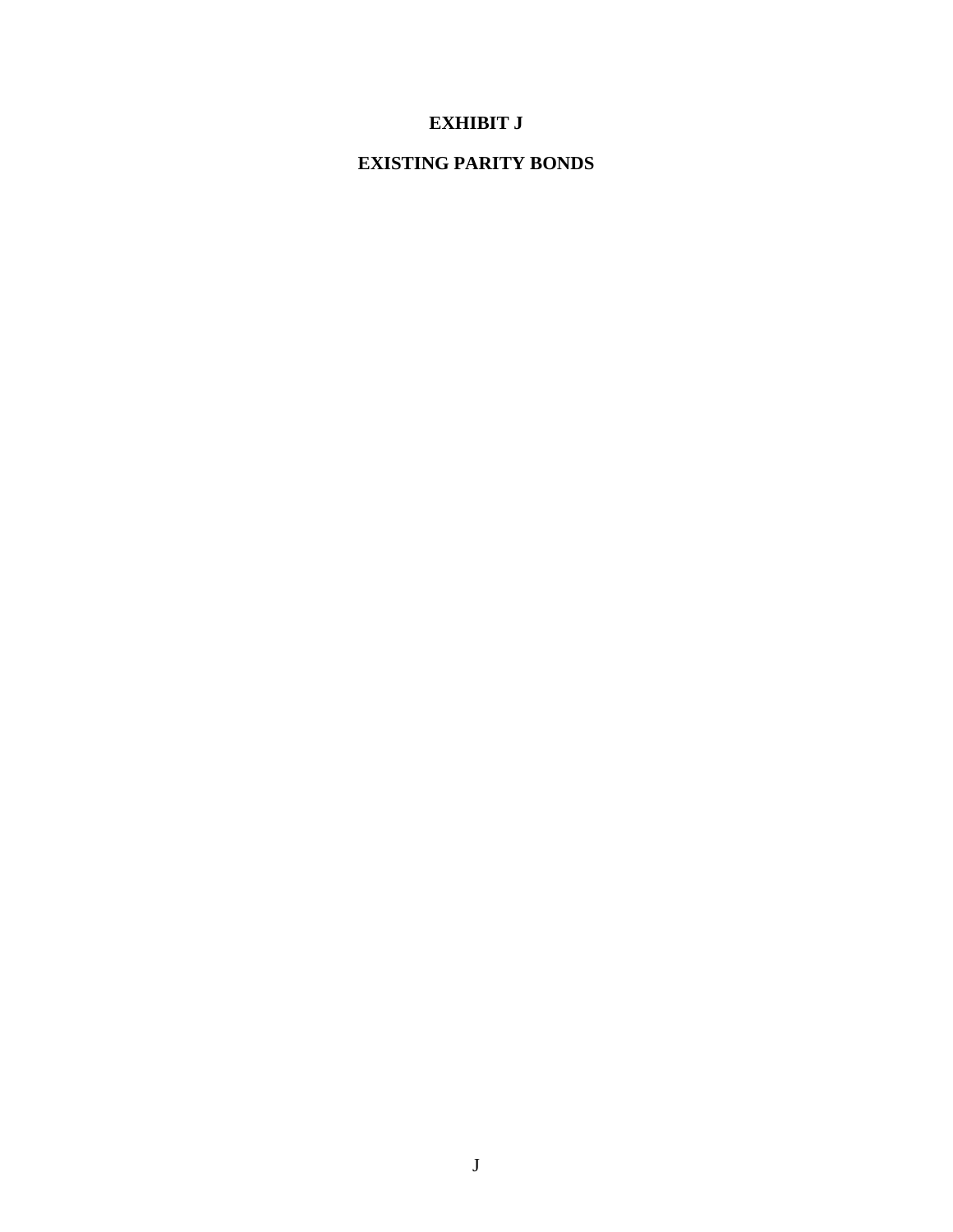# **EXHIBIT J**

## **EXISTING PARITY BONDS**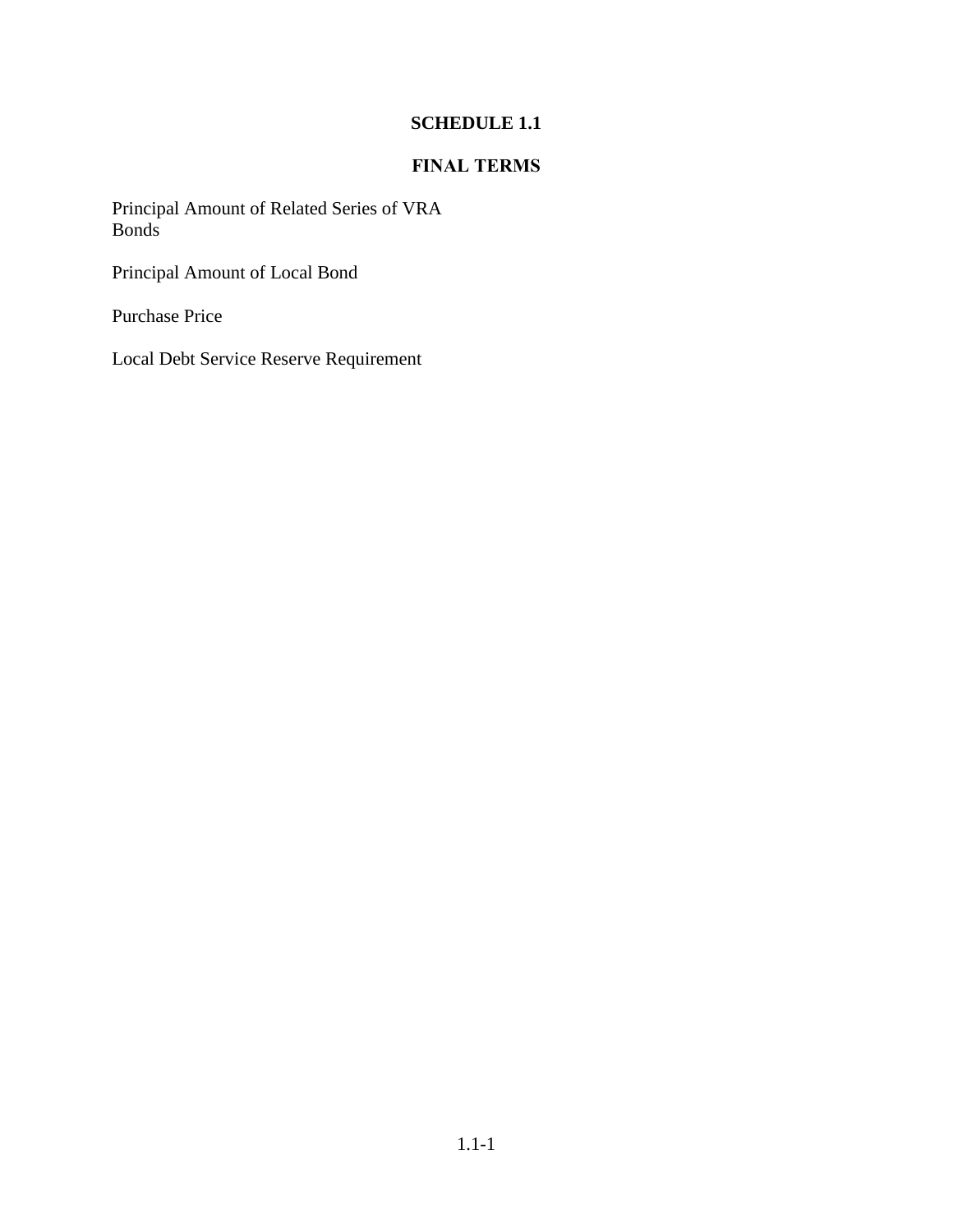# **SCHEDULE 1.1**

## **FINAL TERMS**

Principal Amount of Related Series of VRA Bonds

Principal Amount of Local Bond

Purchase Price

Local Debt Service Reserve Requirement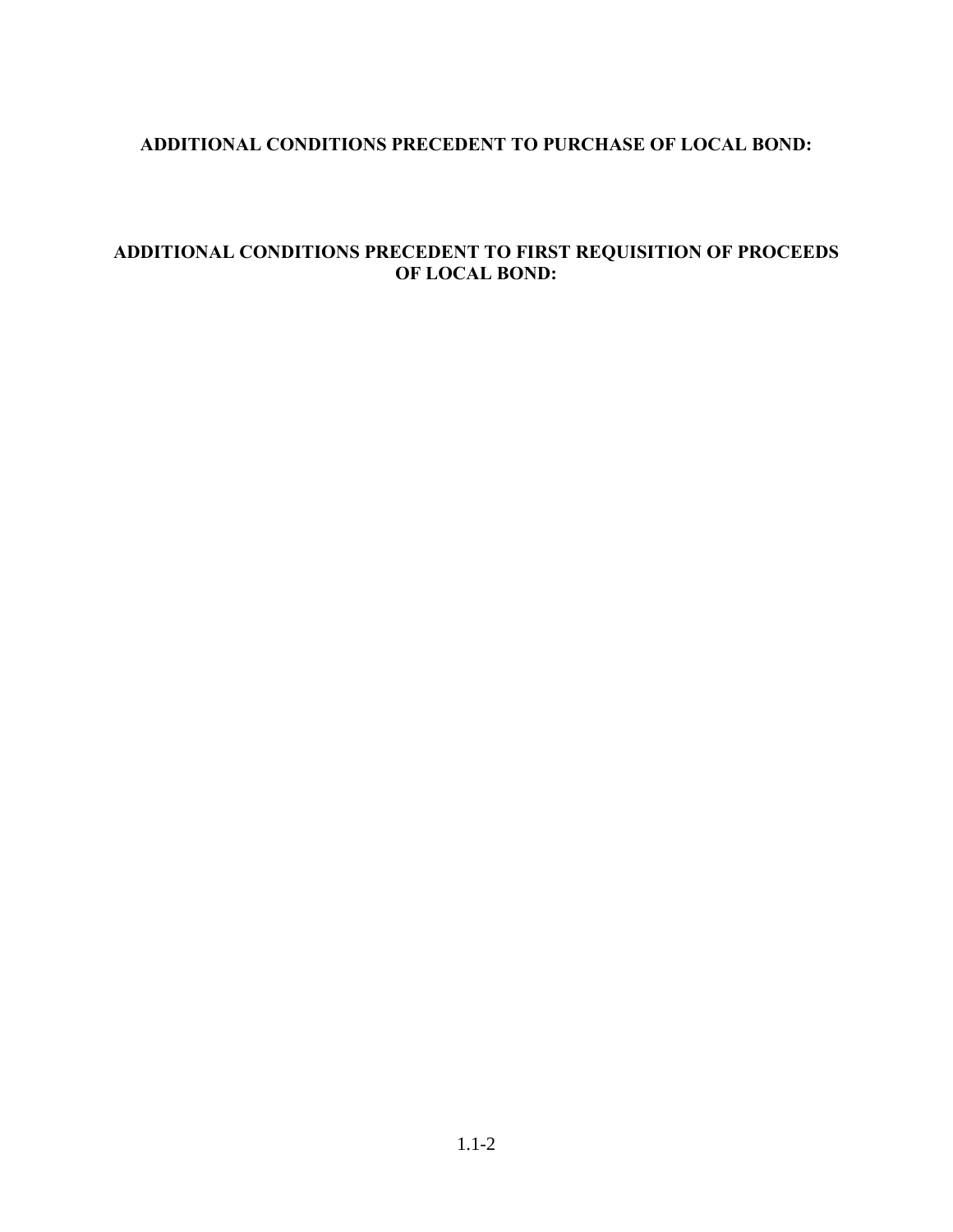## **ADDITIONAL CONDITIONS PRECEDENT TO PURCHASE OF LOCAL BOND:**

## **ADDITIONAL CONDITIONS PRECEDENT TO FIRST REQUISITION OF PROCEEDS OF LOCAL BOND:**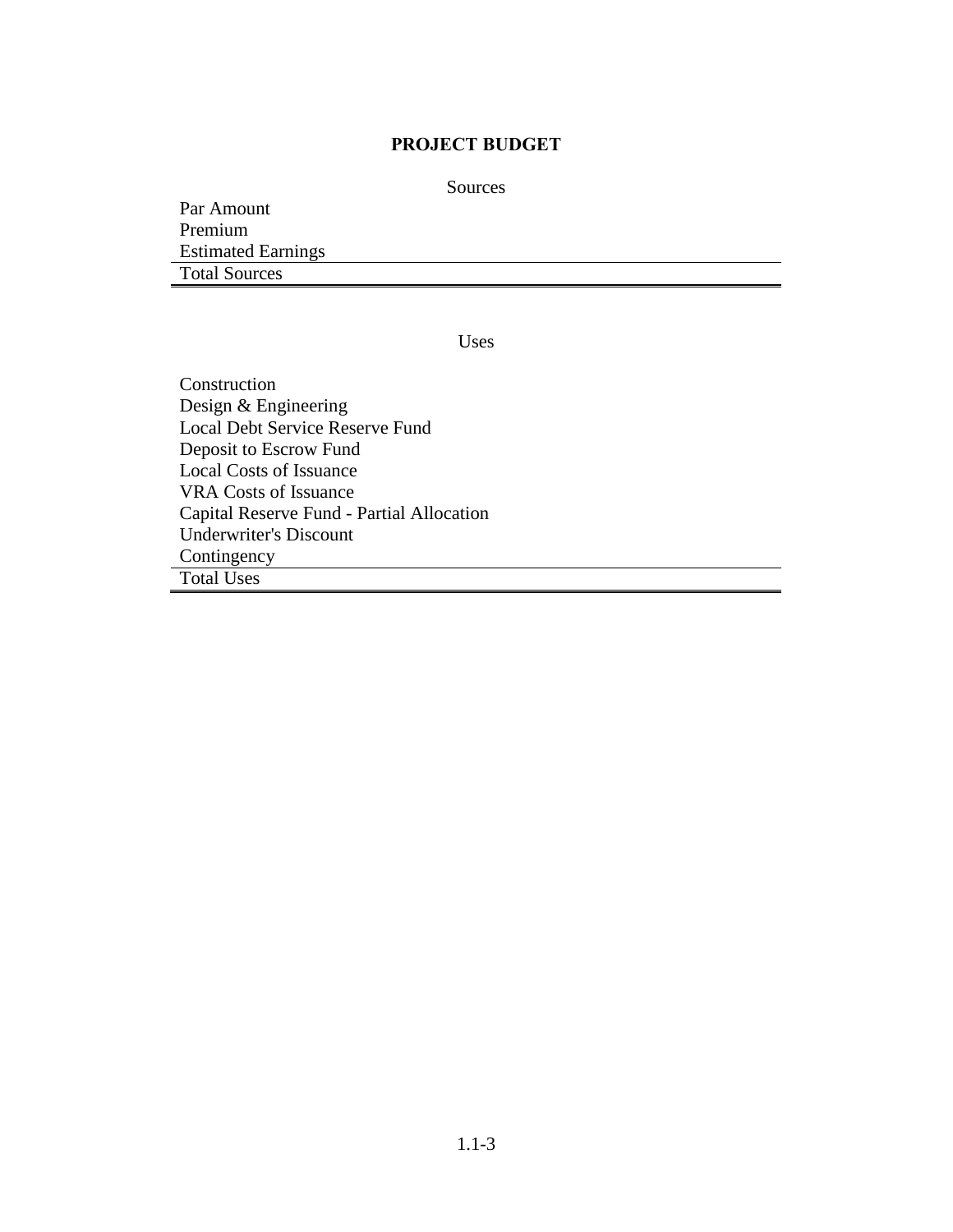#### **PROJECT BUDGET**

Sources

Par Amount Premium Estimated Earnings Total Sources

Uses

Construction Design & Engineering Local Debt Service Reserve Fund Deposit to Escrow Fund Local Costs of Issuance VRA Costs of Issuance Capital Reserve Fund - Partial Allocation Underwriter's Discount Contingency Total Uses